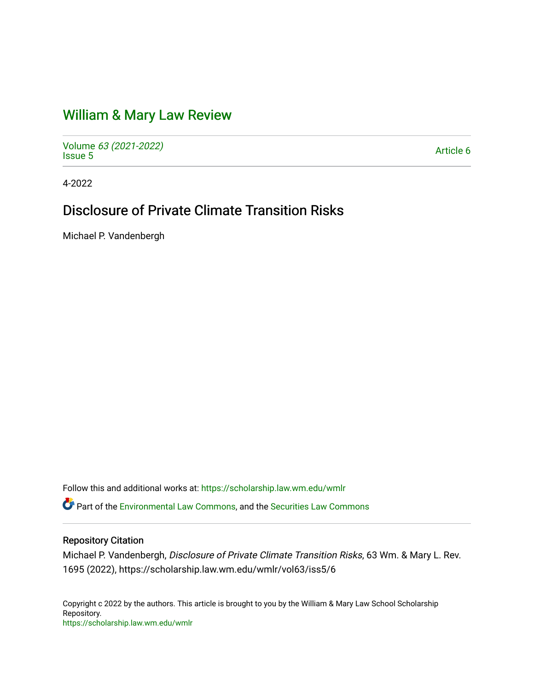## [William & Mary Law Review](https://scholarship.law.wm.edu/wmlr)

Volume [63 \(2021-2022\)](https://scholarship.law.wm.edu/wmlr/vol63)  volume os (2027-2022)<br>[Issue 5](https://scholarship.law.wm.edu/wmlr/vol63/iss5)

4-2022

# Disclosure of Private Climate Transition Risks

Michael P. Vandenbergh

Follow this and additional works at: [https://scholarship.law.wm.edu/wmlr](https://scholarship.law.wm.edu/wmlr?utm_source=scholarship.law.wm.edu%2Fwmlr%2Fvol63%2Fiss5%2F6&utm_medium=PDF&utm_campaign=PDFCoverPages)

Part of the [Environmental Law Commons](https://network.bepress.com/hgg/discipline/599?utm_source=scholarship.law.wm.edu%2Fwmlr%2Fvol63%2Fiss5%2F6&utm_medium=PDF&utm_campaign=PDFCoverPages), and the [Securities Law Commons](https://network.bepress.com/hgg/discipline/619?utm_source=scholarship.law.wm.edu%2Fwmlr%2Fvol63%2Fiss5%2F6&utm_medium=PDF&utm_campaign=PDFCoverPages) 

## Repository Citation

Michael P. Vandenbergh, Disclosure of Private Climate Transition Risks, 63 Wm. & Mary L. Rev. 1695 (2022), https://scholarship.law.wm.edu/wmlr/vol63/iss5/6

Copyright c 2022 by the authors. This article is brought to you by the William & Mary Law School Scholarship Repository. <https://scholarship.law.wm.edu/wmlr>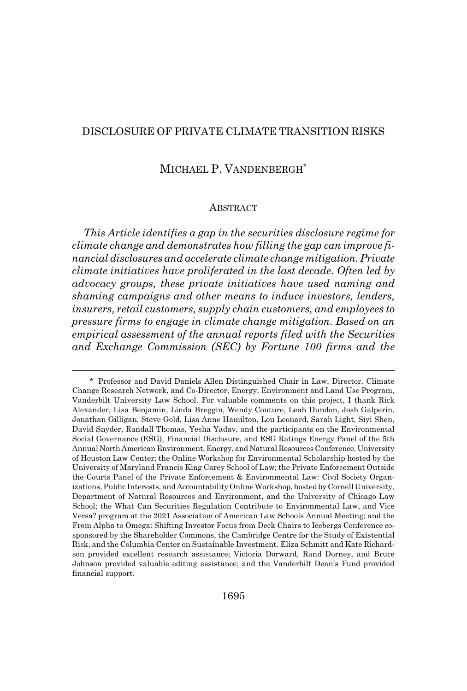## DISCLOSURE OF PRIVATE CLIMATE TRANSITION RISKS

## MICHAEL P. VANDENBERGH\*

#### ABSTRACT

*This Article identifies a gap in the securities disclosure regime for climate change and demonstrates how filling the gap can improve financial disclosures and accelerate climate change mitigation. Private climate initiatives have proliferated in the last decade. Often led by advocacy groups, these private initiatives have used naming and shaming campaigns and other means to induce investors, lenders, insurers, retail customers, supply chain customers, and employees to pressure firms to engage in climate change mitigation. Based on an empirical assessment of the annual reports filed with the Securities and Exchange Commission (SEC) by Fortune 100 firms and the*

<sup>\*</sup> Professor and David Daniels Allen Distinguished Chair in Law, Director, Climate Change Research Network, and Co-Director, Energy, Environment and Land Use Program, Vanderbilt University Law School. For valuable comments on this project, I thank Rick Alexander, Lisa Benjamin, Linda Breggin, Wendy Couture, Leah Dundon, Josh Galperin, Jonathan Gilligan, Steve Gold, Lisa Anne Hamilton, Lou Leonard, Sarah Light, Siyi Shen, David Snyder, Randall Thomas, Yesha Yadav, and the participants on the Environmental Social Governance (ESG), Financial Disclosure, and ESG Ratings Energy Panel of the 5th Annual North American Environment, Energy, and Natural Resources Conference, University of Houston Law Center; the Online Workshop for Environmental Scholarship hosted by the University of Maryland Francis King Carey School of Law; the Private Enforcement Outside the Courts Panel of the Private Enforcement & Environmental Law: Civil Society Organizations, Public Interests, and Accountability Online Workshop, hosted by Cornell University, Department of Natural Resources and Environment, and the University of Chicago Law School; the What Can Securities Regulation Contribute to Environmental Law, and Vice Versa? program at the 2021 Association of American Law Schools Annual Meeting; and the From Alpha to Omega: Shifting Investor Focus from Deck Chairs to Icebergs Conference cosponsored by the Shareholder Commons, the Cambridge Centre for the Study of Existential Risk, and the Columbia Center on Sustainable Investment. Eliza Schmitt and Kate Richardson provided excellent research assistance; Victoria Dorward, Rand Dorney, and Bruce Johnson provided valuable editing assistance; and the Vanderbilt Dean's Fund provided financial support.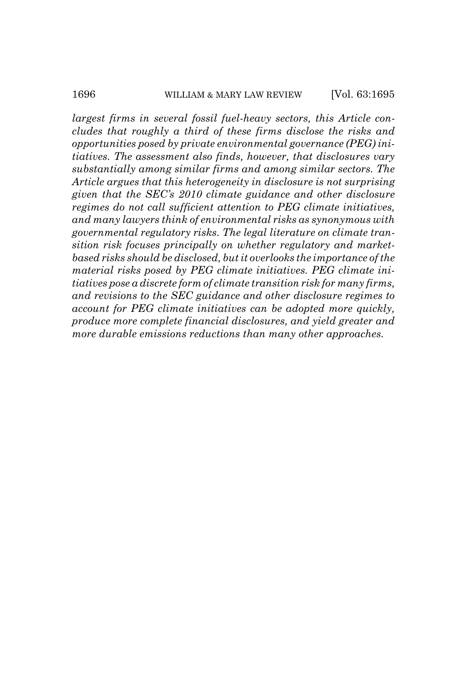*largest firms in several fossil fuel-heavy sectors, this Article concludes that roughly a third of these firms disclose the risks and opportunities posed by private environmental governance (PEG) initiatives. The assessment also finds, however, that disclosures vary substantially among similar firms and among similar sectors. The Article argues that this heterogeneity in disclosure is not surprising given that the SEC's 2010 climate guidance and other disclosure regimes do not call sufficient attention to PEG climate initiatives, and many lawyers think of environmental risks as synonymous with governmental regulatory risks. The legal literature on climate transition risk focuses principally on whether regulatory and marketbased risks should be disclosed, but it overlooks the importance of the material risks posed by PEG climate initiatives. PEG climate initiatives pose a discrete form of climate transition risk for many firms, and revisions to the SEC guidance and other disclosure regimes to account for PEG climate initiatives can be adopted more quickly, produce more complete financial disclosures, and yield greater and more durable emissions reductions than many other approaches.*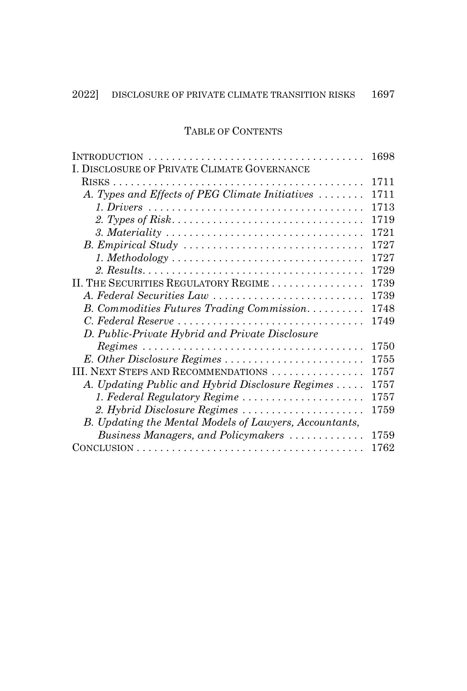## TABLE OF CONTENTS

|                                                                                                  | 1698 |
|--------------------------------------------------------------------------------------------------|------|
| I. DISCLOSURE OF PRIVATE CLIMATE GOVERNANCE                                                      |      |
|                                                                                                  | 1711 |
| A. Types and Effects of PEG Climate Initiatives                                                  | 1711 |
|                                                                                                  | 1713 |
|                                                                                                  | 1719 |
|                                                                                                  | 1721 |
|                                                                                                  | 1727 |
|                                                                                                  | 1727 |
|                                                                                                  | 1729 |
| II. THE SECURITIES REGULATORY REGIME                                                             | 1739 |
| A. Federal Securities Law                                                                        | 1739 |
| B. Commodities Futures Trading Commission                                                        | 1748 |
| C. Federal Reserve                                                                               | 1749 |
| D. Public-Private Hybrid and Private Disclosure                                                  |      |
| $Regimes \dots \dots \dots \dots \dots \dots \dots \dots \dots \dots \dots \dots \dots \dots$    | 1750 |
| E. Other Disclosure Regimes                                                                      | 1755 |
| III. NEXT STEPS AND RECOMMENDATIONS                                                              | 1757 |
| A. Updating Public and Hybrid Disclosure Regimes                                                 | 1757 |
| 1. Federal Regulatory Regime                                                                     | 1757 |
| 2. Hybrid Disclosure Regimes                                                                     | 1759 |
| B. Updating the Mental Models of Lawyers, Accountants,                                           |      |
| Business Managers, and Policymakers                                                              | 1759 |
| $CONCLUSION \ldots \ldots \ldots \ldots \ldots \ldots \ldots \ldots \ldots \ldots \ldots \ldots$ | 1762 |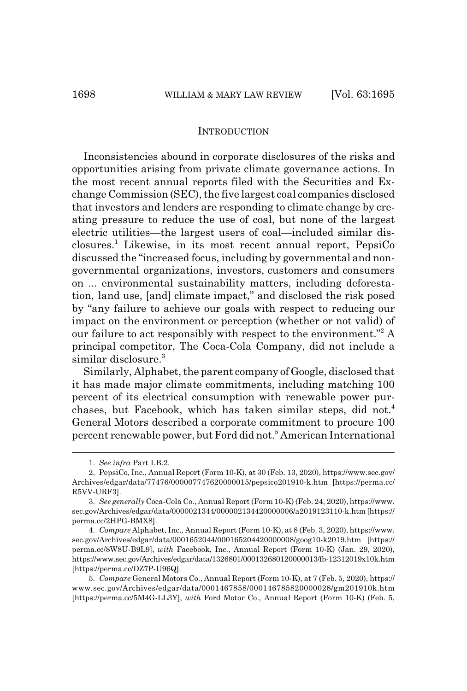#### **INTRODUCTION**

Inconsistencies abound in corporate disclosures of the risks and opportunities arising from private climate governance actions. In the most recent annual reports filed with the Securities and Exchange Commission (SEC), the five largest coal companies disclosed that investors and lenders are responding to climate change by creating pressure to reduce the use of coal, but none of the largest electric utilities—the largest users of coal—included similar disclosures.1 Likewise, in its most recent annual report, PepsiCo discussed the "increased focus, including by governmental and nongovernmental organizations, investors, customers and consumers on ... environmental sustainability matters, including deforestation, land use, [and] climate impact," and disclosed the risk posed by "any failure to achieve our goals with respect to reducing our impact on the environment or perception (whether or not valid) of our failure to act responsibly with respect to the environment."<sup>2</sup> A principal competitor, The Coca-Cola Company, did not include a similar disclosure.<sup>3</sup>

Similarly, Alphabet, the parent company of Google, disclosed that it has made major climate commitments, including matching 100 percent of its electrical consumption with renewable power purchases, but Facebook, which has taken similar steps, did not.<sup>4</sup> General Motors described a corporate commitment to procure 100 percent renewable power, but Ford did not.<sup>5</sup> American International

<sup>1.</sup> *See infra* Part I.B.2.

<sup>2.</sup> PepsiCo, Inc., Annual Report (Form 10-K), at 30 (Feb. 13, 2020), https://www.sec.gov/ Archives/edgar/data/77476/000007747620000015/pepsico201910-k.htm [https://perma.cc/ R5VV-URF3].

<sup>3.</sup> *See generally* Coca-Cola Co., Annual Report (Form 10-K) (Feb. 24, 2020), https://www. sec.gov/Archives/edgar/data/0000021344/000002134420000006/a2019123110-k.htm [https:// perma.cc/2HPG-BMX8].

<sup>4.</sup> *Compare* Alphabet, Inc., Annual Report (Form 10-K), at 8 (Feb. 3, 2020), https://www. sec.gov/Archives/edgar/data/0001652044/000165204420000008/goog10-k2019.htm [https:// perma.cc/8W8U-B9L9], *with* Facebook, Inc., Annual Report (Form 10-K) (Jan. 29, 2020), https://www.sec.gov/Archives/edgar/data/1326801/000132680120000013/fb-12312019x10k.htm [https://perma.cc/DZ7P-U96Q].

<sup>5.</sup> *Compare* General Motors Co., Annual Report (Form 10-K), at 7 (Feb. 5, 2020), https:// www.sec.gov/Archives/edgar/data/0001467858/000146785820000028/gm201910k.htm [https://perma.cc/5M4G-LL3Y], *with* Ford Motor Co., Annual Report (Form 10-K) (Feb. 5,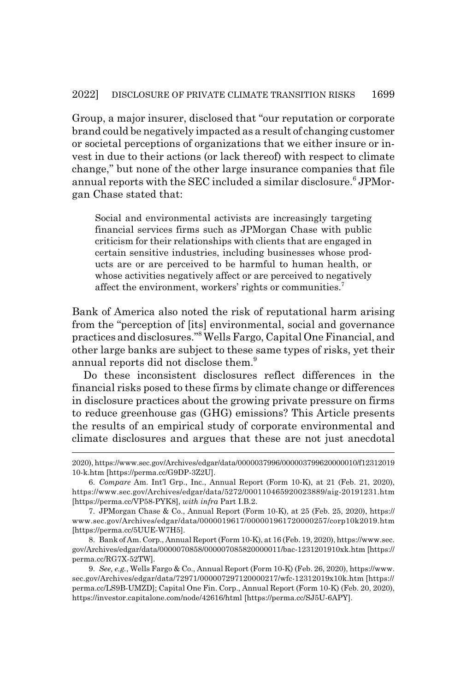Group, a major insurer, disclosed that "our reputation or corporate brand could be negatively impacted as a result of changing customer or societal perceptions of organizations that we either insure or invest in due to their actions (or lack thereof) with respect to climate change," but none of the other large insurance companies that file annual reports with the SEC included a similar disclosure.<sup>6</sup> JPMorgan Chase stated that:

Social and environmental activists are increasingly targeting financial services firms such as JPMorgan Chase with public criticism for their relationships with clients that are engaged in certain sensitive industries, including businesses whose products are or are perceived to be harmful to human health, or whose activities negatively affect or are perceived to negatively affect the environment, workers' rights or communities.<sup>7</sup>

Bank of America also noted the risk of reputational harm arising from the "perception of [its] environmental, social and governance practices and disclosures."8 Wells Fargo, Capital One Financial, and other large banks are subject to these same types of risks, yet their annual reports did not disclose them.<sup>9</sup>

Do these inconsistent disclosures reflect differences in the financial risks posed to these firms by climate change or differences in disclosure practices about the growing private pressure on firms to reduce greenhouse gas (GHG) emissions? This Article presents the results of an empirical study of corporate environmental and climate disclosures and argues that these are not just anecdotal

<sup>2020),</sup> https://www.sec.gov/Archives/edgar/data/0000037996/000003799620000010/f12312019 10-k.htm [https://perma.cc/G9DP-3Z2U].

<sup>6.</sup> *Compare* Am. Int'l Grp., Inc., Annual Report (Form 10-K), at 21 (Feb. 21, 2020), https://www.sec.gov/Archives/edgar/data/5272/000110465920023889/aig-20191231.htm [https://perma.cc/VP58-PYK8], *with infra* Part I.B.2.

<sup>7.</sup> JPMorgan Chase & Co., Annual Report (Form 10-K), at 25 (Feb. 25, 2020), https:// www.sec.gov/Archives/edgar/data/0000019617/000001961720000257/corp10k2019.htm [https://perma.cc/5UUE-W7H5].

<sup>8.</sup> Bank of Am. Corp., Annual Report (Form 10-K), at 16 (Feb. 19, 2020), https://www.sec. gov/Archives/edgar/data/0000070858/000007085820000011/bac-1231201910xk.htm [https:// perma.cc/RG7X-52TW].

<sup>9.</sup> *See, e.g.*, Wells Fargo & Co., Annual Report (Form 10-K) (Feb. 26, 2020), https://www. sec.gov/Archives/edgar/data/72971/000007297120000217/wfc-12312019x10k.htm [https:// perma.cc/LS9B-UMZD]; Capital One Fin. Corp., Annual Report (Form 10-K) (Feb. 20, 2020), https://investor.capitalone.com/node/42616/html [https://perma.cc/SJ5U-6APY].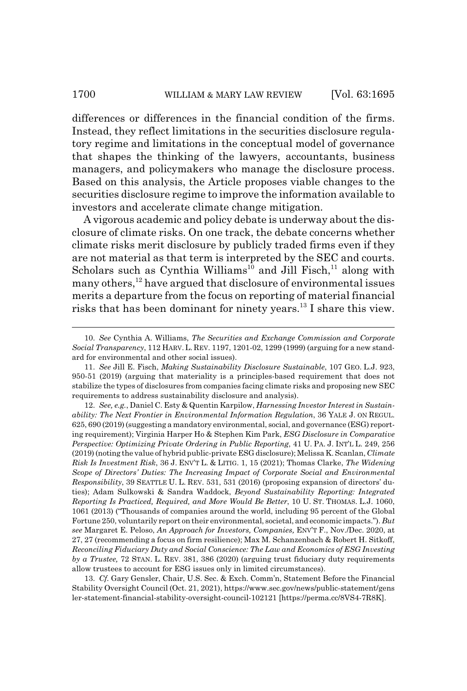differences or differences in the financial condition of the firms. Instead, they reflect limitations in the securities disclosure regulatory regime and limitations in the conceptual model of governance that shapes the thinking of the lawyers, accountants, business managers, and policymakers who manage the disclosure process. Based on this analysis, the Article proposes viable changes to the securities disclosure regime to improve the information available to investors and accelerate climate change mitigation.

A vigorous academic and policy debate is underway about the disclosure of climate risks. On one track, the debate concerns whether climate risks merit disclosure by publicly traded firms even if they are not material as that term is interpreted by the SEC and courts. Scholars such as Cynthia Williams<sup>10</sup> and Jill Fisch,<sup>11</sup> along with many others,<sup>12</sup> have argued that disclosure of environmental issues merits a departure from the focus on reporting of material financial risks that has been dominant for ninety years.13 I share this view.

13. *Cf.* Gary Gensler, Chair, U.S. Sec. & Exch. Comm'n, Statement Before the Financial Stability Oversight Council (Oct. 21, 2021), https://www.sec.gov/news/public-statement/gens ler-statement-financial-stability-oversight-council-102121 [https://perma.cc/8VS4-7R8K].

<sup>10.</sup> *See* Cynthia A. Williams, *The Securities and Exchange Commission and Corporate Social Transparency*, 112 HARV. L. REV. 1197, 1201-02, 1299 (1999) (arguing for a new standard for environmental and other social issues).

<sup>11.</sup> *See* Jill E. Fisch, *Making Sustainability Disclosure Sustainable*, 107 GEO. L.J. 923, 950-51 (2019) (arguing that materiality is a principles-based requirement that does not stabilize the types of disclosures from companies facing climate risks and proposing new SEC requirements to address sustainability disclosure and analysis).

<sup>12.</sup> *See, e.g.*, Daniel C. Esty & Quentin Karpilow, *Harnessing Investor Interest in Sustainability: The Next Frontier in Environmental Information Regulation*, 36 YALE J. ON REGUL. 625, 690 (2019) (suggesting a mandatory environmental, social, and governance (ESG) reporting requirement); Virginia Harper Ho & Stephen Kim Park, *ESG Disclosure in Comparative Perspective: Optimizing Private Ordering in Public Reporting*, 41 U. PA. J. INT'L L. 249, 256 (2019) (noting the value of hybrid public-private ESG disclosure); Melissa K. Scanlan, *Climate Risk Is Investment Risk*, 36 J. ENV'T L. & LITIG. 1, 15 (2021); Thomas Clarke, *The Widening Scope of Directors' Duties: The Increasing Impact of Corporate Social and Environmental Responsibility*, 39 SEATTLE U. L. REV. 531, 531 (2016) (proposing expansion of directors' duties); Adam Sulkowski & Sandra Waddock, *Beyond Sustainability Reporting: Integrated Reporting Is Practiced, Required, and More Would Be Better*, 10 U. ST. THOMAS. L.J. 1060, 1061 (2013) ("Thousands of companies around the world, including 95 percent of the Global Fortune 250, voluntarily report on their environmental, societal, and economic impacts."). *But see* Margaret E. Peloso, *An Approach for Investors, Companies,* ENV'T F., Nov./Dec. 2020, at 27, 27 (recommending a focus on firm resilience); Max M. Schanzenbach & Robert H. Sitkoff, *Reconciling Fiduciary Duty and Social Conscience: The Law and Economics of ESG Investing by a Trustee,* 72 STAN. L. REV. 381, 386 (2020) (arguing trust fiduciary duty requirements allow trustees to account for ESG issues only in limited circumstances).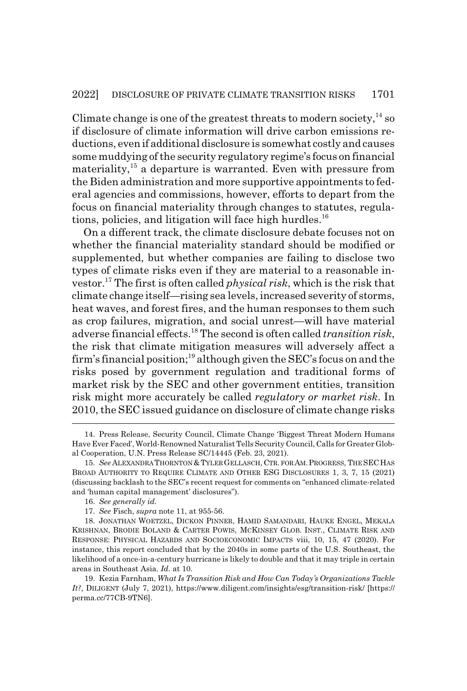Climate change is one of the greatest threats to modern society,  $^{14}$  so if disclosure of climate information will drive carbon emissions reductions, even if additional disclosure is somewhat costly and causes some muddying of the security regulatory regime's focus on financial materiality,<sup>15</sup> a departure is warranted. Even with pressure from the Biden administration and more supportive appointments to federal agencies and commissions, however, efforts to depart from the focus on financial materiality through changes to statutes, regulations, policies, and litigation will face high hurdles.<sup>16</sup>

On a different track, the climate disclosure debate focuses not on whether the financial materiality standard should be modified or supplemented, but whether companies are failing to disclose two types of climate risks even if they are material to a reasonable investor.17 The first is often called *physical risk*, which is the risk that climate change itself—rising sea levels, increased severity of storms, heat waves, and forest fires, and the human responses to them such as crop failures, migration, and social unrest—will have material adverse financial effects.18 The second is often called *transition risk*, the risk that climate mitigation measures will adversely affect a firm's financial position;<sup>19</sup> although given the SEC's focus on and the risks posed by government regulation and traditional forms of market risk by the SEC and other government entities, transition risk might more accurately be called *regulatory or market risk*. In 2010, the SEC issued guidance on disclosure of climate change risks

<sup>14.</sup> Press Release, Security Council, Climate Change 'Biggest Threat Modern Humans Have Ever Faced', World-Renowned Naturalist Tells Security Council, Calls for Greater Global Cooperation, U.N. Press Release SC/14445 (Feb. 23, 2021).

<sup>15.</sup> *See* ALEXANDRA THORNTON &TYLERGELLASCH, CTR. FOR AM.PROGRESS, THE SECHAS BROAD AUTHORITY TO REQUIRE CLIMATE AND OTHER ESG DISCLOSURES 1, 3, 7, 15 (2021) (discussing backlash to the SEC's recent request for comments on "enhanced climate-related and 'human capital management' disclosures").

<sup>16.</sup> *See generally id.*

<sup>17.</sup> *See* Fisch, *supra* note 11, at 955-56.

<sup>18.</sup> JONATHAN WOETZEL, DICKON PINNER, HAMID SAMANDARI, HAUKE ENGEL, MEKALA KRISHNAN, BRODIE BOLAND & CARTER POWIS, MCKINSEY GLOB. INST., CLIMATE RISK AND RESPONSE: PHYSICAL HAZARDS AND SOCIOECONOMIC IMPACTS viii, 10, 15, 47 (2020). For instance, this report concluded that by the 2040s in some parts of the U.S. Southeast, the likelihood of a once-in-a-century hurricane is likely to double and that it may triple in certain areas in Southeast Asia. *Id.* at 10.

<sup>19.</sup> Kezia Farnham, *What Is Transition Risk and How Can Today's Organizations Tackle It?*, DILIGENT (July 7, 2021), https://www.diligent.com/insights/esg/transition-risk/ [https:// perma.cc/77CB-9TN6].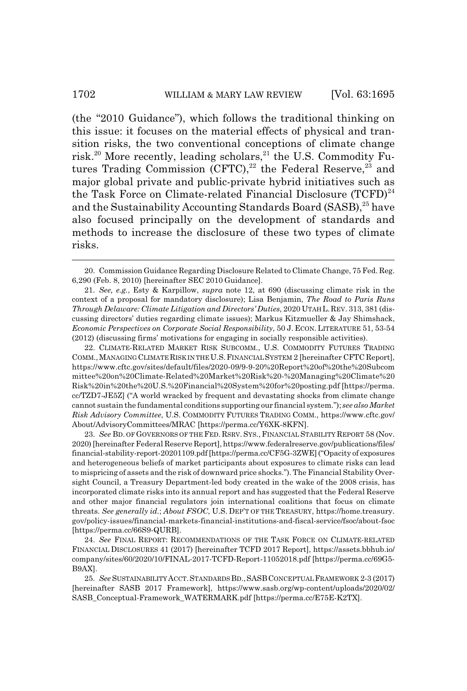(the "2010 Guidance"), which follows the traditional thinking on this issue: it focuses on the material effects of physical and transition risks, the two conventional conceptions of climate change risk.<sup>20</sup> More recently, leading scholars,<sup>21</sup> the U.S. Commodity Futures Trading Commission (CFTC), $^{22}$  the Federal Reserve, $^{23}$  and major global private and public-private hybrid initiatives such as the Task Force on Climate-related Financial Disclosure  $(TCFD)^{24}$ and the Sustainability Accounting Standards Board (SASB),<sup>25</sup> have also focused principally on the development of standards and methods to increase the disclosure of these two types of climate risks.

22. CLIMATE-RELATED MARKET RISK SUBCOMM., U.S. COMMODITY FUTURES TRADING COMM.,MANAGING CLIMATE RISK IN THE U.S.FINANCIAL SYSTEM 2 [hereinafter CFTC Report], https://www.cftc.gov/sites/default/files/2020-09/9-9-20%20Report%20of%20the%20Subcom mittee%20on%20Climate-Related%20Market%20Risk%20-%20Managing%20Climate%20 Risk%20in%20the%20U.S.%20Financial%20System%20for%20posting.pdf [https://perma. cc/TZD7-JE5Z] ("A world wracked by frequent and devastating shocks from climate change cannot sustain the fundamental conditions supporting our financial system."); *see also Market Risk Advisory Committee*, U.S. COMMODITY FUTURES TRADING COMM., https://www.cftc.gov/ About/AdvisoryCommittees/MRAC [https://perma.cc/Y6XK-8KFN].

23. *See* BD. OF GOVERNORS OF THE FED. RSRV. SYS., FINANCIAL STABILITY REPORT 58 (Nov. 2020) [hereinafter Federal Reserve Report], https://www.federalreserve.gov/publications/files/ financial-stability-report-20201109.pdf [https://perma.cc/CF5G-3ZWE] ("Opacity of exposures and heterogeneous beliefs of market participants about exposures to climate risks can lead to mispricing of assets and the risk of downward price shocks."). The Financial Stability Oversight Council, a Treasury Department-led body created in the wake of the 2008 crisis, has incorporated climate risks into its annual report and has suggested that the Federal Reserve and other major financial regulators join international coalitions that focus on climate threats. *See generally id.*; *About FSOC*, U.S. DEP'T OF THE TREASURY, https://home.treasury. gov/policy-issues/financial-markets-financial-institutions-and-fiscal-service/fsoc/about-fsoc [https://perma.cc/66S9-QURB].

24. *See* FINAL REPORT: RECOMMENDATIONS OF THE TASK FORCE ON CLIMATE-RELATED FINANCIAL DISCLOSURES 41 (2017) [hereinafter TCFD 2017 Report], https://assets.bbhub.io/ company/sites/60/2020/10/FINAL-2017-TCFD-Report-11052018.pdf [https://perma.cc/69G5- B9AX].

25. *See* SUSTAINABILITYACCT.STANDARDS BD.,SASBCONCEPTUAL FRAMEWORK 2-3 (2017) [hereinafter SASB 2017 Framework], https://www.sasb.org/wp-content/uploads/2020/02/ SASB\_Conceptual-Framework\_WATERMARK.pdf [https://perma.cc/E75E-K2TX].

<sup>20.</sup> Commission Guidance Regarding Disclosure Related to Climate Change, 75 Fed. Reg. 6,290 (Feb. 8, 2010) [hereinafter SEC 2010 Guidance].

<sup>21.</sup> *See, e.g.*, Esty & Karpillow, *supra* note 12, at 690 (discussing climate risk in the context of a proposal for mandatory disclosure); Lisa Benjamin, *The Road to Paris Runs Through Delaware: Climate Litigation and Directors' Duties*, 2020 UTAH L.REV. 313, 381 (discussing directors' duties regarding climate issues); Markus Kitzmueller & Jay Shimshack, *Economic Perspectives on Corporate Social Responsibility*, 50 J. ECON. LITERATURE 51, 53-54 (2012) (discussing firms' motivations for engaging in socially responsible activities).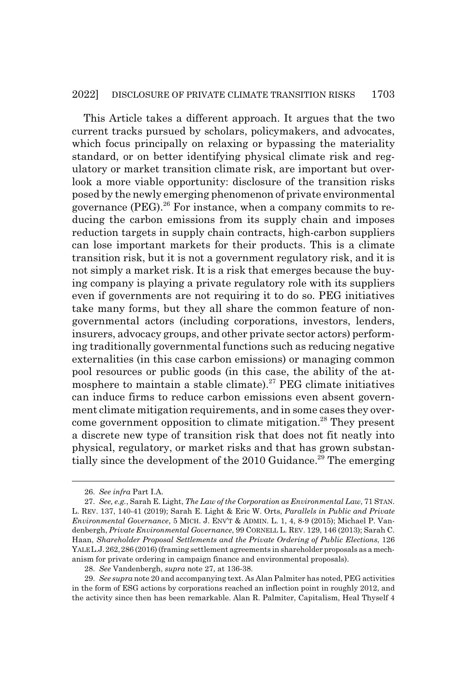#### 2022] DISCLOSURE OF PRIVATE CLIMATE TRANSITION RISKS 1703

This Article takes a different approach. It argues that the two current tracks pursued by scholars, policymakers, and advocates, which focus principally on relaxing or bypassing the materiality standard, or on better identifying physical climate risk and regulatory or market transition climate risk, are important but overlook a more viable opportunity: disclosure of the transition risks posed by the newly emerging phenomenon of private environmental governance  $(PEG).^{26}$  For instance, when a company commits to reducing the carbon emissions from its supply chain and imposes reduction targets in supply chain contracts, high-carbon suppliers can lose important markets for their products. This is a climate transition risk, but it is not a government regulatory risk, and it is not simply a market risk. It is a risk that emerges because the buying company is playing a private regulatory role with its suppliers even if governments are not requiring it to do so. PEG initiatives take many forms, but they all share the common feature of nongovernmental actors (including corporations, investors, lenders, insurers, advocacy groups, and other private sector actors) performing traditionally governmental functions such as reducing negative externalities (in this case carbon emissions) or managing common pool resources or public goods (in this case, the ability of the atmosphere to maintain a stable climate).27 PEG climate initiatives can induce firms to reduce carbon emissions even absent government climate mitigation requirements, and in some cases they overcome government opposition to climate mitigation.<sup>28</sup> They present a discrete new type of transition risk that does not fit neatly into physical, regulatory, or market risks and that has grown substantially since the development of the  $2010$  Guidance.<sup>29</sup> The emerging

<sup>26.</sup> *See infra* Part I.A.

<sup>27.</sup> *See, e.g.*, Sarah E. Light, *The Law of the Corporation as Environmental Law*, 71 STAN. L. REV. 137, 140-41 (2019); Sarah E. Light & Eric W. Orts, *Parallels in Public and Private Environmental Governance*, 5 MICH. J. ENV'T & ADMIN. L. 1, 4, 8-9 (2015); Michael P. Vandenbergh, *Private Environmental Governance*, 99 CORNELL L. REV. 129, 146 (2013); Sarah C. Haan, *Shareholder Proposal Settlements and the Private Ordering of Public Elections*, 126 YALEL.J.262,286 (2016) (framing settlement agreements in shareholder proposals as a mechanism for private ordering in campaign finance and environmental proposals).

<sup>28.</sup> *See* Vandenbergh, *supra* note 27, at 136-38.

<sup>29.</sup> *See supra* note 20 and accompanying text. As Alan Palmiter has noted, PEG activities in the form of ESG actions by corporations reached an inflection point in roughly 2012, and the activity since then has been remarkable. Alan R. Palmiter, Capitalism, Heal Thyself 4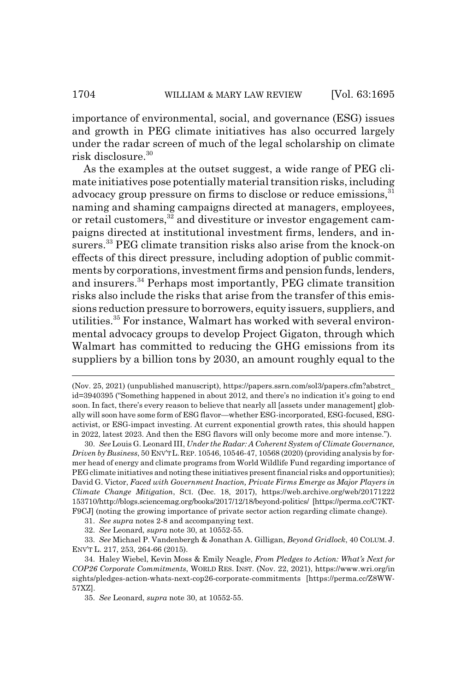importance of environmental, social, and governance (ESG) issues and growth in PEG climate initiatives has also occurred largely under the radar screen of much of the legal scholarship on climate risk disclosure.30

As the examples at the outset suggest, a wide range of PEG climate initiatives pose potentially material transition risks, including advocacy group pressure on firms to disclose or reduce emissions,<sup>31</sup> naming and shaming campaigns directed at managers, employees, or retail customers,<sup>32</sup> and divestiture or investor engagement campaigns directed at institutional investment firms, lenders, and insurers.<sup>33</sup> PEG climate transition risks also arise from the knock-on effects of this direct pressure, including adoption of public commitments by corporations, investment firms and pension funds, lenders, and insurers.34 Perhaps most importantly, PEG climate transition risks also include the risks that arise from the transfer of this emissions reduction pressure to borrowers, equity issuers, suppliers, and utilities.35 For instance, Walmart has worked with several environmental advocacy groups to develop Project Gigaton, through which Walmart has committed to reducing the GHG emissions from its suppliers by a billion tons by 2030, an amount roughly equal to the

31. *See supra* notes 2-8 and accompanying text.

32. *See* Leonard, *supra* note 30, at 10552-55.

33. *See* Michael P. Vandenbergh & Jonathan A. Gilligan, *Beyond Gridlock*, 40 COLUM. J. ENV'T L. 217, 253, 264-66 (2015).

34. Haley Wiebel, Kevin Moss & Emily Neagle, *From Pledges to Action: What's Next for COP26 Corporate Commitments*, WORLD RES. INST. (Nov. 22, 2021), https://www.wri.org/in sights/pledges-action-whats-next-cop26-corporate-commitments [https://perma.cc/Z8WW-57XZ].

35. *See* Leonard, *supra* note 30, at 10552-55.

<sup>(</sup>Nov. 25, 2021) (unpublished manuscript), https://papers.ssrn.com/sol3/papers.cfm?abstrct\_ id=3940395 ("Something happened in about 2012, and there's no indication it's going to end soon. In fact, there's every reason to believe that nearly all [assets under management] globally will soon have some form of ESG flavor—whether ESG-incorporated, ESG-focused, ESGactivist, or ESG-impact investing. At current exponential growth rates, this should happen in 2022, latest 2023. And then the ESG flavors will only become more and more intense.").

<sup>30.</sup> *See* Louis G. Leonard III, *Under the Radar: A Coherent System of Climate Governance, Driven by Business*, 50 ENV'TL.REP. 10546, 10546-47, 10568 (2020) (providing analysis by former head of energy and climate programs from World Wildlife Fund regarding importance of PEG climate initiatives and noting these initiatives present financial risks and opportunities); David G. Victor, *Faced with Government Inaction, Private Firms Emerge as Major Players in Climate Change Mitigation*, SCI. (Dec. 18, 2017), https://web.archive.org/web/20171222 153710/http://blogs.sciencemag.org/books/2017/12/18/beyond-politics/ [https://perma.cc/C7KT-F9CJ] (noting the growing importance of private sector action regarding climate change).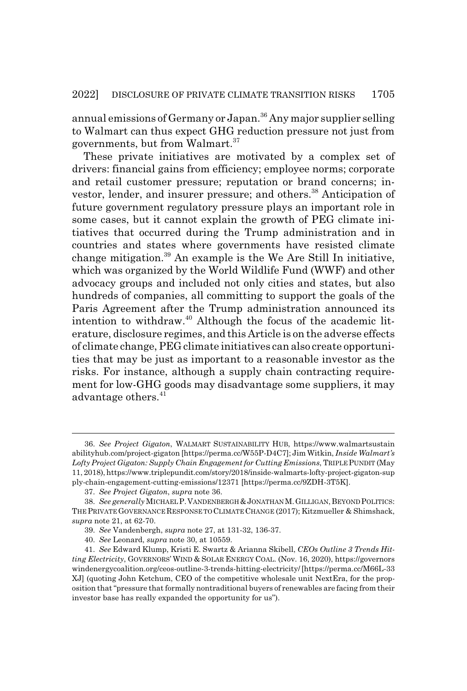annual emissions of Germany or Japan.<sup>36</sup> Any major supplier selling to Walmart can thus expect GHG reduction pressure not just from governments, but from Walmart.<sup>37</sup>

These private initiatives are motivated by a complex set of drivers: financial gains from efficiency; employee norms; corporate and retail customer pressure; reputation or brand concerns; investor, lender, and insurer pressure; and others.<sup>38</sup> Anticipation of future government regulatory pressure plays an important role in some cases, but it cannot explain the growth of PEG climate initiatives that occurred during the Trump administration and in countries and states where governments have resisted climate change mitigation.39 An example is the We Are Still In initiative, which was organized by the World Wildlife Fund (WWF) and other advocacy groups and included not only cities and states, but also hundreds of companies, all committing to support the goals of the Paris Agreement after the Trump administration announced its intention to withdraw.<sup>40</sup> Although the focus of the academic literature, disclosure regimes, and this Article is on the adverse effects of climate change, PEG climate initiatives can also create opportunities that may be just as important to a reasonable investor as the risks. For instance, although a supply chain contracting requirement for low-GHG goods may disadvantage some suppliers, it may advantage others.<sup>41</sup>

<sup>36.</sup> *See Project Gigaton*, WALMART SUSTAINABILITY HUB, https://www.walmartsustain abilityhub.com/project-gigaton [https://perma.cc/W55P-D4C7]; Jim Witkin, *Inside Walmart's Lofty Project Gigaton: Supply Chain Engagement for Cutting Emissions*, TRIPLE PUNDIT (May 11, 2018), https://www.triplepundit.com/story/2018/inside-walmarts-lofty-project-gigaton-sup ply-chain-engagement-cutting-emissions/12371 [https://perma.cc/9ZDH-3T5K].

<sup>37.</sup> *See Project Gigaton*, *supra* note 36.

<sup>38.</sup> *See generally* MICHAEL P.VANDENBERGH &JONATHAN M.GILLIGAN,BEYOND POLITICS: THE PRIVATE GOVERNANCE RESPONSE TO CLIMATE CHANGE (2017); Kitzmueller & Shimshack, *supra* note 21, at 62-70.

<sup>39.</sup> *See* Vandenbergh, *supra* note 27, at 131-32, 136-37.

<sup>40.</sup> *See* Leonard, *supra* note 30, at 10559.

<sup>41.</sup> *See* Edward Klump, Kristi E. Swartz & Arianna Skibell, *CEOs Outline 3 Trends Hitting Electricity*, GOVERNORS' WIND & SOLAR ENERGY COAL. (Nov. 16, 2020), https://governors windenergycoalition.org/ceos-outline-3-trends-hitting-electricity/ [https://perma.cc/M66L-33 XJ] (quoting John Ketchum, CEO of the competitive wholesale unit NextEra, for the proposition that "pressure that formally nontraditional buyers of renewables are facing from their investor base has really expanded the opportunity for us").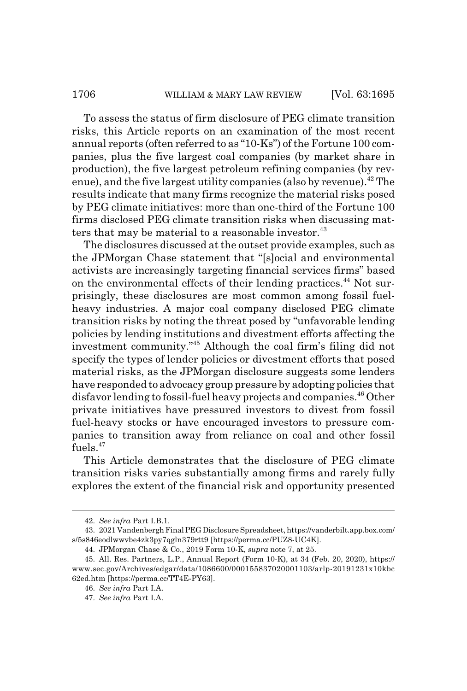To assess the status of firm disclosure of PEG climate transition risks, this Article reports on an examination of the most recent annual reports (often referred to as "10-Ks") of the Fortune 100 companies, plus the five largest coal companies (by market share in production), the five largest petroleum refining companies (by revenue), and the five largest utility companies (also by revenue).<sup>42</sup> The results indicate that many firms recognize the material risks posed by PEG climate initiatives: more than one-third of the Fortune 100 firms disclosed PEG climate transition risks when discussing matters that may be material to a reasonable investor.  $43$ 

The disclosures discussed at the outset provide examples, such as the JPMorgan Chase statement that "[s]ocial and environmental activists are increasingly targeting financial services firms" based on the environmental effects of their lending practices.<sup>44</sup> Not surprisingly, these disclosures are most common among fossil fuelheavy industries. A major coal company disclosed PEG climate transition risks by noting the threat posed by "unfavorable lending policies by lending institutions and divestment efforts affecting the investment community."45 Although the coal firm's filing did not specify the types of lender policies or divestment efforts that posed material risks, as the JPMorgan disclosure suggests some lenders have responded to advocacy group pressure by adopting policies that disfavor lending to fossil-fuel heavy projects and companies.<sup>46</sup> Other private initiatives have pressured investors to divest from fossil fuel-heavy stocks or have encouraged investors to pressure companies to transition away from reliance on coal and other fossil fuels.<sup>47</sup>

This Article demonstrates that the disclosure of PEG climate transition risks varies substantially among firms and rarely fully explores the extent of the financial risk and opportunity presented

<sup>42.</sup> *See infra* Part I.B.1.

<sup>43. 2021</sup> Vandenbergh Final PEG Disclosure Spreadsheet, https://vanderbilt.app.box.com/ s/5s846eodlwwvbe4zk3py7qgln379rtt9 [https://perma.cc/PUZ8-UC4K].

<sup>44.</sup> JPMorgan Chase & Co., 2019 Form 10-K, *supra* note 7, at 25.

<sup>45.</sup> All. Res. Partners, L.P., Annual Report (Form 10-K), at 34 (Feb. 20, 2020), https:// www.sec.gov/Archives/edgar/data/1086600/000155837020001103/arlp-20191231x10kbc 62ed.htm [https://perma.cc/TT4E-PY63].

<sup>46.</sup> *See infra* Part I.A.

<sup>47.</sup> *See infra* Part I.A.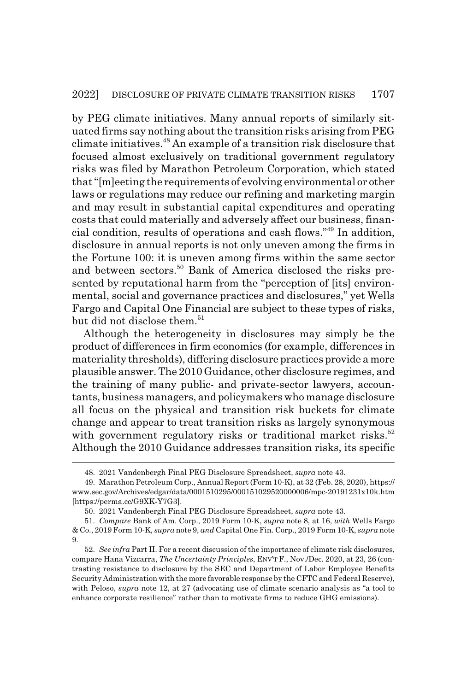by PEG climate initiatives. Many annual reports of similarly situated firms say nothing about the transition risks arising from PEG climate initiatives.48 An example of a transition risk disclosure that focused almost exclusively on traditional government regulatory risks was filed by Marathon Petroleum Corporation, which stated that "[m]eeting the requirements of evolving environmental or other laws or regulations may reduce our refining and marketing margin and may result in substantial capital expenditures and operating costs that could materially and adversely affect our business, financial condition, results of operations and cash flows."49 In addition, disclosure in annual reports is not only uneven among the firms in the Fortune 100: it is uneven among firms within the same sector and between sectors.<sup>50</sup> Bank of America disclosed the risks presented by reputational harm from the "perception of [its] environmental, social and governance practices and disclosures," yet Wells Fargo and Capital One Financial are subject to these types of risks, but did not disclose them.<sup>51</sup>

Although the heterogeneity in disclosures may simply be the product of differences in firm economics (for example, differences in materiality thresholds), differing disclosure practices provide a more plausible answer. The 2010 Guidance, other disclosure regimes, and the training of many public- and private-sector lawyers, accountants, business managers, and policymakers who manage disclosure all focus on the physical and transition risk buckets for climate change and appear to treat transition risks as largely synonymous with government regulatory risks or traditional market risks.<sup>52</sup> Although the 2010 Guidance addresses transition risks, its specific

<sup>48. 2021</sup> Vandenbergh Final PEG Disclosure Spreadsheet, *supra* note 43.

<sup>49.</sup> Marathon Petroleum Corp., Annual Report (Form 10-K), at 32 (Feb. 28, 2020), https:// www.sec.gov/Archives/edgar/data/0001510295/000151029520000006/mpc-20191231x10k.htm [https://perma.cc/G9XK-Y7G3].

<sup>50. 2021</sup> Vandenbergh Final PEG Disclosure Spreadsheet, *supra* note 43.

<sup>51.</sup> *Compare* Bank of Am. Corp., 2019 Form 10-K, *supra* note 8, at 16, *with* Wells Fargo & Co., 2019 Form 10-K, *supra* note 9, *and* Capital One Fin. Corp., 2019 Form 10-K, *supra* note 9.

<sup>52.</sup> *See infra* Part II. For a recent discussion of the importance of climate risk disclosures, compare Hana Vizcarra, *The Uncertainty Principles*, ENV'T F., Nov./Dec. 2020, at 23, 26 (contrasting resistance to disclosure by the SEC and Department of Labor Employee Benefits Security Administration with the more favorable response by the CFTC and Federal Reserve), with Peloso, *supra* note 12, at 27 (advocating use of climate scenario analysis as "a tool to enhance corporate resilience" rather than to motivate firms to reduce GHG emissions).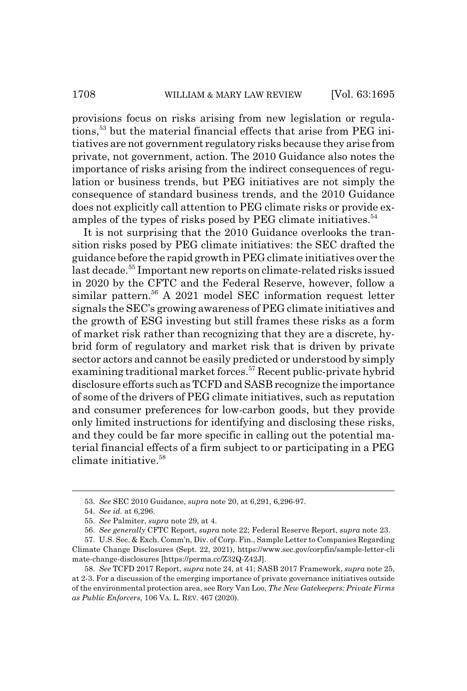provisions focus on risks arising from new legislation or regulations,<sup>53</sup> but the material financial effects that arise from PEG initiatives are not government regulatory risks because they arise from private, not government, action. The 2010 Guidance also notes the importance of risks arising from the indirect consequences of regulation or business trends, but PEG initiatives are not simply the consequence of standard business trends, and the 2010 Guidance does not explicitly call attention to PEG climate risks or provide examples of the types of risks posed by PEG climate initiatives.<sup>54</sup>

It is not surprising that the 2010 Guidance overlooks the transition risks posed by PEG climate initiatives: the SEC drafted the guidance before the rapid growth in PEG climate initiatives over the last decade.<sup>55</sup> Important new reports on climate-related risks issued in 2020 by the CFTC and the Federal Reserve, however, follow a similar pattern.<sup>56</sup> A 2021 model SEC information request letter signals the SEC's growing awareness of PEG climate initiatives and the growth of ESG investing but still frames these risks as a form of market risk rather than recognizing that they are a discrete, hybrid form of regulatory and market risk that is driven by private sector actors and cannot be easily predicted or understood by simply examining traditional market forces.<sup>57</sup> Recent public-private hybrid disclosure efforts such as TCFD and SASB recognize the importance of some of the drivers of PEG climate initiatives, such as reputation and consumer preferences for low-carbon goods, but they provide only limited instructions for identifying and disclosing these risks, and they could be far more specific in calling out the potential material financial effects of a firm subject to or participating in a PEG climate initiative.58

<sup>53.</sup> *See* SEC 2010 Guidance, *supra* note 20, at 6,291, 6,296-97.

<sup>54.</sup> *See id.* at 6,296.

<sup>55.</sup> *See* Palmiter, *supra* note 29, at 4.

<sup>56.</sup> *See generally* CFTC Report, *supra* note 22; Federal Reserve Report, *supra* note 23.

<sup>57.</sup> U.S. Sec. & Exch. Comm'n, Div. of Corp. Fin., Sample Letter to Companies Regarding Climate Change Disclosures (Sept. 22, 2021), https://www.sec.gov/corpfin/sample-letter-cli mate-change-disclosures [https://perma.cc/Z32Q-Z42J].

<sup>58.</sup> *See* TCFD 2017 Report, *supra* note 24, at 41; SASB 2017 Framework, *supra* note 25, at 2-3. For a discussion of the emerging importance of private governance initiatives outside of the environmental protection area, see Rory Van Loo, *The New Gatekeepers: Private Firms as Public Enforcers*, 106 VA. L. REV. 467 (2020).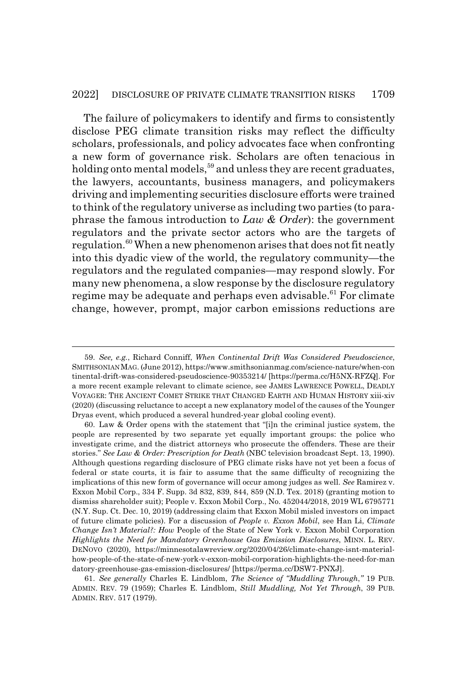#### 2022] DISCLOSURE OF PRIVATE CLIMATE TRANSITION RISKS 1709

The failure of policymakers to identify and firms to consistently disclose PEG climate transition risks may reflect the difficulty scholars, professionals, and policy advocates face when confronting a new form of governance risk. Scholars are often tenacious in holding onto mental models,  $59$  and unless they are recent graduates, the lawyers, accountants, business managers, and policymakers driving and implementing securities disclosure efforts were trained to think of the regulatory universe as including two parties (to paraphrase the famous introduction to *Law & Order*): the government regulators and the private sector actors who are the targets of regulation.<sup>60</sup> When a new phenomenon arises that does not fit neatly into this dyadic view of the world, the regulatory community—the regulators and the regulated companies—may respond slowly. For many new phenomena, a slow response by the disclosure regulatory regime may be adequate and perhaps even advisable.<sup>61</sup> For climate change, however, prompt, major carbon emissions reductions are

<sup>59.</sup> *See, e.g.*, Richard Conniff, *When Continental Drift Was Considered Pseudoscience*, SMITHSONIANMAG. (June 2012), https://www.smithsonianmag.com/science-nature/when-con tinental-drift-was-considered-pseudoscience-90353214/ [https://perma.cc/H5NX-RFZQ]. For a more recent example relevant to climate science, see JAMES LAWRENCE POWELL, DEADLY VOYAGER: THE ANCIENT COMET STRIKE THAT CHANGED EARTH AND HUMAN HISTORY xiii-xiv (2020) (discussing reluctance to accept a new explanatory model of the causes of the Younger Dryas event, which produced a several hundred-year global cooling event).

<sup>60.</sup> Law & Order opens with the statement that "[i]n the criminal justice system, the people are represented by two separate yet equally important groups: the police who investigate crime, and the district attorneys who prosecute the offenders. These are their stories." *See Law & Order: Prescription for Death* (NBC television broadcast Sept. 13, 1990). Although questions regarding disclosure of PEG climate risks have not yet been a focus of federal or state courts, it is fair to assume that the same difficulty of recognizing the implications of this new form of governance will occur among judges as well. *See* Ramirez v. Exxon Mobil Corp., 334 F. Supp. 3d 832, 839, 844, 859 (N.D. Tex. 2018) (granting motion to dismiss shareholder suit); People v. Exxon Mobil Corp., No. 452044/2018, 2019 WL 6795771 (N.Y. Sup. Ct. Dec. 10, 2019) (addressing claim that Exxon Mobil misled investors on impact of future climate policies). For a discussion of *People v. Exxon Mobil*, see Han Li, *Climate Change Isn't Material?: How* People of the State of New York v. Exxon Mobil Corporation *Highlights the Need for Mandatory Greenhouse Gas Emission Disclosures*, MINN. L. REV. DENOVO (2020), https://minnesotalawreview.org/2020/04/26/climate-change-isnt-materialhow-people-of-the-state-of-new-york-v-exxon-mobil-corporation-highlights-the-need-for-man datory-greenhouse-gas-emission-disclosures/ [https://perma.cc/DSW7-PNXJ].

<sup>61.</sup> *See generally* Charles E. Lindblom, *The Science of "Muddling Through*,*"* 19 PUB. ADMIN. REV. 79 (1959); Charles E. Lindblom, *Still Muddling, Not Yet Through*, 39 PUB. ADMIN. REV. 517 (1979).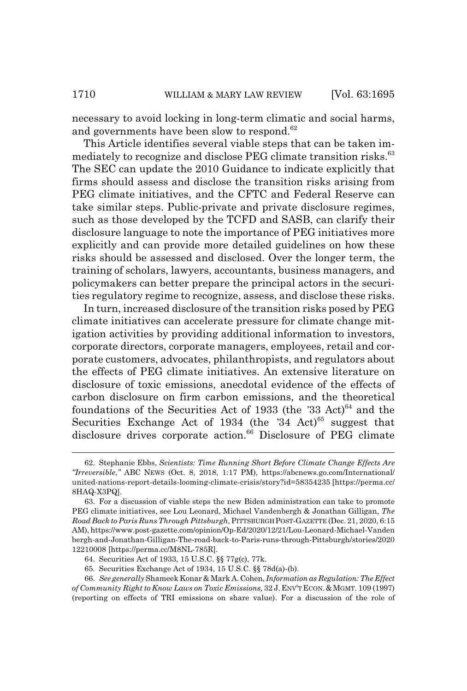necessary to avoid locking in long-term climatic and social harms, and governments have been slow to respond.<sup>62</sup>

This Article identifies several viable steps that can be taken immediately to recognize and disclose PEG climate transition risks.<sup>63</sup> The SEC can update the 2010 Guidance to indicate explicitly that firms should assess and disclose the transition risks arising from PEG climate initiatives, and the CFTC and Federal Reserve can take similar steps. Public-private and private disclosure regimes, such as those developed by the TCFD and SASB, can clarify their disclosure language to note the importance of PEG initiatives more explicitly and can provide more detailed guidelines on how these risks should be assessed and disclosed. Over the longer term, the training of scholars, lawyers, accountants, business managers, and policymakers can better prepare the principal actors in the securities regulatory regime to recognize, assess, and disclose these risks.

In turn, increased disclosure of the transition risks posed by PEG climate initiatives can accelerate pressure for climate change mitigation activities by providing additional information to investors, corporate directors, corporate managers, employees, retail and corporate customers, advocates, philanthropists, and regulators about the effects of PEG climate initiatives. An extensive literature on disclosure of toxic emissions, anecdotal evidence of the effects of carbon disclosure on firm carbon emissions, and the theoretical foundations of the Securities Act of 1933 (the '33 Act) $64$  and the Securities Exchange Act of 1934 (the  $34$  Act)<sup>65</sup> suggest that disclosure drives corporate action.<sup>66</sup> Disclosure of PEG climate

<sup>62.</sup> Stephanie Ebbs, *Scientists: Time Running Short Before Climate Change Effects Are "Irreversible*,*"* ABC NEWS (Oct. 8, 2018, 1:17 PM), https://abcnews.go.com/International/ united-nations-report-details-looming-climate-crisis/story?id=58354235 [https://perma.cc/ 8HAQ-X3PQ].

<sup>63.</sup> For a discussion of viable steps the new Biden administration can take to promote PEG climate initiatives, see Lou Leonard, Michael Vandenbergh & Jonathan Gilligan, *The Road Back to Paris Runs Through Pittsburgh*, PITTSBURGH POST-GAZETTE (Dec. 21, 2020, 6:15 AM), https://www.post-gazette.com/opinion/Op-Ed/2020/12/21/Lou-Leonard-Michael-Vanden bergh-and-Jonathan-Gilligan-The-road-back-to-Paris-runs-through-Pittsburgh/stories/2020 12210008 [https://perma.cc/M8NL-785R].

<sup>64.</sup> Securities Act of 1933, 15 U.S.C. §§ 77g(c), 77k.

<sup>65.</sup> Securities Exchange Act of 1934, 15 U.S.C. §§ 78d(a)-(b).

<sup>66.</sup> *See generally* Shameek Konar & Mark A. Cohen, *Information as Regulation: The Effect of Community Right to Know Laws on Toxic Emissions,* 32 J.ENV'TECON.&MGMT. 109 (1997) (reporting on effects of TRI emissions on share value). For a discussion of the role of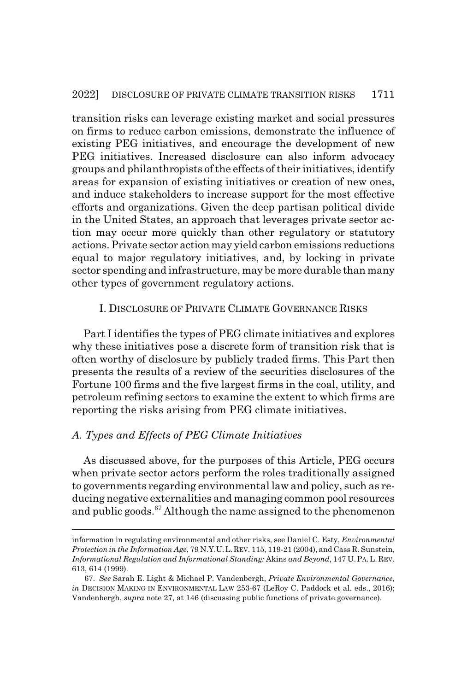transition risks can leverage existing market and social pressures on firms to reduce carbon emissions, demonstrate the influence of existing PEG initiatives, and encourage the development of new PEG initiatives. Increased disclosure can also inform advocacy groups and philanthropists of the effects of their initiatives, identify areas for expansion of existing initiatives or creation of new ones, and induce stakeholders to increase support for the most effective efforts and organizations. Given the deep partisan political divide in the United States, an approach that leverages private sector action may occur more quickly than other regulatory or statutory actions. Private sector action may yield carbon emissions reductions equal to major regulatory initiatives, and, by locking in private sector spending and infrastructure, may be more durable than many other types of government regulatory actions.

## I. DISCLOSURE OF PRIVATE CLIMATE GOVERNANCE RISKS

Part I identifies the types of PEG climate initiatives and explores why these initiatives pose a discrete form of transition risk that is often worthy of disclosure by publicly traded firms. This Part then presents the results of a review of the securities disclosures of the Fortune 100 firms and the five largest firms in the coal, utility, and petroleum refining sectors to examine the extent to which firms are reporting the risks arising from PEG climate initiatives.

## *A. Types and Effects of PEG Climate Initiatives*

As discussed above, for the purposes of this Article, PEG occurs when private sector actors perform the roles traditionally assigned to governments regarding environmental law and policy, such as reducing negative externalities and managing common pool resources and public goods.<sup>67</sup> Although the name assigned to the phenomenon

information in regulating environmental and other risks, see Daniel C. Esty, *Environmental Protection in the Information Age*, 79 N.Y.U.L.REV. 115, 119-21 (2004), and Cass R. Sunstein, *Informational Regulation and Informational Standing:* Akins *and Beyond*, 147 U.PA. L. REV. 613, 614 (1999).

<sup>67.</sup> *See* Sarah E. Light & Michael P. Vandenbergh, *Private Environmental Governance*, *in* DECISION MAKING IN ENVIRONMENTAL LAW 253-67 (LeRoy C. Paddock et al. eds., 2016); Vandenbergh, *supra* note 27, at 146 (discussing public functions of private governance).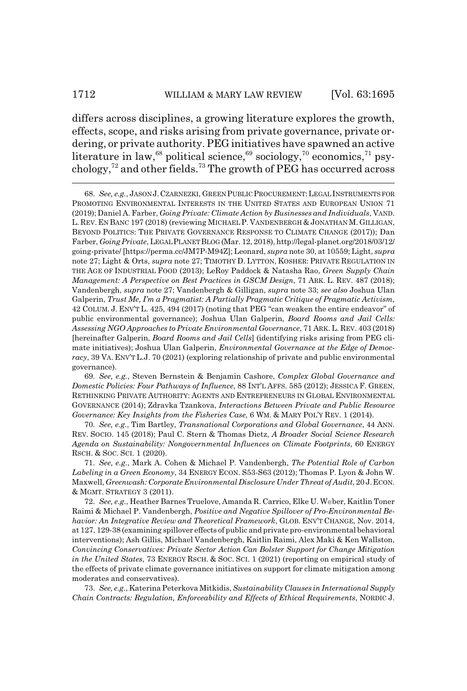differs across disciplines, a growing literature explores the growth, effects, scope, and risks arising from private governance, private ordering, or private authority. PEG initiatives have spawned an active literature in law,<sup>68</sup> political science,<sup>69</sup> sociology,<sup>70</sup> economics,<sup>71</sup> psychology,72 and other fields.73 The growth of PEG has occurred across

68. *See, e.g.*, JASON J.CZARNEZKI, GREEN PUBLIC PROCUREMENT:LEGAL INSTRUMENTS FOR PROMOTING ENVIRONMENTAL INTERESTS IN THE UNITED STATES AND EUROPEAN UNION 71 (2019); Daniel A. Farber, *Going Private: Climate Action by Businesses and Individuals*, VAND. L. REV. EN BANC 197 (2018) (reviewing MICHAEL P. VANDENBERGH & JONATHAN M. GILLIGAN, BEYOND POLITICS: THE PRIVATE GOVERNANCE RESPONSE TO CLIMATE CHANGE (2017)); Dan Farber, *Going Private*, LEGAL PLANET BLOG (Mar. 12, 2018), http://legal-planet.org/2018/03/12/ going-private/ [https://perma.cc/JM7P-M94Z]; Leonard, *supra* note 30, at 10559; Light, *supra* note 27; Light & Orts, *supra* note 27; TIMOTHY D. LYTTON, KOSHER: PRIVATE REGULATION IN THE AGE OF INDUSTRIAL FOOD (2013); LeRoy Paddock & Natasha Rao, *Green Supply Chain Management: A Perspective on Best Practices in GSCM Design*, 71 ARK. L. REV. 487 (2018); Vandenbergh, *supra* note 27; Vandenbergh & Gilligan, *supra* note 33; *see also* Joshua Ulan Galperin, *Trust Me, I'm a Pragmatist: A Partially Pragmatic Critique of Pragmatic Activism*, 42 COLUM. J. ENV'T L. 425, 494 (2017) (noting that PEG "can weaken the entire endeavor" of public environmental governance); Joshua Ulan Galperin, *Board Rooms and Jail Cells: Assessing NGO Approaches to Private Environmental Governance*, 71 ARK. L. REV. 403 (2018) [hereinafter Galperin, *Board Rooms and Jail Cells*] (identifying risks arising from PEG climate initiatives); Joshua Ulan Galperin, *Environmental Governance at the Edge of Democracy*, 39 VA. ENV'T L.J. 70 (2021) (exploring relationship of private and public environmental governance).

69. *See, e.g.*, Steven Bernstein & Benjamin Cashore, *Complex Global Governance and Domestic Policies: Four Pathways of Influence*, 88 INT'L AFFS. 585 (2012); JESSICA F. GREEN, RETHINKING PRIVATE AUTHORITY: AGENTS AND ENTREPRENEURS IN GLOBAL ENVIRONMENTAL GOVERNANCE (2014); Zdravka Tzankova, *Interactions Between Private and Public Resource Governance: Key Insights from the Fisheries Case, 6 WM. & MARY POL'Y REV. 1 (2014).* 

70. *See, e.g.*, Tim Bartley, *Transnational Corporations and Global Governance*, 44 ANN. REV. SOCIO. 145 (2018); Paul C. Stern & Thomas Dietz, *A Broader Social Science Research Agenda on Sustainability: Nongovernmental Influences on Climate Footprints*, 60 ENERGY RSCH.&SOC. SCI. 1 (2020).

71. *See, e.g.*, Mark A. Cohen & Michael P. Vandenbergh, *The Potential Role of Carbon Labeling in a Green Economy*, 34 ENERGY ECON. S53-S63 (2012); Thomas P. Lyon & John W. Maxwell, *Greenwash: Corporate Environmental Disclosure Under Threat of Audit*, 20 J.ECON. & MGMT. STRATEGY 3 (2011).

72. *See, e.g.*, Heather Barnes Truelove, Amanda R. Carrico, Elke U. Weber, Kaitlin Toner Raimi & Michael P. Vandenbergh, *Positive and Negative Spillover of Pro-Environmental Behavior: An Integrative Review and Theoretical Framework*, GLOB. ENV'T CHANGE, Nov. 2014, at 127, 129-38 (examining spillover effects of public and private pro-environmental behavioral interventions); Ash Gillis, Michael Vandenbergh, Kaitlin Raimi, Alex Maki & Ken Wallston, *Convincing Conservatives: Private Sector Action Can Bolster Support for Change Mitigation in the United States*, 73 ENERGY RSCH. & SOC. SCI. 1 (2021) (reporting on empirical study of the effects of private climate governance initiatives on support for climate mitigation among moderates and conservatives).

73. *See, e.g.*, Katerina Peterkova Mitkidis, *Sustainability Clauses in International Supply Chain Contracts: Regulation, Enforceability and Effects of Ethical Requirements*, NORDIC J.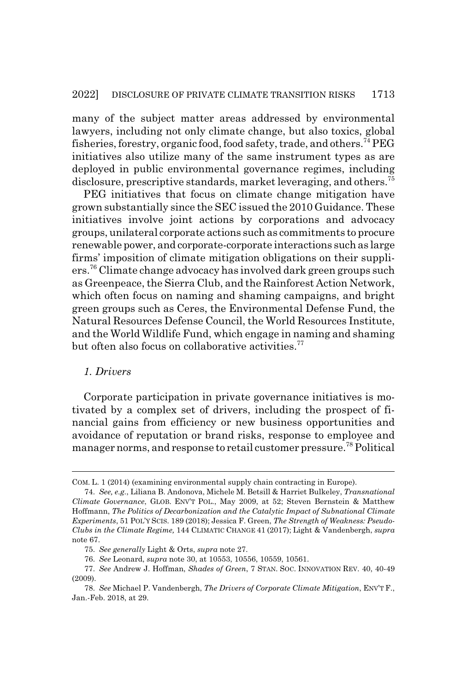many of the subject matter areas addressed by environmental lawyers, including not only climate change, but also toxics, global fisheries, forestry, organic food, food safety, trade, and others.74 PEG initiatives also utilize many of the same instrument types as are deployed in public environmental governance regimes, including disclosure, prescriptive standards, market leveraging, and others.<sup>75</sup>

PEG initiatives that focus on climate change mitigation have grown substantially since the SEC issued the 2010 Guidance. These initiatives involve joint actions by corporations and advocacy groups, unilateral corporate actions such as commitments to procure renewable power, and corporate-corporate interactions such as large firms' imposition of climate mitigation obligations on their suppliers.76 Climate change advocacy has involved dark green groups such as Greenpeace, the Sierra Club, and the Rainforest Action Network, which often focus on naming and shaming campaigns, and bright green groups such as Ceres, the Environmental Defense Fund, the Natural Resources Defense Council, the World Resources Institute, and the World Wildlife Fund, which engage in naming and shaming but often also focus on collaborative activities.<sup>77</sup>

#### *1. Drivers*

Corporate participation in private governance initiatives is motivated by a complex set of drivers, including the prospect of financial gains from efficiency or new business opportunities and avoidance of reputation or brand risks, response to employee and manager norms, and response to retail customer pressure.78 Political

COM. L. 1 (2014) (examining environmental supply chain contracting in Europe).

<sup>74.</sup> *See, e.g.*, Liliana B. Andonova, Michele M. Betsill & Harriet Bulkeley, *Transnational Climate Governance*, GLOB. ENV'T POL., May 2009, at 52; Steven Bernstein & Matthew Hoffmann, *The Politics of Decarbonization and the Catalytic Impact of Subnational Climate Experiments*, 51 POL'Y SCIS. 189 (2018); Jessica F. Green, *The Strength of Weakness: Pseudo-Clubs in the Climate Regime,* 144 CLIMATIC CHANGE 41 (2017); Light & Vandenbergh, *supra* note 67.

<sup>75.</sup> *See generally* Light & Orts, *supra* note 27.

<sup>76.</sup> *See* Leonard, *supra* note 30, at 10553, 10556, 10559, 10561.

<sup>77.</sup> *See* Andrew J. Hoffman, *Shades of Green*, 7 STAN. SOC. INNOVATION REV. 40, 40-49 (2009).

<sup>78.</sup> *See* Michael P. Vandenbergh, *The Drivers of Corporate Climate Mitigation*, ENV'T F., Jan.-Feb. 2018, at 29.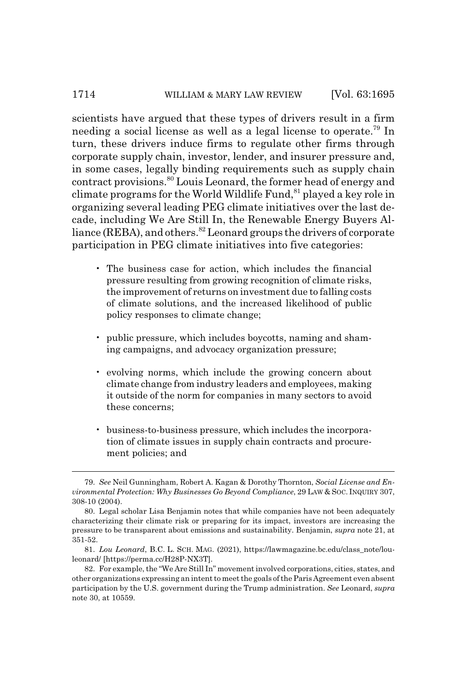#### 1714 WILLIAM & MARY LAW REVIEW [Vol. 63:1695]

scientists have argued that these types of drivers result in a firm needing a social license as well as a legal license to operate.79 In turn, these drivers induce firms to regulate other firms through corporate supply chain, investor, lender, and insurer pressure and, in some cases, legally binding requirements such as supply chain contract provisions.<sup>80</sup> Louis Leonard, the former head of energy and climate programs for the World Wildlife Fund,  $81$  played a key role in organizing several leading PEG climate initiatives over the last decade, including We Are Still In, the Renewable Energy Buyers Alliance (REBA), and others.  $82$  Leonard groups the drivers of corporate participation in PEG climate initiatives into five categories:

- The business case for action, which includes the financial pressure resulting from growing recognition of climate risks, the improvement of returns on investment due to falling costs of climate solutions, and the increased likelihood of public policy responses to climate change;
- public pressure, which includes boycotts, naming and shaming campaigns, and advocacy organization pressure;
- evolving norms, which include the growing concern about climate change from industry leaders and employees, making it outside of the norm for companies in many sectors to avoid these concerns;
- business-to-business pressure, which includes the incorporation of climate issues in supply chain contracts and procurement policies; and

<sup>79.</sup> *See* Neil Gunningham, Robert A. Kagan & Dorothy Thornton, *Social License and Environmental Protection: Why Businesses Go Beyond Compliance*, 29 LAW & SOC. INQUIRY 307, 308-10 (2004).

<sup>80.</sup> Legal scholar Lisa Benjamin notes that while companies have not been adequately characterizing their climate risk or preparing for its impact, investors are increasing the pressure to be transparent about emissions and sustainability. Benjamin, *supra* note 21, at 351-52.

<sup>81.</sup> *Lou Leonard*, B.C. L. SCH. MAG. (2021), https://lawmagazine.bc.edu/class\_note/louleonard/ [https://perma.cc/H28P-NX3T].

<sup>82.</sup> For example, the "We Are Still In" movement involved corporations, cities, states, and other organizations expressing an intent to meet the goals of the Paris Agreement even absent participation by the U.S. government during the Trump administration. *See* Leonard, *supra* note 30, at 10559.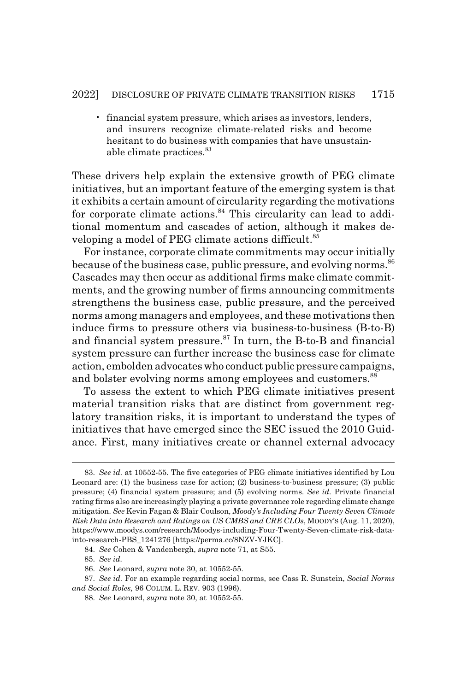• financial system pressure, which arises as investors, lenders, and insurers recognize climate-related risks and become hesitant to do business with companies that have unsustainable climate practices.<sup>83</sup>

These drivers help explain the extensive growth of PEG climate initiatives, but an important feature of the emerging system is that it exhibits a certain amount of circularity regarding the motivations for corporate climate actions.<sup>84</sup> This circularity can lead to additional momentum and cascades of action, although it makes developing a model of PEG climate actions difficult.<sup>85</sup>

For instance, corporate climate commitments may occur initially because of the business case, public pressure, and evolving norms.<sup>86</sup> Cascades may then occur as additional firms make climate commitments, and the growing number of firms announcing commitments strengthens the business case, public pressure, and the perceived norms among managers and employees, and these motivations then induce firms to pressure others via business-to-business (B-to-B) and financial system pressure.<sup>87</sup> In turn, the B-to-B and financial system pressure can further increase the business case for climate action, embolden advocates who conduct public pressure campaigns, and bolster evolving norms among employees and customers.<sup>88</sup>

To assess the extent to which PEG climate initiatives present material transition risks that are distinct from government reglatory transition risks, it is important to understand the types of initiatives that have emerged since the SEC issued the 2010 Guidance. First, many initiatives create or channel external advocacy

85. *See id.*

<sup>83.</sup> *See id.* at 10552-55. The five categories of PEG climate initiatives identified by Lou Leonard are: (1) the business case for action; (2) business-to-business pressure; (3) public pressure; (4) financial system pressure; and (5) evolving norms. *See id.* Private financial rating firms also are increasingly playing a private governance role regarding climate change mitigation. *See* Kevin Fagan & Blair Coulson, *Moody's Including Four Twenty Seven Climate Risk Data into Research and Ratings on US CMBS and CRE CLOs*, MOODY'S (Aug. 11, 2020), https://www.moodys.com/research/Moodys-including-Four-Twenty-Seven-climate-risk-datainto-research-PBS\_1241276 [https://perma.cc/8NZV-YJKC].

<sup>84.</sup> *See* Cohen & Vandenbergh, *supra* note 71, at S55.

<sup>86.</sup> *See* Leonard, *supra* note 30, at 10552-55.

<sup>87.</sup> *See id.* For an example regarding social norms, see Cass R. Sunstein, *Social Norms and Social Roles,* 96 COLUM. L. REV. 903 (1996).

<sup>88.</sup> *See* Leonard, *supra* note 30, at 10552-55.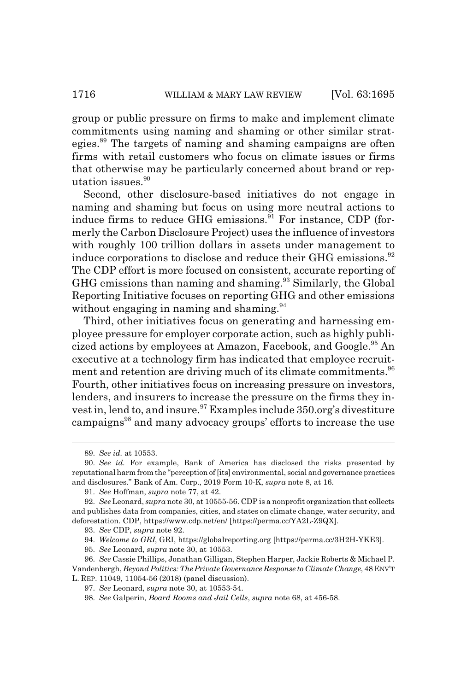group or public pressure on firms to make and implement climate commitments using naming and shaming or other similar strategies.<sup>89</sup> The targets of naming and shaming campaigns are often firms with retail customers who focus on climate issues or firms that otherwise may be particularly concerned about brand or reputation issues.<sup>90</sup>

Second, other disclosure-based initiatives do not engage in naming and shaming but focus on using more neutral actions to induce firms to reduce GHG emissions. $91$  For instance, CDP (formerly the Carbon Disclosure Project) uses the influence of investors with roughly 100 trillion dollars in assets under management to induce corporations to disclose and reduce their GHG emissions.<sup>92</sup> The CDP effort is more focused on consistent, accurate reporting of GHG emissions than naming and shaming.93 Similarly, the Global Reporting Initiative focuses on reporting GHG and other emissions without engaging in naming and shaming. $94$ 

Third, other initiatives focus on generating and harnessing employee pressure for employer corporate action, such as highly publicized actions by employees at Amazon, Facebook, and Google.<sup>95</sup> An executive at a technology firm has indicated that employee recruitment and retention are driving much of its climate commitments.<sup>96</sup> Fourth, other initiatives focus on increasing pressure on investors, lenders, and insurers to increase the pressure on the firms they invest in, lend to, and insure.<sup>97</sup> Examples include 350.org's divestiture campaigns<sup>98</sup> and many advocacy groups' efforts to increase the use

<sup>89.</sup> *See id.* at 10553.

<sup>90.</sup> *See id.* For example, Bank of America has disclosed the risks presented by reputational harm from the "perception of [its] environmental, social and governance practices and disclosures." Bank of Am. Corp., 2019 Form 10-K, *supra* note 8, at 16.

<sup>91.</sup> *See* Hoffman, *supra* note 77, at 42.

<sup>92.</sup> *See* Leonard, *supra* note 30, at 10555-56. CDP is a nonprofit organization that collects and publishes data from companies, cities, and states on climate change, water security, and deforestation. CDP, https://www.cdp.net/en/ [https://perma.cc/YA2L-Z9QX].

<sup>93.</sup> *See* CDP, *supra* note 92.

<sup>94.</sup> *Welcome to GRI*, GRI, https://globalreporting.org [https://perma.cc/3H2H-YKE3].

<sup>95.</sup> *See* Leonard, *supra* note 30, at 10553.

<sup>96.</sup> *See* Cassie Phillips, Jonathan Gilligan, Stephen Harper, Jackie Roberts & Michael P. Vandenbergh, *Beyond Politics: The Private Governance Response to Climate Change*, 48 ENV'T L. REP. 11049, 11054-56 (2018) (panel discussion).

<sup>97.</sup> *See* Leonard, *supra* note 30, at 10553-54.

<sup>98.</sup> *See* Galperin, *Board Rooms and Jail Cells*, *supra* note 68, at 456-58.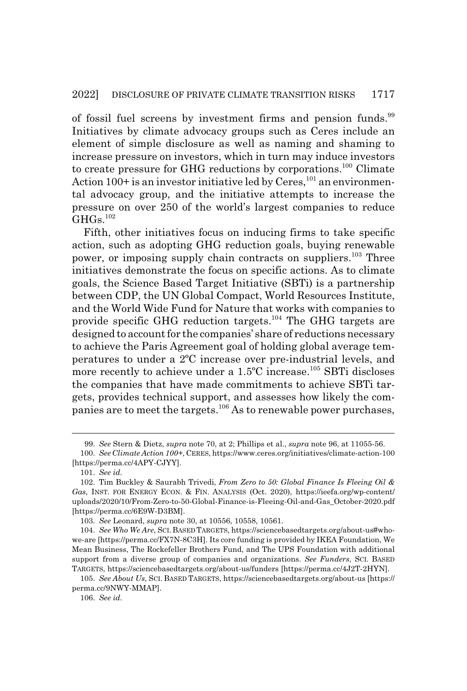of fossil fuel screens by investment firms and pension funds.<sup>99</sup> Initiatives by climate advocacy groups such as Ceres include an element of simple disclosure as well as naming and shaming to increase pressure on investors, which in turn may induce investors to create pressure for GHG reductions by corporations.<sup>100</sup> Climate Action  $100+$  is an investor initiative led by Ceres,  $^{101}$  an environmental advocacy group, and the initiative attempts to increase the pressure on over 250 of the world's largest companies to reduce  $GHGs.<sup>102</sup>$ 

Fifth, other initiatives focus on inducing firms to take specific action, such as adopting GHG reduction goals, buying renewable power, or imposing supply chain contracts on suppliers.<sup>103</sup> Three initiatives demonstrate the focus on specific actions. As to climate goals, the Science Based Target Initiative (SBTi) is a partnership between CDP, the UN Global Compact, World Resources Institute, and the World Wide Fund for Nature that works with companies to provide specific GHG reduction targets.104 The GHG targets are designed to account for the companies' share of reductions necessary to achieve the Paris Agreement goal of holding global average temperatures to under a 2ºC increase over pre-industrial levels, and more recently to achieve under a  $1.5^{\circ}$ C increase.<sup>105</sup> SBTi discloses the companies that have made commitments to achieve SBTi targets, provides technical support, and assesses how likely the companies are to meet the targets.106 As to renewable power purchases,

<sup>99.</sup> *See* Stern & Dietz, *supra* note 70, at 2; Phillips et al., *supra* note 96, at 11055-56.

<sup>100.</sup> *See Climate Action 100+*, CERES, https://www.ceres.org/initiatives/climate-action-100 [https://perma.cc/4APY-CJYY].

<sup>101.</sup> *See id.*

<sup>102.</sup> Tim Buckley & Saurabh Trivedi, *From Zero to 50: Global Finance Is Fleeing Oil & Gas*, INST. FOR ENERGY ECON.&FIN. ANALYSIS (Oct. 2020), https://ieefa.org/wp-content/ uploads/2020/10/From-Zero-to-50-Global-Finance-is-Fleeing-Oil-and-Gas\_October-2020.pdf [https://perma.cc/6E9W-D3BM].

<sup>103.</sup> *See* Leonard, *supra* note 30, at 10556, 10558, 10561.

<sup>104.</sup> *See Who We Are*, SCI.BASED TARGETS, https://sciencebasedtargets.org/about-us#whowe-are [https://perma.cc/FX7N-8C3H]. Its core funding is provided by IKEA Foundation, We Mean Business, The Rockefeller Brothers Fund, and The UPS Foundation with additional support from a diverse group of companies and organizations. *See Funders*, SCI. BASED TARGETS, https://sciencebasedtargets.org/about-us/funders [https://perma.cc/4J2T-2HYN].

<sup>105.</sup> *See About Us*, SCI. BASED TARGETS, https://sciencebasedtargets.org/about-us [https:// perma.cc/9NWY-MMAP].

<sup>106.</sup> *See id.*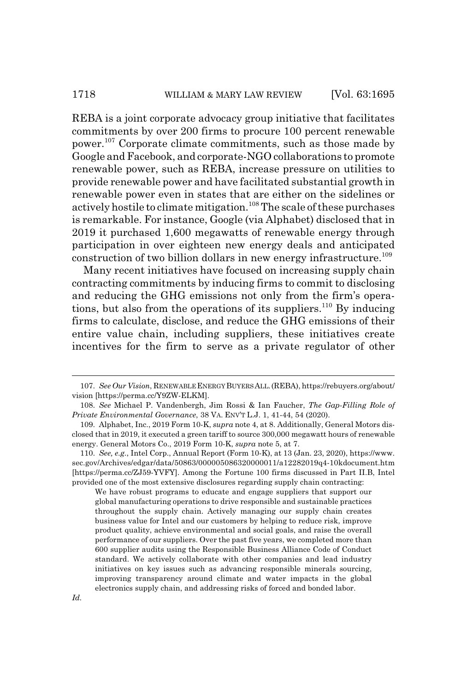REBA is a joint corporate advocacy group initiative that facilitates commitments by over 200 firms to procure 100 percent renewable power.107 Corporate climate commitments, such as those made by Google and Facebook, and corporate-NGO collaborations to promote renewable power, such as REBA, increase pressure on utilities to provide renewable power and have facilitated substantial growth in renewable power even in states that are either on the sidelines or actively hostile to climate mitigation.<sup>108</sup> The scale of these purchases is remarkable. For instance, Google (via Alphabet) disclosed that in 2019 it purchased 1,600 megawatts of renewable energy through participation in over eighteen new energy deals and anticipated construction of two billion dollars in new energy infrastructure.<sup>109</sup>

Many recent initiatives have focused on increasing supply chain contracting commitments by inducing firms to commit to disclosing and reducing the GHG emissions not only from the firm's operations, but also from the operations of its suppliers.<sup>110</sup> By inducing firms to calculate, disclose, and reduce the GHG emissions of their entire value chain, including suppliers, these initiatives create incentives for the firm to serve as a private regulator of other

We have robust programs to educate and engage suppliers that support our global manufacturing operations to drive responsible and sustainable practices throughout the supply chain. Actively managing our supply chain creates business value for Intel and our customers by helping to reduce risk, improve product quality, achieve environmental and social goals, and raise the overall performance of our suppliers. Over the past five years, we completed more than 600 supplier audits using the Responsible Business Alliance Code of Conduct standard. We actively collaborate with other companies and lead industry initiatives on key issues such as advancing responsible minerals sourcing, improving transparency around climate and water impacts in the global electronics supply chain, and addressing risks of forced and bonded labor.

<sup>107.</sup> *See Our Vision*, RENEWABLE ENERGY BUYERS ALL.(REBA), https://rebuyers.org/about/ vision [https://perma.cc/Y9ZW-ELKM].

<sup>108.</sup> *See* Michael P. Vandenbergh, Jim Rossi & Ian Faucher, *The Gap-Filling Role of Private Environmental Governance*, 38 VA. ENV'T L.J. 1, 41-44, 54 (2020).

<sup>109.</sup> Alphabet, Inc., 2019 Form 10-K, *supra* note 4, at 8. Additionally, General Motors disclosed that in 2019, it executed a green tariff to source 300,000 megawatt hours of renewable energy. General Motors Co., 2019 Form 10-K, *supra* note 5, at 7.

<sup>110.</sup> *See, e.g.*, Intel Corp., Annual Report (Form 10-K), at 13 (Jan. 23, 2020), https://www. sec.gov/Archives/edgar/data/50863/000005086320000011/a12282019q4-10kdocument.htm [https://perma.cc/ZJ59-YVFY]. Among the Fortune 100 firms discussed in Part II.B, Intel provided one of the most extensive disclosures regarding supply chain contracting: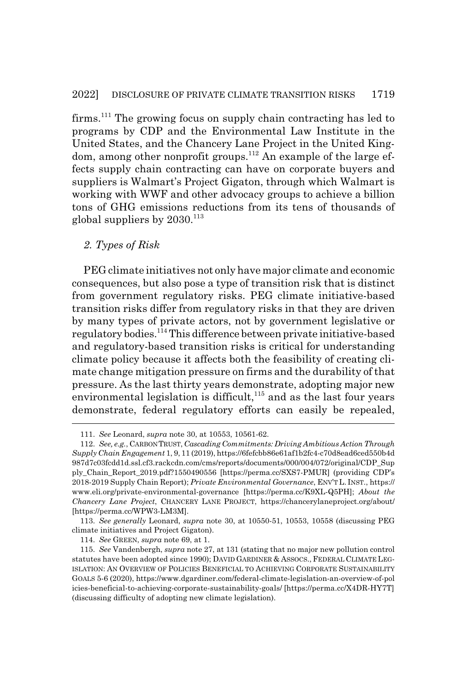firms.<sup>111</sup> The growing focus on supply chain contracting has led to programs by CDP and the Environmental Law Institute in the United States, and the Chancery Lane Project in the United Kingdom, among other nonprofit groups.<sup>112</sup> An example of the large effects supply chain contracting can have on corporate buyers and suppliers is Walmart's Project Gigaton, through which Walmart is working with WWF and other advocacy groups to achieve a billion tons of GHG emissions reductions from its tens of thousands of global suppliers by  $2030$ .<sup>113</sup>

#### *2. Types of Risk*

PEG climate initiatives not only have major climate and economic consequences, but also pose a type of transition risk that is distinct from government regulatory risks. PEG climate initiative-based transition risks differ from regulatory risks in that they are driven by many types of private actors, not by government legislative or regulatory bodies.114 This difference between private initiative-based and regulatory-based transition risks is critical for understanding climate policy because it affects both the feasibility of creating climate change mitigation pressure on firms and the durability of that pressure. As the last thirty years demonstrate, adopting major new environmental legislation is difficult, $115$  and as the last four years demonstrate, federal regulatory efforts can easily be repealed,

113. *See generally* Leonard, *supra* note 30, at 10550-51, 10553, 10558 (discussing PEG climate initiatives and Project Gigaton).

114. *See* GREEN, *supra* note 69, at 1.

<sup>111.</sup> *See* Leonard, *supra* note 30, at 10553, 10561-62.

<sup>112.</sup> *See, e.g.*, CARBON TRUST, *Cascading Commitments: Driving Ambitious Action Through Supply Chain Engagement* 1, 9, 11 (2019), https://6fefcbb86e61af1b2fc4-c70d8ead6ced550b4d 987d7c03fcdd1d.ssl.cf3.rackcdn.com/cms/reports/documents/000/004/072/original/CDP\_Sup ply\_Chain\_Report\_2019.pdf?1550490556 [https://perma.cc/SXS7-PMUR] (providing CDP's 2018-2019 Supply Chain Report); *Private Environmental Governance*, ENV'T L. INST., https:// www.eli.org/private-environmental-governance [https://perma.cc/K9XL-Q5PH]; *About the Chancery Lane Project*, CHANCERY LANE PROJECT, https://chancerylaneproject.org/about/ [https://perma.cc/WPW3-LM3M].

<sup>115.</sup> *See* Vandenbergh, *supra* note 27, at 131 (stating that no major new pollution control statutes have been adopted since 1990); DAVID GARDINER & ASSOCS., FEDERAL CLIMATE LEG-ISLATION: AN OVERVIEW OF POLICIES BENEFICIAL TO ACHIEVING CORPORATE SUSTAINABILITY GOALS 5-6 (2020), https://www.dgardiner.com/federal-climate-legislation-an-overview-of-pol icies-beneficial-to-achieving-corporate-sustainability-goals/ [https://perma.cc/X4DR-HY7T] (discussing difficulty of adopting new climate legislation).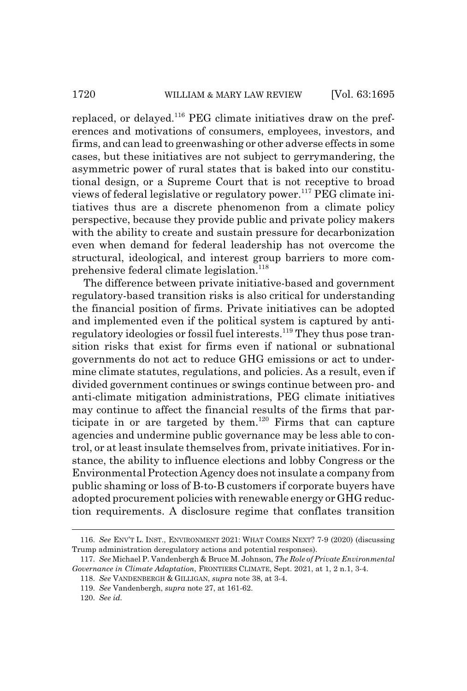replaced, or delayed.<sup>116</sup> PEG climate initiatives draw on the preferences and motivations of consumers, employees, investors, and firms, and can lead to greenwashing or other adverse effects in some cases, but these initiatives are not subject to gerrymandering, the asymmetric power of rural states that is baked into our constitutional design, or a Supreme Court that is not receptive to broad views of federal legislative or regulatory power.117 PEG climate initiatives thus are a discrete phenomenon from a climate policy perspective, because they provide public and private policy makers with the ability to create and sustain pressure for decarbonization even when demand for federal leadership has not overcome the structural, ideological, and interest group barriers to more comprehensive federal climate legislation.<sup>118</sup>

The difference between private initiative-based and government regulatory-based transition risks is also critical for understanding the financial position of firms. Private initiatives can be adopted and implemented even if the political system is captured by antiregulatory ideologies or fossil fuel interests.<sup>119</sup> They thus pose transition risks that exist for firms even if national or subnational governments do not act to reduce GHG emissions or act to undermine climate statutes, regulations, and policies. As a result, even if divided government continues or swings continue between pro- and anti-climate mitigation administrations, PEG climate initiatives may continue to affect the financial results of the firms that participate in or are targeted by them.<sup>120</sup> Firms that can capture agencies and undermine public governance may be less able to control, or at least insulate themselves from, private initiatives. For instance, the ability to influence elections and lobby Congress or the Environmental Protection Agency does not insulate a company from public shaming or loss of B-to-B customers if corporate buyers have adopted procurement policies with renewable energy or GHG reduction requirements. A disclosure regime that conflates transition

<sup>116.</sup> *See* ENV'T L. INST., ENVIRONMENT 2021: WHAT COMES NEXT? 7-9 (2020) (discussing Trump administration deregulatory actions and potential responses).

<sup>117.</sup> *See* Michael P. Vandenbergh & Bruce M. Johnson, *The Role of Private Environmental Governance in Climate Adaptation*, FRONTIERS CLIMATE, Sept. 2021, at 1, 2 n.1, 3-4.

<sup>118.</sup> *See* VANDENBERGH & GILLIGAN, *supra* note 38, at 3-4.

<sup>119.</sup> *See* Vandenbergh, *supra* note 27, at 161-62.

<sup>120.</sup> *See id.*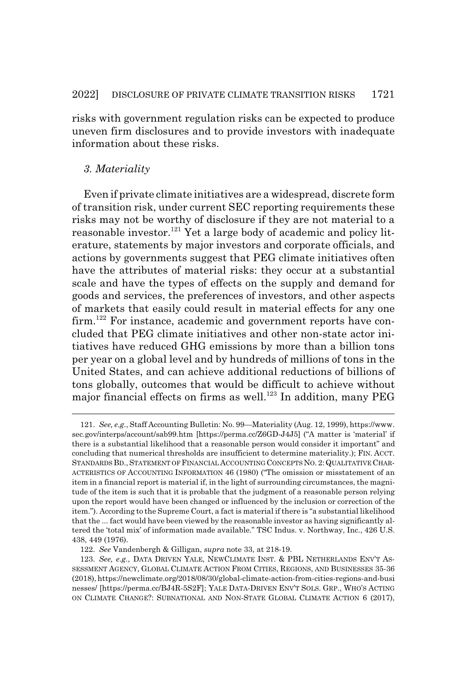risks with government regulation risks can be expected to produce uneven firm disclosures and to provide investors with inadequate information about these risks.

#### *3. Materiality*

Even if private climate initiatives are a widespread, discrete form of transition risk, under current SEC reporting requirements these risks may not be worthy of disclosure if they are not material to a reasonable investor.<sup>121</sup> Yet a large body of academic and policy literature, statements by major investors and corporate officials, and actions by governments suggest that PEG climate initiatives often have the attributes of material risks: they occur at a substantial scale and have the types of effects on the supply and demand for goods and services, the preferences of investors, and other aspects of markets that easily could result in material effects for any one firm.<sup>122</sup> For instance, academic and government reports have concluded that PEG climate initiatives and other non-state actor initiatives have reduced GHG emissions by more than a billion tons per year on a global level and by hundreds of millions of tons in the United States, and can achieve additional reductions of billions of tons globally, outcomes that would be difficult to achieve without major financial effects on firms as well.<sup>123</sup> In addition, many PEG

<sup>121.</sup> *See, e.g.*, Staff Accounting Bulletin: No. 99—Materiality (Aug. 12, 1999), https://www. sec.gov/interps/account/sab99.htm [https://perma.cc/Z6GD-J4J5] ("A matter is 'material' if there is a substantial likelihood that a reasonable person would consider it important" and concluding that numerical thresholds are insufficient to determine materiality.); FIN. ACCT. STANDARDS BD., STATEMENT OF FINANCIAL ACCOUNTING CONCEPTS NO. 2: QUALITATIVE CHAR-ACTERISTICS OF ACCOUNTING INFORMATION 46 (1980) ("The omission or misstatement of an item in a financial report is material if, in the light of surrounding circumstances, the magnitude of the item is such that it is probable that the judgment of a reasonable person relying upon the report would have been changed or influenced by the inclusion or correction of the item."). According to the Supreme Court, a fact is material if there is "a substantial likelihood that the ... fact would have been viewed by the reasonable investor as having significantly altered the 'total mix' of information made available." TSC Indus. v. Northway, Inc., 426 U.S. 438, 449 (1976).

<sup>122.</sup> *See* Vandenbergh & Gilligan, *supra* note 33, at 218-19.

<sup>123.</sup> *See, e.g.*, DATA DRIVEN YALE, NEWCLIMATE INST. & PBL NETHERLANDS ENV'T AS-SESSMENT AGENCY, GLOBAL CLIMATE ACTION FROM CITIES, REGIONS, AND BUSINESSES 35-36 (2018), https://newclimate.org/2018/08/30/global-climate-action-from-cities-regions-and-busi nesses/ [https://perma.cc/BJ4R-5S2F]; YALE DATA-DRIVEN ENV'T SOLS. GRP., WHO'S ACTING ON CLIMATE CHANGE?: SUBNATIONAL AND NON-STATE GLOBAL CLIMATE ACTION 6 (2017),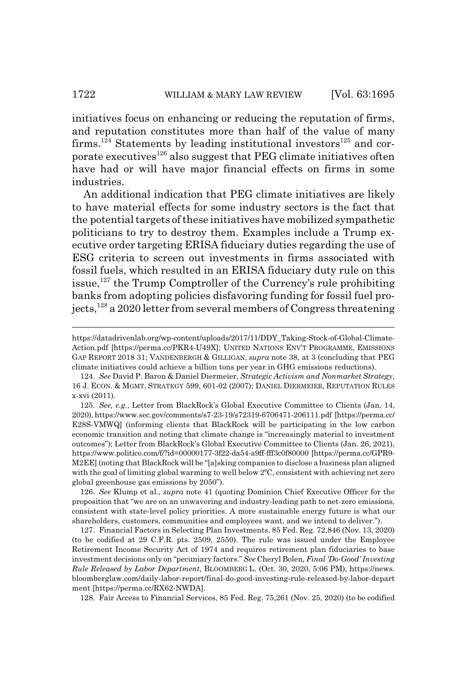initiatives focus on enhancing or reducing the reputation of firms, and reputation constitutes more than half of the value of many firms.<sup>124</sup> Statements by leading institutional investors<sup>125</sup> and corporate executives<sup>126</sup> also suggest that PEG climate initiatives often have had or will have major financial effects on firms in some industries.

An additional indication that PEG climate initiatives are likely to have material effects for some industry sectors is the fact that the potential targets of these initiatives have mobilized sympathetic politicians to try to destroy them. Examples include a Trump executive order targeting ERISA fiduciary duties regarding the use of ESG criteria to screen out investments in firms associated with fossil fuels, which resulted in an ERISA fiduciary duty rule on this issue, $127$  the Trump Comptroller of the Currency's rule prohibiting banks from adopting policies disfavoring funding for fossil fuel projects,<sup>128</sup> a 2020 letter from several members of Congress threatening

125. *See, e.g.*, Letter from BlackRock's Global Executive Committee to Clients (Jan. 14, 2020), https://www.sec.gov/comments/s7-23-19/s72319-6706471-206111.pdf [https://perma.cc/ E28S-VMWQ] (informing clients that BlackRock will be participating in the low carbon economic transition and noting that climate change is "increasingly material to investment outcomes"); Letter from BlackRock's Global Executive Committee to Clients (Jan. 26, 2021), https://www.politico.com/f/?id=00000177-3f22-da54-a9ff-fff3c0f80000 [https://perma.cc/GPR9- M2EE] (noting that BlackRock will be "[a]sking companies to disclose a business plan aligned with the goal of limiting global warming to well below 2<sup>o</sup>C, consistent with achieving net zero global greenhouse gas emissions by 2050").

126. *See* Klump et al., *supra* note 41 (quoting Dominion Chief Executive Officer for the proposition that "we are on an unwavering and industry-leading path to net-zero emissions, consistent with state-level policy priorities. A more sustainable energy future is what our shareholders, customers, communities and employees want, and we intend to deliver.").

127. Financial Factors in Selecting Plan Investments, 85 Fed. Reg. 72,846 (Nov. 13, 2020) (to be codified at 29 C.F.R. pts. 2509, 2550). The rule was issued under the Employee Retirement Income Security Act of 1974 and requires retirement plan fiduciaries to base investment decisions only on "pecuniary factors." *See* Cheryl Bolen*, Final 'Do-Good' Investing Rule Released by Labor Department*, BLOOMBERG L. (Oct. 30, 2020, 5:06 PM), https://news. bloomberglaw.com/daily-labor-report/final-do-good-investing-rule-released-by-labor-depart ment [https://perma.cc/RX62-NWDA].

128. Fair Access to Financial Services, 85 Fed. Reg. 75,261 (Nov. 25, 2020) (to be codified

https://datadrivenlab.org/wp-content/uploads/2017/11/DDY\_Taking-Stock-of-Global-Climate-Action.pdf [https://perma.cc/PKR4-U49X]; UNITED NATIONS ENV'T PROGRAMME, EMISSIONS GAP REPORT 2018 31; VANDENBERGH & GILLIGAN, *supra* note 38, at 3 (concluding that PEG climate initiatives could achieve a billion tons per year in GHG emissions reductions).

<sup>124.</sup> *See* David P. Baron & Daniel Diermeier, *Strategic Activism and Nonmarket Strategy*, 16 J. ECON.&MGMT. STRATEGY 599, 601-02 (2007); DANIEL DIERMEIER, REPUTATION RULES x-xvi (2011).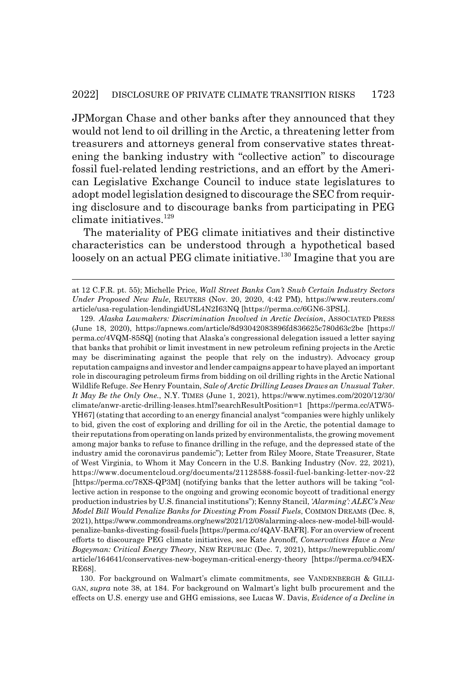JPMorgan Chase and other banks after they announced that they would not lend to oil drilling in the Arctic, a threatening letter from treasurers and attorneys general from conservative states threatening the banking industry with "collective action" to discourage fossil fuel-related lending restrictions, and an effort by the American Legislative Exchange Council to induce state legislatures to adopt model legislation designed to discourage the SEC from requiring disclosure and to discourage banks from participating in PEG climate initiatives.<sup>129</sup>

The materiality of PEG climate initiatives and their distinctive characteristics can be understood through a hypothetical based loosely on an actual PEG climate initiative.<sup>130</sup> Imagine that you are

129. *Alaska Lawmakers: Discrimination Involved in Arctic Decision*, ASSOCIATED PRESS (June 18, 2020), https://apnews.com/article/8d93042083896fd836625c780d63c2be [https:// perma.cc/4VQM-85SQ] (noting that Alaska's congressional delegation issued a letter saying that banks that prohibit or limit investment in new petroleum refining projects in the Arctic may be discriminating against the people that rely on the industry). Advocacy group reputation campaigns and investor and lender campaigns appear to have played an important role in discouraging petroleum firms from bidding on oil drilling rights in the Arctic National Wildlife Refuge. *See* Henry Fountain, *Sale of Arctic Drilling Leases Draws an Unusual Taker. It May Be the Only One.*, N.Y. TIMES (June 1, 2021), https://www.nytimes.com/2020/12/30/ climate/anwr-arctic-drilling-leases.html?searchResultPosition=1 [https://perma.cc/ATW5- YH67] (stating that according to an energy financial analyst "companies were highly unlikely to bid, given the cost of exploring and drilling for oil in the Arctic, the potential damage to their reputations from operating on lands prized by environmentalists, the growing movement among major banks to refuse to finance drilling in the refuge, and the depressed state of the industry amid the coronavirus pandemic"); Letter from Riley Moore, State Treasurer, State of West Virginia, to Whom it May Concern in the U.S. Banking Industry (Nov. 22, 2021), https://www.documentcloud.org/documents/21128588-fossil-fuel-banking-letter-nov-22 [https://perma.cc/78XS-QP3M] (notifying banks that the letter authors will be taking "collective action in response to the ongoing and growing economic boycott of traditional energy production industries by U.S. financial institutions"); Kenny Stancil, *'Alarming': ALEC's New Model Bill Would Penalize Banks for Divesting From Fossil Fuels*, COMMON DREAMS (Dec. 8, 2021), https://www.commondreams.org/news/2021/12/08/alarming-alecs-new-model-bill-wouldpenalize-banks-divesting-fossil-fuels [https://perma.cc/4QAV-BAFR]. For an overview of recent efforts to discourage PEG climate initiatives, see Kate Aronoff, *Conservatives Have a New Bogeyman: Critical Energy Theory*, NEW REPUBLIC (Dec. 7, 2021), https://newrepublic.com/ article/164641/conservatives-new-bogeyman-critical-energy-theory [https://perma.cc/94EX-RE68].

130. For background on Walmart's climate commitments, see VANDENBERGH & GILLI-GAN, *supra* note 38, at 184. For background on Walmart's light bulb procurement and the effects on U.S. energy use and GHG emissions, see Lucas W. Davis, *Evidence of a Decline in*

at 12 C.F.R. pt. 55); Michelle Price, *Wall Street Banks Can't Snub Certain Industry Sectors Under Proposed New Rule*, REUTERS (Nov. 20, 2020, 4:42 PM), https://www.reuters.com/ article/usa-regulation-lendingidUSL4N2I63NQ [https://perma.cc/6GN6-3PSL].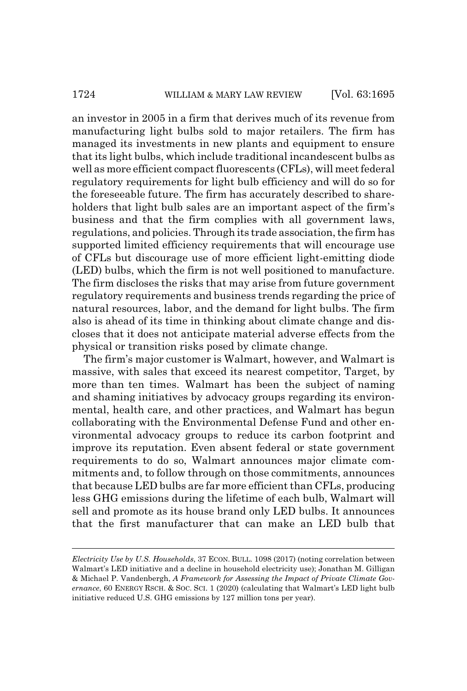an investor in 2005 in a firm that derives much of its revenue from manufacturing light bulbs sold to major retailers. The firm has managed its investments in new plants and equipment to ensure that its light bulbs, which include traditional incandescent bulbs as well as more efficient compact fluorescents (CFLs), will meet federal regulatory requirements for light bulb efficiency and will do so for the foreseeable future. The firm has accurately described to shareholders that light bulb sales are an important aspect of the firm's business and that the firm complies with all government laws, regulations, and policies. Through its trade association, the firm has supported limited efficiency requirements that will encourage use of CFLs but discourage use of more efficient light-emitting diode (LED) bulbs, which the firm is not well positioned to manufacture. The firm discloses the risks that may arise from future government regulatory requirements and business trends regarding the price of natural resources, labor, and the demand for light bulbs. The firm also is ahead of its time in thinking about climate change and discloses that it does not anticipate material adverse effects from the physical or transition risks posed by climate change.

The firm's major customer is Walmart, however, and Walmart is massive, with sales that exceed its nearest competitor, Target, by more than ten times. Walmart has been the subject of naming and shaming initiatives by advocacy groups regarding its environmental, health care, and other practices, and Walmart has begun collaborating with the Environmental Defense Fund and other environmental advocacy groups to reduce its carbon footprint and improve its reputation. Even absent federal or state government requirements to do so, Walmart announces major climate commitments and, to follow through on those commitments, announces that because LED bulbs are far more efficient than CFLs, producing less GHG emissions during the lifetime of each bulb, Walmart will sell and promote as its house brand only LED bulbs. It announces that the first manufacturer that can make an LED bulb that

*Electricity Use by U.S. Households*, 37 ECON. BULL. 1098 (2017) (noting correlation between Walmart's LED initiative and a decline in household electricity use); Jonathan M. Gilligan & Michael P. Vandenbergh, *A Framework for Assessing the Impact of Private Climate Governance*, 60 ENERGY RSCH.&SOC. SCI. 1 (2020) (calculating that Walmart's LED light bulb initiative reduced U.S. GHG emissions by 127 million tons per year).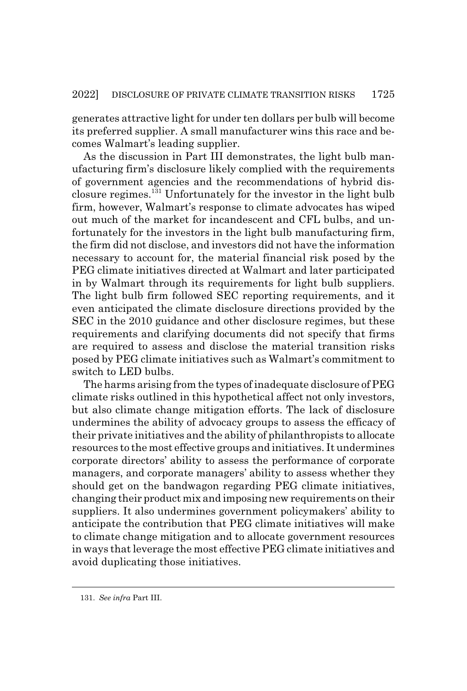generates attractive light for under ten dollars per bulb will become its preferred supplier. A small manufacturer wins this race and becomes Walmart's leading supplier.

As the discussion in Part III demonstrates, the light bulb manufacturing firm's disclosure likely complied with the requirements of government agencies and the recommendations of hybrid disclosure regimes.131 Unfortunately for the investor in the light bulb firm, however, Walmart's response to climate advocates has wiped out much of the market for incandescent and CFL bulbs, and unfortunately for the investors in the light bulb manufacturing firm, the firm did not disclose, and investors did not have the information necessary to account for, the material financial risk posed by the PEG climate initiatives directed at Walmart and later participated in by Walmart through its requirements for light bulb suppliers. The light bulb firm followed SEC reporting requirements, and it even anticipated the climate disclosure directions provided by the SEC in the 2010 guidance and other disclosure regimes, but these requirements and clarifying documents did not specify that firms are required to assess and disclose the material transition risks posed by PEG climate initiatives such as Walmart's commitment to switch to LED bulbs.

The harms arising from the types of inadequate disclosure of PEG climate risks outlined in this hypothetical affect not only investors, but also climate change mitigation efforts. The lack of disclosure undermines the ability of advocacy groups to assess the efficacy of their private initiatives and the ability of philanthropists to allocate resources to the most effective groups and initiatives. It undermines corporate directors' ability to assess the performance of corporate managers, and corporate managers' ability to assess whether they should get on the bandwagon regarding PEG climate initiatives, changing their product mix and imposing new requirements on their suppliers. It also undermines government policymakers' ability to anticipate the contribution that PEG climate initiatives will make to climate change mitigation and to allocate government resources in ways that leverage the most effective PEG climate initiatives and avoid duplicating those initiatives.

<sup>131.</sup> *See infra* Part III.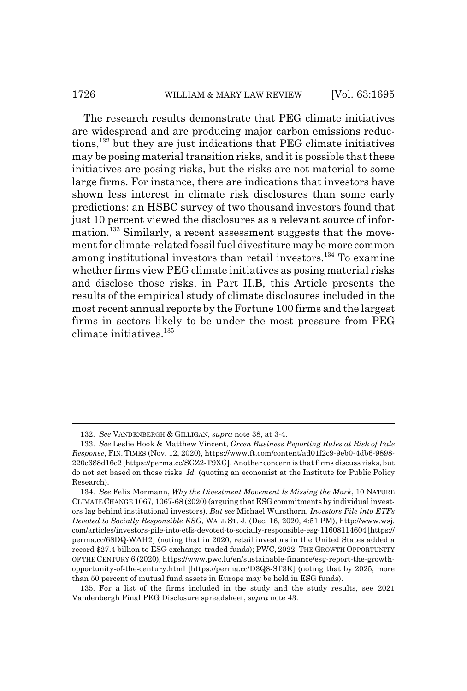#### 1726 WILLIAM & MARY LAW REVIEW [Vol. 63:1695]

The research results demonstrate that PEG climate initiatives are widespread and are producing major carbon emissions reductions,132 but they are just indications that PEG climate initiatives may be posing material transition risks, and it is possible that these initiatives are posing risks, but the risks are not material to some large firms. For instance, there are indications that investors have shown less interest in climate risk disclosures than some early predictions: an HSBC survey of two thousand investors found that just 10 percent viewed the disclosures as a relevant source of information.<sup>133</sup> Similarly, a recent assessment suggests that the movement for climate-related fossil fuel divestiture may be more common among institutional investors than retail investors.<sup>134</sup> To examine whether firms view PEG climate initiatives as posing material risks and disclose those risks, in Part II.B, this Article presents the results of the empirical study of climate disclosures included in the most recent annual reports by the Fortune 100 firms and the largest firms in sectors likely to be under the most pressure from PEG climate initiatives.135

<sup>132.</sup> *See* VANDENBERGH & GILLIGAN, *supra* note 38, at 3-4.

<sup>133.</sup> *See* Leslie Hook & Matthew Vincent, *Green Business Reporting Rules at Risk of Pale Response*, FIN. TIMES (Nov. 12, 2020), https://www.ft.com/content/ad01f2c9-9eb0-4db6-9898- 220c688d16c2 [https://perma.cc/SGZ2-T9XG]. Another concern is that firms discuss risks, but do not act based on those risks. *Id.* (quoting an economist at the Institute for Public Policy Research).

<sup>134.</sup> *See* Felix Mormann, *Why the Divestment Movement Is Missing the Mark*, 10 NATURE CLIMATE CHANGE 1067, 1067-68 (2020) (arguing that ESG commitments by individual investors lag behind institutional investors). *But see* Michael Wursthorn, *Investors Pile into ETFs Devoted to Socially Responsible ESG*, WALL ST. J. (Dec. 16, 2020, 4:51 PM), http://www.wsj. com/articles/investors-pile-into-etfs-devoted-to-socially-responsible-esg-11608114604 [https:// perma.cc/68DQ-WAH2] (noting that in 2020, retail investors in the United States added a record \$27.4 billion to ESG exchange-traded funds); PWC, 2022: THE GROWTH OPPORTUNITY OF THE CENTURY 6 (2020), https://www.pwc.lu/en/sustainable-finance/esg-report-the-growthopportunity-of-the-century.html [https://perma.cc/D3Q8-ST3K] (noting that by 2025, more than 50 percent of mutual fund assets in Europe may be held in ESG funds).

<sup>135.</sup> For a list of the firms included in the study and the study results, see 2021 Vandenbergh Final PEG Disclosure spreadsheet, *supra* note 43.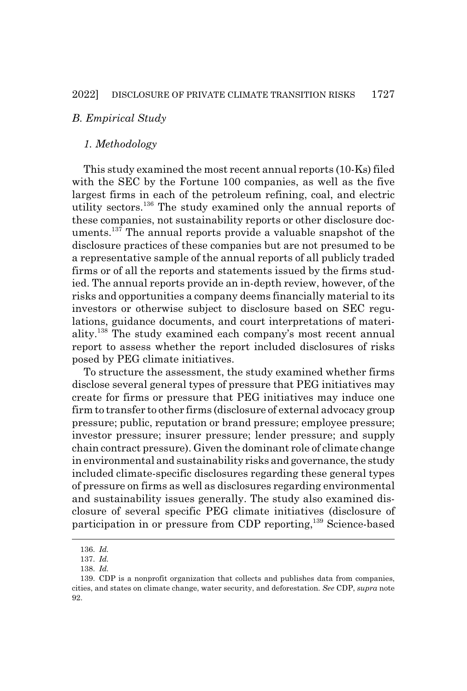### *B. Empirical Study*

#### *1. Methodology*

This study examined the most recent annual reports (10-Ks) filed with the SEC by the Fortune 100 companies, as well as the five largest firms in each of the petroleum refining, coal, and electric utility sectors.136 The study examined only the annual reports of these companies, not sustainability reports or other disclosure documents.<sup>137</sup> The annual reports provide a valuable snapshot of the disclosure practices of these companies but are not presumed to be a representative sample of the annual reports of all publicly traded firms or of all the reports and statements issued by the firms studied. The annual reports provide an in-depth review, however, of the risks and opportunities a company deems financially material to its investors or otherwise subject to disclosure based on SEC regulations, guidance documents, and court interpretations of materiality.138 The study examined each company's most recent annual report to assess whether the report included disclosures of risks posed by PEG climate initiatives.

To structure the assessment, the study examined whether firms disclose several general types of pressure that PEG initiatives may create for firms or pressure that PEG initiatives may induce one firm to transfer to other firms (disclosure of external advocacy group pressure; public, reputation or brand pressure; employee pressure; investor pressure; insurer pressure; lender pressure; and supply chain contract pressure). Given the dominant role of climate change in environmental and sustainability risks and governance, the study included climate-specific disclosures regarding these general types of pressure on firms as well as disclosures regarding environmental and sustainability issues generally. The study also examined disclosure of several specific PEG climate initiatives (disclosure of participation in or pressure from CDP reporting,<sup>139</sup> Science-based

<sup>136.</sup> *Id.*

<sup>137.</sup> *Id.*

<sup>138.</sup> *Id.*

<sup>139.</sup> CDP is a nonprofit organization that collects and publishes data from companies, cities, and states on climate change, water security, and deforestation. *See* CDP, *supra* note 92.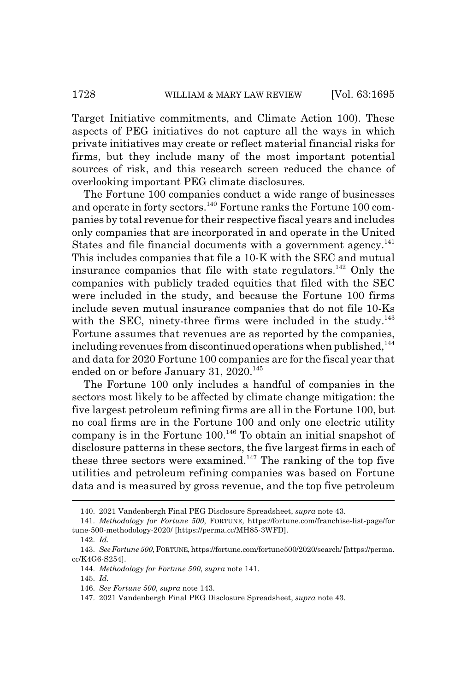Target Initiative commitments, and Climate Action 100). These aspects of PEG initiatives do not capture all the ways in which private initiatives may create or reflect material financial risks for firms, but they include many of the most important potential sources of risk, and this research screen reduced the chance of overlooking important PEG climate disclosures.

The Fortune 100 companies conduct a wide range of businesses and operate in forty sectors.<sup>140</sup> Fortune ranks the Fortune 100 companies by total revenue for their respective fiscal years and includes only companies that are incorporated in and operate in the United States and file financial documents with a government agency. $^{141}$ This includes companies that file a 10-K with the SEC and mutual insurance companies that file with state regulators.<sup>142</sup> Only the companies with publicly traded equities that filed with the SEC were included in the study, and because the Fortune 100 firms include seven mutual insurance companies that do not file 10-Ks with the SEC, ninety-three firms were included in the study. $^{143}$ Fortune assumes that revenues are as reported by the companies, including revenues from discontinued operations when published,<sup>144</sup> and data for 2020 Fortune 100 companies are for the fiscal year that ended on or before January 31,  $2020$ <sup>145</sup>

The Fortune 100 only includes a handful of companies in the sectors most likely to be affected by climate change mitigation: the five largest petroleum refining firms are all in the Fortune 100, but no coal firms are in the Fortune 100 and only one electric utility company is in the Fortune  $100^{146}$  To obtain an initial snapshot of disclosure patterns in these sectors, the five largest firms in each of these three sectors were examined.<sup>147</sup> The ranking of the top five utilities and petroleum refining companies was based on Fortune data and is measured by gross revenue, and the top five petroleum

<sup>140. 2021</sup> Vandenbergh Final PEG Disclosure Spreadsheet, *supra* note 43.

<sup>141.</sup> *Methodology for Fortune 500*, FORTUNE, https://fortune.com/franchise-list-page/for tune-500-methodology-2020/ [https://perma.cc/MH85-3WFD].

<sup>142.</sup> *Id.*

<sup>143.</sup> *See Fortune 500*, FORTUNE, https://fortune.com/fortune500/2020/search/ [https://perma. cc/K4G6-S254].

<sup>144.</sup> *Methodology for Fortune 500*, *supra* note 141.

<sup>145.</sup> *Id.*

<sup>146.</sup> *See Fortune 500*, *supra* note 143.

<sup>147. 2021</sup> Vandenbergh Final PEG Disclosure Spreadsheet, *supra* note 43.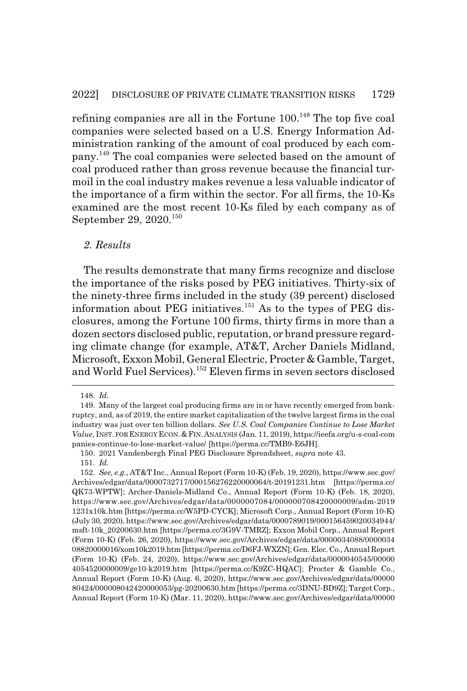refining companies are all in the Fortune  $100<sup>148</sup>$  The top five coal companies were selected based on a U.S. Energy Information Administration ranking of the amount of coal produced by each company.149 The coal companies were selected based on the amount of coal produced rather than gross revenue because the financial turmoil in the coal industry makes revenue a less valuable indicator of the importance of a firm within the sector. For all firms, the 10-Ks examined are the most recent 10-Ks filed by each company as of September 29, 2020.<sup>150</sup>

#### *2. Results*

The results demonstrate that many firms recognize and disclose the importance of the risks posed by PEG initiatives. Thirty-six of the ninety-three firms included in the study (39 percent) disclosed information about PEG initiatives. $151$  As to the types of PEG disclosures, among the Fortune 100 firms, thirty firms in more than a dozen sectors disclosed public, reputation, or brand pressure regarding climate change (for example, AT&T, Archer Daniels Midland, Microsoft, Exxon Mobil, General Electric, Procter & Gamble, Target, and World Fuel Services).152 Eleven firms in seven sectors disclosed

<sup>148.</sup> *Id.*

<sup>149.</sup> Many of the largest coal producing firms are in or have recently emerged from bankruptcy, and, as of 2019, the entire market capitalization of the twelve largest firms in the coal industry was just over ten billion dollars. *See U.S. Coal Companies Continue to Lose Market Value*, INST. FOR ENERGY ECON.&FIN.ANALYSIS (Jan. 11, 2019), https://ieefa.org/u-s-coal-com panies-continue-to-lose-market-value/ [https://perma.cc/TMB9-E6JH].

<sup>150. 2021</sup> Vandenbergh Final PEG Disclosure Spreadsheet, *supra* note 43.

<sup>151.</sup> *Id.*

<sup>152.</sup> *See, e.g.*, AT&T Inc., Annual Report (Form 10-K) (Feb. 19, 2020), https://www.sec.gov/ Archives/edgar/data/0000732717/000156276220000064/t-20191231.htm [https://perma.cc/ QK73-WPTW]; Archer-Daniels-Midland Co., Annual Report (Form 10-K) (Feb. 18, 2020), https://www.sec.gov/Archives/edgar/data/0000007084/000000708420000009/adm-2019 1231x10k.htm [https://perma.cc/W5PD-CYCK]; Microsoft Corp., Annual Report (Form 10-K) (July 30, 2020), https://www.sec.gov/Archives/edgar/data/0000789019/000156459020034944/ msft-10k\_20200630.htm [https://perma.cc/3G9V-TMRZ]; Exxon Mobil Corp., Annual Report (Form 10-K) (Feb. 26, 2020), https://www.sec.gov/Archives/edgar/data/0000034088/0000034 08820000016/xom10k2019.htm [https://perma.cc/D6FJ-WXZN]; Gen. Elec. Co., Annual Report (Form 10-K) (Feb. 24, 2020), https://www.sec.gov/Archives/edgar/data/0000040545/00000 4054520000009/ge10-k2019.htm [https://perma.cc/K9ZC-HQAC]; Procter & Gamble Co., Annual Report (Form 10-K) (Aug. 6, 2020), https://www.sec.gov/Archives/edgar/data/00000 80424/000008042420000053/pg-20200630.htm [https://perma.cc/3DNU-BD9Z]; Target Corp., Annual Report (Form 10-K) (Mar. 11, 2020), https://www.sec.gov/Archives/edgar/data/00000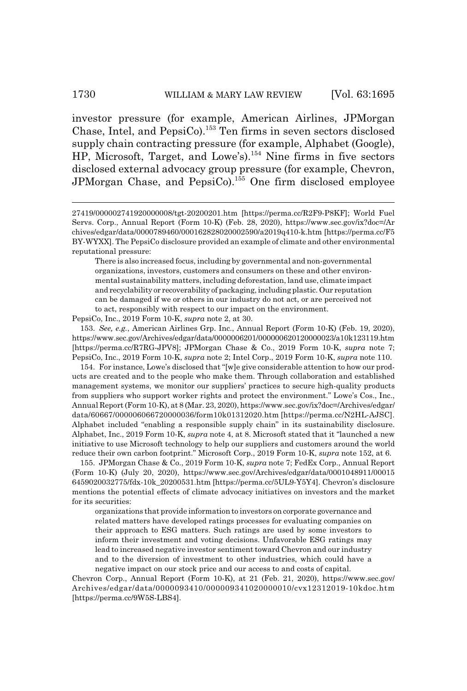investor pressure (for example, American Airlines, JPMorgan Chase, Intel, and PepsiCo).153 Ten firms in seven sectors disclosed supply chain contracting pressure (for example, Alphabet (Google), HP, Microsoft, Target, and Lowe's).154 Nine firms in five sectors disclosed external advocacy group pressure (for example, Chevron, JPMorgan Chase, and PepsiCo).<sup>155</sup> One firm disclosed employee

PepsiCo, Inc., 2019 Form 10-K, *supra* note 2, at 30.

153. *See, e.g.*, American Airlines Grp. Inc., Annual Report (Form 10-K) (Feb. 19, 2020), https://www.sec.gov/Archives/edgar/data/0000006201/000000620120000023/a10k123119.htm [https://perma.cc/R7RG-JPV8]; JPMorgan Chase & Co., 2019 Form 10-K, *supra* note 7; PepsiCo, Inc., 2019 Form 10-K, *supra* note 2; Intel Corp., 2019 Form 10-K, *supra* note 110.

154. For instance, Lowe's disclosed that "[w]e give considerable attention to how our products are created and to the people who make them. Through collaboration and established management systems, we monitor our suppliers' practices to secure high-quality products from suppliers who support worker rights and protect the environment." Lowe's Cos., Inc., Annual Report (Form 10-K), at 8 (Mar. 23, 2020), https://www.sec.gov/ix?doc=/Archives/edgar/ data/60667/000006066720000036/form10k01312020.htm [https://perma.cc/N2HL-AJSC]. Alphabet included "enabling a responsible supply chain" in its sustainability disclosure. Alphabet, Inc., 2019 Form 10-K, *supra* note 4, at 8. Microsoft stated that it "launched a new initiative to use Microsoft technology to help our suppliers and customers around the world reduce their own carbon footprint." Microsoft Corp., 2019 Form 10-K, *supra* note 152, at 6.

155. JPMorgan Chase & Co., 2019 Form 10-K, *supra* note 7; FedEx Corp., Annual Report (Form 10-K) (July 20, 2020), https://www.sec.gov/Archives/edgar/data/0001048911/00015 6459020032775/fdx-10k\_20200531.htm [https://perma.cc/5UL9-Y5Y4]. Chevron's disclosure mentions the potential effects of climate advocacy initiatives on investors and the market for its securities:

organizations that provide information to investors on corporate governance and related matters have developed ratings processes for evaluating companies on their approach to ESG matters. Such ratings are used by some investors to inform their investment and voting decisions. Unfavorable ESG ratings may lead to increased negative investor sentiment toward Chevron and our industry and to the diversion of investment to other industries, which could have a negative impact on our stock price and our access to and costs of capital.

Chevron Corp., Annual Report (Form 10-K), at 21 (Feb. 21, 2020), https://www.sec.gov/ Archives/edgar/data/0000093410/000009341020000010/cvx12312019-10kdoc.htm [https://perma.cc/9W5S-LBS4].

<sup>27419/000002741920000008/</sup>tgt-20200201.htm [https://perma.cc/R2F9-P8KF]; World Fuel Servs. Corp., Annual Report (Form 10-K) (Feb. 28, 2020), https://www.sec.gov/ix?doc=/Ar chives/edgar/data/0000789460/000162828020002590/a2019q410-k.htm [https://perma.cc/F5 BY-WYXX]. The PepsiCo disclosure provided an example of climate and other environmental reputational pressure:

There is also increased focus, including by governmental and non-governmental organizations, investors, customers and consumers on these and other environmental sustainability matters, including deforestation, land use, climate impact and recyclability or recoverability of packaging, including plastic. Our reputation can be damaged if we or others in our industry do not act, or are perceived not to act, responsibly with respect to our impact on the environment.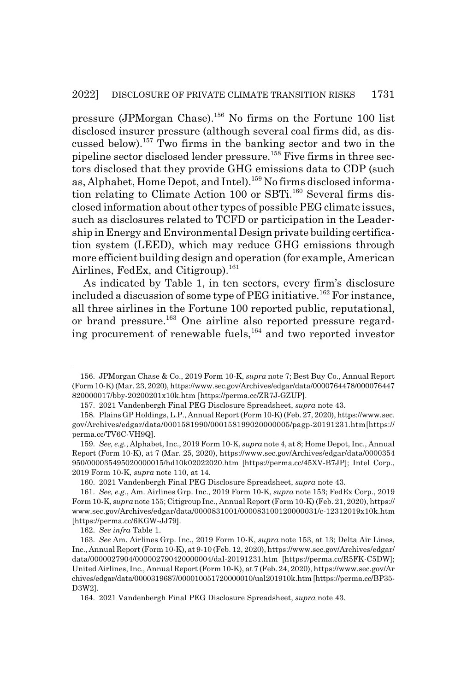pressure (JPMorgan Chase).156 No firms on the Fortune 100 list disclosed insurer pressure (although several coal firms did, as discussed below).157 Two firms in the banking sector and two in the pipeline sector disclosed lender pressure.158 Five firms in three sectors disclosed that they provide GHG emissions data to CDP (such as, Alphabet, Home Depot, and Intel).<sup>159</sup> No firms disclosed information relating to Climate Action 100 or SBTi.<sup>160</sup> Several firms disclosed information about other types of possible PEG climate issues, such as disclosures related to TCFD or participation in the Leadership in Energy and Environmental Design private building certification system (LEED), which may reduce GHG emissions through more efficient building design and operation (for example, American Airlines, FedEx, and Citigroup).<sup>161</sup>

As indicated by Table 1, in ten sectors, every firm's disclosure included a discussion of some type of PEG initiative.<sup>162</sup> For instance, all three airlines in the Fortune 100 reported public, reputational, or brand pressure.<sup>163</sup> One airline also reported pressure regarding procurement of renewable fuels, $164$  and two reported investor

162. *See infra* Table 1.

<sup>156.</sup> JPMorgan Chase & Co., 2019 Form 10-K, *supra* note 7; Best Buy Co., Annual Report (Form 10-K) (Mar. 23, 2020), https://www.sec.gov/Archives/edgar/data/0000764478/000076447 820000017/bby-20200201x10k.htm [https://perma.cc/ZR7J-GZUP].

<sup>157. 2021</sup> Vandenbergh Final PEG Disclosure Spreadsheet, *supra* note 43.

<sup>158.</sup> Plains GP Holdings, L.P., Annual Report (Form 10-K) (Feb. 27, 2020), https://www.sec. gov/Archives/edgar/data/0001581990/000158199020000005/pagp-20191231.htm [https:// perma.cc/TV6C-VH9Q].

<sup>159.</sup> *See, e.g.*, Alphabet, Inc., 2019 Form 10-K, *supra* note 4, at 8; Home Depot, Inc., Annual Report (Form 10-K), at 7 (Mar. 25, 2020), https://www.sec.gov/Archives/edgar/data/0000354 950/000035495020000015/hd10k02022020.htm [https://perma.cc/45XV-B7JP]; Intel Corp., 2019 Form 10-K, *supra* note 110, at 14.

<sup>160. 2021</sup> Vandenbergh Final PEG Disclosure Spreadsheet, *supra* note 43.

<sup>161.</sup> *See, e.g.*, Am. Airlines Grp. Inc., 2019 Form 10-K, *supra* note 153; FedEx Corp., 2019 Form 10-K, *supra* note 155; Citigroup Inc., Annual Report (Form 10-K) (Feb. 21, 2020), https:// www.sec.gov/Archives/edgar/data/0000831001/000083100120000031/c-12312019x10k.htm [https://perma.cc/6KGW-JJ79].

<sup>163.</sup> *See* Am. Airlines Grp. Inc., 2019 Form 10-K, *supra* note 153, at 13; Delta Air Lines, Inc., Annual Report (Form 10-K), at 9-10 (Feb. 12, 2020), https://www.sec.gov/Archives/edgar/ data/0000027904/000002790420000004/dal-20191231.htm [https://perma.cc/R5FK-C5DW]; United Airlines, Inc., Annual Report (Form 10-K), at 7 (Feb. 24, 2020), https://www.sec.gov/Ar chives/edgar/data/0000319687/000010051720000010/ual201910k.htm [https://perma.cc/BP35- D3W2].

<sup>164. 2021</sup> Vandenbergh Final PEG Disclosure Spreadsheet, *supra* note 43.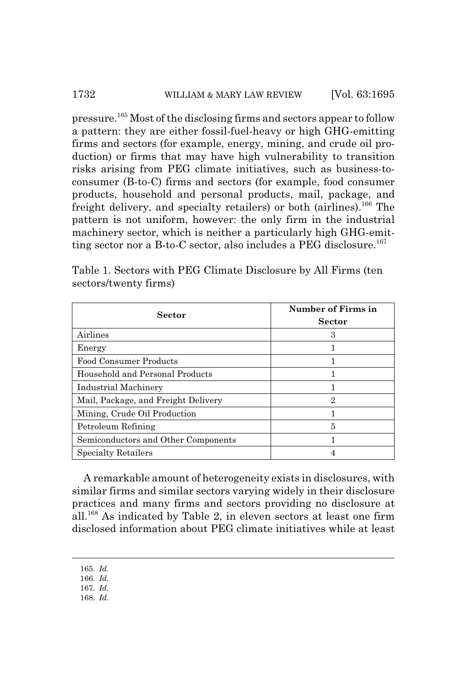pressure.165 Most of the disclosing firms and sectors appear to follow a pattern: they are either fossil-fuel-heavy or high GHG-emitting firms and sectors (for example, energy, mining, and crude oil production) or firms that may have high vulnerability to transition risks arising from PEG climate initiatives, such as business-toconsumer (B-to-C) firms and sectors (for example, food consumer products, household and personal products, mail, package, and freight delivery, and specialty retailers) or both (airlines).<sup>166</sup> The pattern is not uniform, however: the only firm in the industrial machinery sector, which is neither a particularly high GHG-emitting sector nor a B-to-C sector, also includes a PEG disclosure.<sup>167</sup>

| Sector                              | Number of Firms in<br><b>Sector</b> |
|-------------------------------------|-------------------------------------|
| Airlines                            | 3                                   |
| Energy                              |                                     |
| <b>Food Consumer Products</b>       |                                     |
| Household and Personal Products     |                                     |
| Industrial Machinery                |                                     |
| Mail, Package, and Freight Delivery | 2                                   |
| Mining, Crude Oil Production        |                                     |
| Petroleum Refining                  | 5                                   |
| Semiconductors and Other Components |                                     |
| <b>Specialty Retailers</b>          |                                     |

Table 1. Sectors with PEG Climate Disclosure by All Firms (ten sectors/twenty firms)

A remarkable amount of heterogeneity exists in disclosures, with similar firms and similar sectors varying widely in their disclosure practices and many firms and sectors providing no disclosure at all.168 As indicated by Table 2, in eleven sectors at least one firm disclosed information about PEG climate initiatives while at least

- 167. *Id.*
- 168. *Id.*

<sup>165.</sup> *Id.*

<sup>166.</sup> *Id.*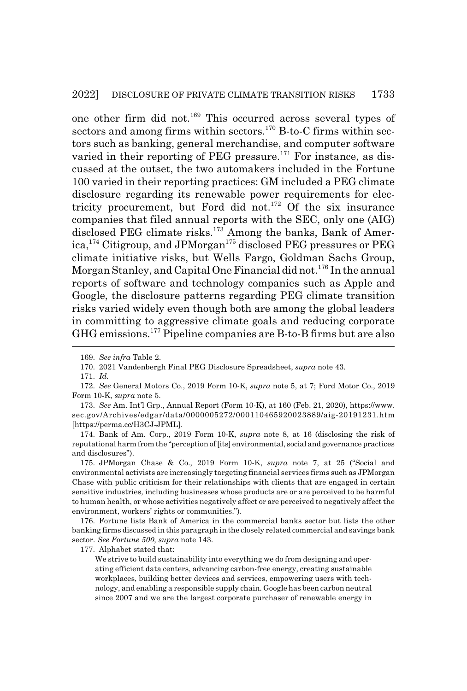one other firm did not.169 This occurred across several types of sectors and among firms within sectors.<sup>170</sup> B-to-C firms within sectors such as banking, general merchandise, and computer software varied in their reporting of PEG pressure.<sup>171</sup> For instance, as discussed at the outset, the two automakers included in the Fortune 100 varied in their reporting practices: GM included a PEG climate disclosure regarding its renewable power requirements for electricity procurement, but Ford did not.<sup>172</sup> Of the six insurance companies that filed annual reports with the SEC, only one (AIG) disclosed PEG climate risks.<sup>173</sup> Among the banks, Bank of America,<sup>174</sup> Citigroup, and JPMorgan<sup>175</sup> disclosed PEG pressures or PEG climate initiative risks, but Wells Fargo, Goldman Sachs Group, Morgan Stanley, and Capital One Financial did not.<sup>176</sup> In the annual reports of software and technology companies such as Apple and Google, the disclosure patterns regarding PEG climate transition risks varied widely even though both are among the global leaders in committing to aggressive climate goals and reducing corporate GHG emissions.177 Pipeline companies are B-to-B firms but are also

174. Bank of Am. Corp., 2019 Form 10-K, *supra* note 8, at 16 (disclosing the risk of reputational harm from the "perception of [its] environmental, social and governance practices and disclosures").

175. JPMorgan Chase & Co., 2019 Form 10-K, *supra* note 7, at 25 ("Social and environmental activists are increasingly targeting financial services firms such as JPMorgan Chase with public criticism for their relationships with clients that are engaged in certain sensitive industries, including businesses whose products are or are perceived to be harmful to human health, or whose activities negatively affect or are perceived to negatively affect the environment, workers' rights or communities.").

176. Fortune lists Bank of America in the commercial banks sector but lists the other banking firms discussed in this paragraph in the closely related commercial and savings bank sector. *See Fortune 500*, *supra* note 143.

177. Alphabet stated that:

We strive to build sustainability into everything we do from designing and operating efficient data centers, advancing carbon-free energy, creating sustainable workplaces, building better devices and services, empowering users with technology, and enabling a responsible supply chain. Google has been carbon neutral since 2007 and we are the largest corporate purchaser of renewable energy in

<sup>169.</sup> *See infra* Table 2.

<sup>170. 2021</sup> Vandenbergh Final PEG Disclosure Spreadsheet, *supra* note 43.

<sup>171.</sup> *Id.*

<sup>172.</sup> *See* General Motors Co., 2019 Form 10-K, *supra* note 5, at 7; Ford Motor Co., 2019 Form 10-K, *supra* note 5.

<sup>173.</sup> *See* Am. Int'l Grp., Annual Report (Form 10-K), at 160 (Feb. 21, 2020), https://www. sec.gov/Archives/edgar/data/0000005272/000110465920023889/aig-20191231.htm [https://perma.cc/H3CJ-JPML].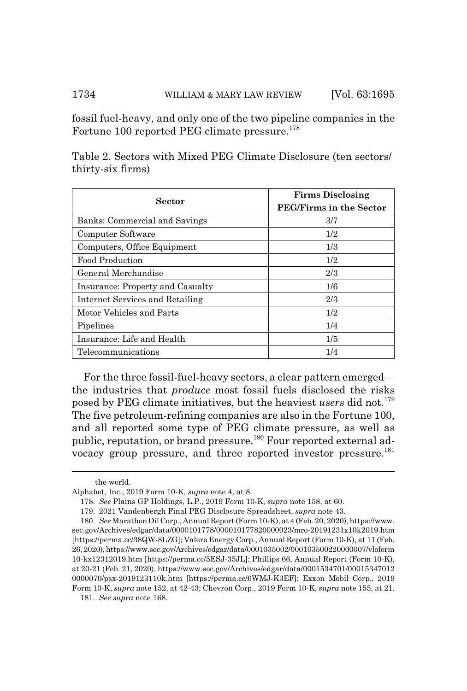fossil fuel-heavy, and only one of the two pipeline companies in the Fortune 100 reported PEG climate pressure.<sup>178</sup>

| Sector                           | <b>Firms Disclosing</b><br><b>PEG/Firms in the Sector</b> |
|----------------------------------|-----------------------------------------------------------|
| Banks: Commercial and Savings    | 3/7                                                       |
| Computer Software                | 1/2                                                       |
| Computers, Office Equipment      | 1/3                                                       |
| Food Production                  | 1/2                                                       |
| General Merchandise              | 2/3                                                       |
| Insurance: Property and Casualty | 1/6                                                       |
| Internet Services and Retailing  | 2/3                                                       |
| Motor Vehicles and Parts         | 1/2                                                       |
| Pipelines                        | 1/4                                                       |
| Insurance: Life and Health       | 1/5                                                       |
| Telecommunications               | 1/4                                                       |

Table 2. Sectors with Mixed PEG Climate Disclosure (ten sectors/ thirty-six firms)

For the three fossil-fuel-heavy sectors, a clear pattern emerged the industries that *produce* most fossil fuels disclosed the risks posed by PEG climate initiatives, but the heaviest *users* did not.<sup>179</sup> The five petroleum-refining companies are also in the Fortune 100, and all reported some type of PEG climate pressure, as well as public, reputation, or brand pressure.<sup>180</sup> Four reported external advocacy group pressure, and three reported investor pressure.<sup>181</sup>

181. *See supra* note 168.

the world.

Alphabet, Inc., 2019 Form 10-K, *supra* note 4, at 8.

<sup>178.</sup> *See* Plains GP Holdings, L.P., 2019 Form 10-K, *supra* note 158, at 60.

<sup>179. 2021</sup> Vandenbergh Final PEG Disclosure Spreadsheet, *supra* note 43.

<sup>180.</sup> *See* Marathon Oil Corp., Annual Report (Form 10-K), at 4 (Feb. 20, 2020), https://www. sec.gov/Archives/edgar/data/0000101778/000010177820000023/mro-20191231x10k2019.htm [https://perma.cc/38QW-8LZG]; Valero Energy Corp., Annual Report (Form 10-K), at 11 (Feb. 26, 2020), https://www.sec.gov/Archives/edgar/data/0001035002/000103500220000007/vloform 10-kx12312019.htm [https://perma.cc/5ESJ-35JL]; Phillips 66, Annual Report (Form 10-K), at 20-21 (Feb. 21, 2020), https://www.sec.gov/Archives/edgar/data/0001534701/00015347012 0000070/psx-2019123110k.htm [https://perma.cc/6WMJ-K3EF]; Exxon Mobil Corp., 2019 Form 10-K, *supra* note 152, at 42-43; Chevron Corp., 2019 Form 10-K, *supra* note 155, at 21.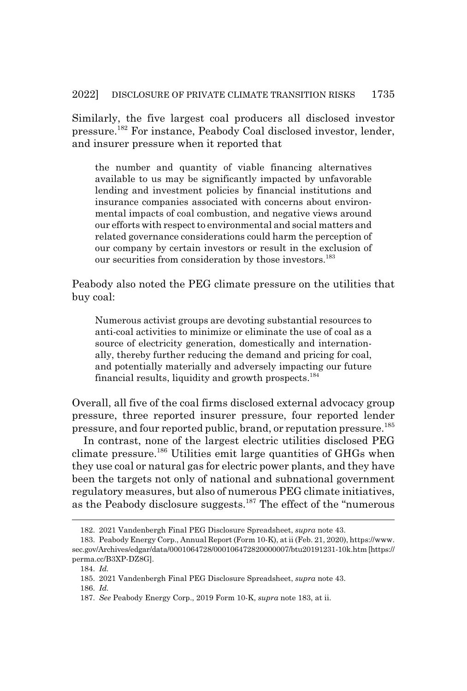Similarly, the five largest coal producers all disclosed investor pressure.182 For instance, Peabody Coal disclosed investor, lender, and insurer pressure when it reported that

the number and quantity of viable financing alternatives available to us may be significantly impacted by unfavorable lending and investment policies by financial institutions and insurance companies associated with concerns about environmental impacts of coal combustion, and negative views around our efforts with respect to environmental and social matters and related governance considerations could harm the perception of our company by certain investors or result in the exclusion of our securities from consideration by those investors.<sup>183</sup>

Peabody also noted the PEG climate pressure on the utilities that buy coal:

Numerous activist groups are devoting substantial resources to anti-coal activities to minimize or eliminate the use of coal as a source of electricity generation, domestically and internationally, thereby further reducing the demand and pricing for coal, and potentially materially and adversely impacting our future financial results, liquidity and growth prospects.<sup>184</sup>

Overall, all five of the coal firms disclosed external advocacy group pressure, three reported insurer pressure, four reported lender pressure, and four reported public, brand, or reputation pressure.185

In contrast, none of the largest electric utilities disclosed PEG climate pressure.186 Utilities emit large quantities of GHGs when they use coal or natural gas for electric power plants, and they have been the targets not only of national and subnational government regulatory measures, but also of numerous PEG climate initiatives, as the Peabody disclosure suggests. $187$  The effect of the "numerous"

<sup>182. 2021</sup> Vandenbergh Final PEG Disclosure Spreadsheet, *supra* note 43.

<sup>183.</sup> Peabody Energy Corp., Annual Report (Form 10-K), at ii (Feb. 21, 2020), https://www. sec.gov/Archives/edgar/data/0001064728/000106472820000007/btu20191231-10k.htm [https:// perma.cc/B3XP-DZ8G].

<sup>184.</sup> *Id.*

<sup>185. 2021</sup> Vandenbergh Final PEG Disclosure Spreadsheet, *supra* note 43.

<sup>186.</sup> *Id.*

<sup>187.</sup> *See* Peabody Energy Corp., 2019 Form 10-K, *supra* note 183, at ii.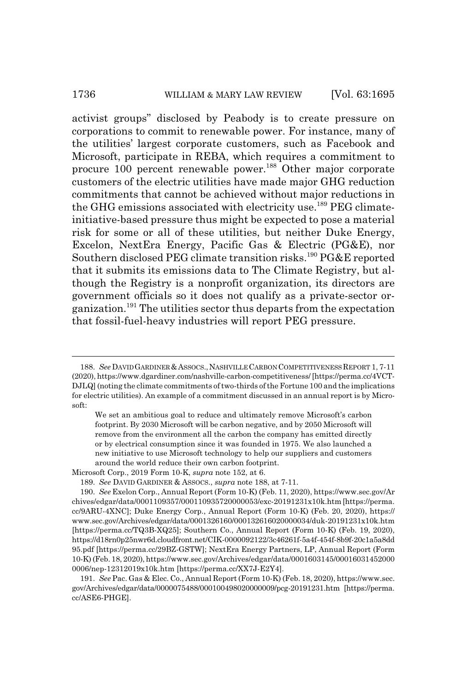#### 1736 WILLIAM & MARY LAW REVIEW [Vol. 63:1695]

activist groups" disclosed by Peabody is to create pressure on corporations to commit to renewable power. For instance, many of the utilities' largest corporate customers, such as Facebook and Microsoft, participate in REBA, which requires a commitment to procure 100 percent renewable power.<sup>188</sup> Other major corporate customers of the electric utilities have made major GHG reduction commitments that cannot be achieved without major reductions in the GHG emissions associated with electricity use.<sup>189</sup> PEG climateinitiative-based pressure thus might be expected to pose a material risk for some or all of these utilities, but neither Duke Energy, Excelon, NextEra Energy, Pacific Gas & Electric (PG&E), nor Southern disclosed PEG climate transition risks.<sup>190</sup> PG&E reported that it submits its emissions data to The Climate Registry, but although the Registry is a nonprofit organization, its directors are government officials so it does not qualify as a private-sector organization.191 The utilities sector thus departs from the expectation that fossil-fuel-heavy industries will report PEG pressure.

Microsoft Corp., 2019 Form 10-K, *supra* note 152, at 6.

189. *See* DAVID GARDINER & ASSOCS., *supra* note 188, at 7-11.

191. *See* Pac. Gas & Elec. Co., Annual Report (Form 10-K) (Feb. 18, 2020), https://www.sec. gov/Archives/edgar/data/0000075488/000100498020000009/pcg-20191231.htm [https://perma. cc/ASE6-PHGE].

<sup>188.</sup> *See* DAVID GARDINER &ASSOCS.,NASHVILLE CARBON COMPETITIVENESS REPORT 1, 7-11 (2020), https://www.dgardiner.com/nashville-carbon-competitiveness/ [https://perma.cc/4VCT-DJLQ] (noting the climate commitments of two-thirds of the Fortune 100 and the implications for electric utilities). An example of a commitment discussed in an annual report is by Microsoft:

We set an ambitious goal to reduce and ultimately remove Microsoft's carbon footprint. By 2030 Microsoft will be carbon negative, and by 2050 Microsoft will remove from the environment all the carbon the company has emitted directly or by electrical consumption since it was founded in 1975. We also launched a new initiative to use Microsoft technology to help our suppliers and customers around the world reduce their own carbon footprint.

<sup>190.</sup> *See* Exelon Corp., Annual Report (Form 10-K) (Feb. 11, 2020), https://www.sec.gov/Ar chives/edgar/data/0001109357/000110935720000053/exc-20191231x10k.htm [https://perma. cc/9ARU-4XNC]; Duke Energy Corp., Annual Report (Form 10-K) (Feb. 20, 2020), https:// www.sec.gov/Archives/edgar/data/0001326160/000132616020000034/duk-20191231x10k.htm [https://perma.cc/TQ3B-XQ25]; Southern Co., Annual Report (Form 10-K) (Feb. 19, 2020), https://d18rn0p25nwr6d.cloudfront.net/CIK-0000092122/3c46261f-5a4f-454f-8b9f-20c1a5a8dd 95.pdf [https://perma.cc/29BZ-GSTW]; NextEra Energy Partners, LP, Annual Report (Form 10-K) (Feb. 18, 2020), https://www.sec.gov/Archives/edgar/data/0001603145/00016031452000 0006/nep-12312019x10k.htm [https://perma.cc/XX7J-E2Y4].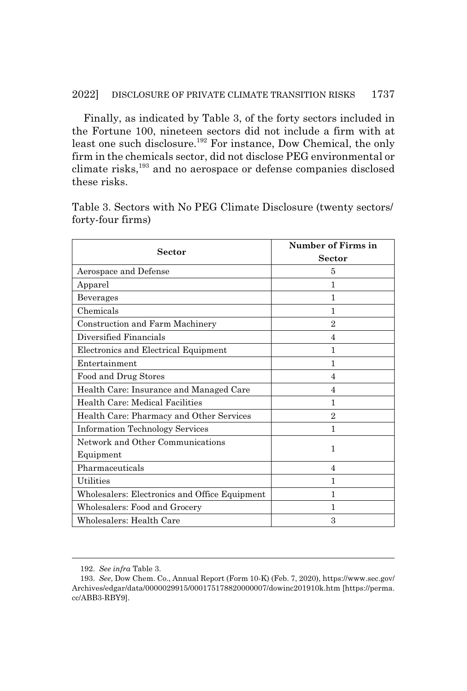Finally, as indicated by Table 3, of the forty sectors included in the Fortune 100, nineteen sectors did not include a firm with at least one such disclosure.192 For instance, Dow Chemical, the only firm in the chemicals sector, did not disclose PEG environmental or climate risks,<sup>193</sup> and no aerospace or defense companies disclosed these risks.

Table 3. Sectors with No PEG Climate Disclosure (twenty sectors/ forty-four firms)

| Sector                                        | <b>Number of Firms in</b> |
|-----------------------------------------------|---------------------------|
|                                               | <b>Sector</b>             |
| Aerospace and Defense                         | 5                         |
| Apparel                                       | 1                         |
| Beverages                                     | 1                         |
| Chemicals                                     | 1                         |
| Construction and Farm Machinery               | 2                         |
| Diversified Financials                        | 4                         |
| Electronics and Electrical Equipment          | 1                         |
| Entertainment                                 | 1                         |
| Food and Drug Stores                          | 4                         |
| Health Care: Insurance and Managed Care       | $\overline{4}$            |
| Health Care: Medical Facilities               | 1                         |
| Health Care: Pharmacy and Other Services      | $\mathfrak{D}$            |
| <b>Information Technology Services</b>        | 1                         |
| Network and Other Communications              | 1                         |
| Equipment                                     |                           |
| Pharmaceuticals                               | 4                         |
| <b>Utilities</b>                              | 1                         |
| Wholesalers: Electronics and Office Equipment | 1                         |
| Wholesalers: Food and Grocery                 | 1                         |
| Wholesalers: Health Care                      | 3                         |

<sup>192.</sup> *See infra* Table 3.

<sup>193.</sup> *See*, Dow Chem. Co., Annual Report (Form 10-K) (Feb. 7, 2020), https://www.sec.gov/ Archives/edgar/data/0000029915/000175178820000007/dowinc201910k.htm [https://perma. cc/ABB3-RBY9].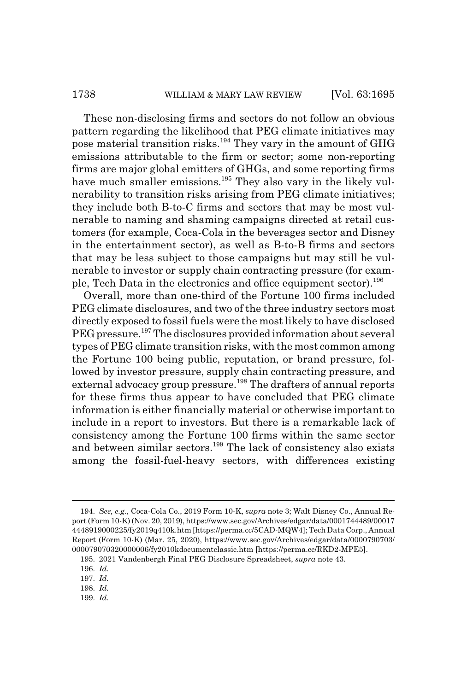These non-disclosing firms and sectors do not follow an obvious pattern regarding the likelihood that PEG climate initiatives may pose material transition risks.<sup>194</sup> They vary in the amount of  $GHG$ emissions attributable to the firm or sector; some non-reporting firms are major global emitters of GHGs, and some reporting firms have much smaller emissions.<sup>195</sup> They also vary in the likely vulnerability to transition risks arising from PEG climate initiatives; they include both B-to-C firms and sectors that may be most vulnerable to naming and shaming campaigns directed at retail customers (for example, Coca-Cola in the beverages sector and Disney in the entertainment sector), as well as B-to-B firms and sectors that may be less subject to those campaigns but may still be vulnerable to investor or supply chain contracting pressure (for example, Tech Data in the electronics and office equipment sector).<sup>196</sup>

Overall, more than one-third of the Fortune 100 firms included PEG climate disclosures, and two of the three industry sectors most directly exposed to fossil fuels were the most likely to have disclosed PEG pressure.<sup>197</sup> The disclosures provided information about several types of PEG climate transition risks, with the most common among the Fortune 100 being public, reputation, or brand pressure, followed by investor pressure, supply chain contracting pressure, and external advocacy group pressure.<sup>198</sup> The drafters of annual reports for these firms thus appear to have concluded that PEG climate information is either financially material or otherwise important to include in a report to investors. But there is a remarkable lack of consistency among the Fortune 100 firms within the same sector and between similar sectors.<sup>199</sup> The lack of consistency also exists among the fossil-fuel-heavy sectors, with differences existing

199. *Id.*

<sup>194.</sup> *See, e.g.*, Coca-Cola Co., 2019 Form 10-K, *supra* note 3; Walt Disney Co., Annual Report (Form 10-K) (Nov. 20, 2019), https://www.sec.gov/Archives/edgar/data/0001744489/00017 4448919000225/fy2019q410k.htm [https://perma.cc/5CAD-MQW4]; Tech Data Corp., Annual Report (Form 10-K) (Mar. 25, 2020), https://www.sec.gov/Archives/edgar/data/0000790703/ 000079070320000006/fy2010kdocumentclassic.htm [https://perma.cc/RKD2-MPE5].

<sup>195. 2021</sup> Vandenbergh Final PEG Disclosure Spreadsheet, *supra* note 43.

<sup>196.</sup> *Id.*

<sup>197.</sup> *Id.*

<sup>198.</sup> *Id.*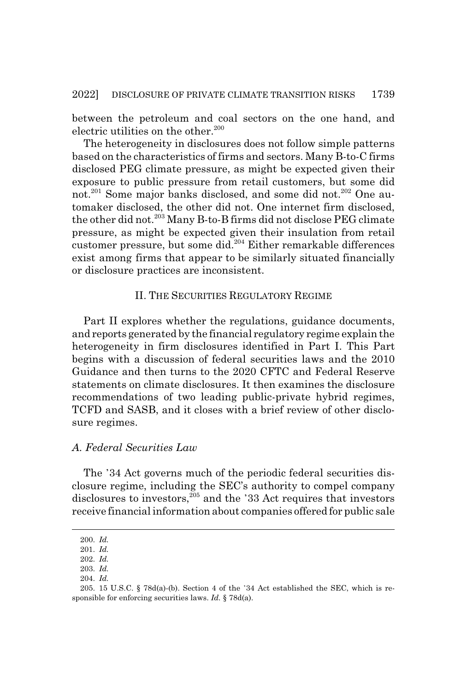between the petroleum and coal sectors on the one hand, and electric utilities on the other.<sup>200</sup>

The heterogeneity in disclosures does not follow simple patterns based on the characteristics of firms and sectors. Many B-to-C firms disclosed PEG climate pressure, as might be expected given their exposure to public pressure from retail customers, but some did not.<sup>201</sup> Some major banks disclosed, and some did not.<sup>202</sup> One automaker disclosed, the other did not. One internet firm disclosed, the other did not.203 Many B-to-B firms did not disclose PEG climate pressure, as might be expected given their insulation from retail customer pressure, but some did.<sup>204</sup> Either remarkable differences exist among firms that appear to be similarly situated financially or disclosure practices are inconsistent.

## II. THE SECURITIES REGULATORY REGIME

Part II explores whether the regulations, guidance documents, and reports generated by the financial regulatory regime explain the heterogeneity in firm disclosures identified in Part I. This Part begins with a discussion of federal securities laws and the 2010 Guidance and then turns to the 2020 CFTC and Federal Reserve statements on climate disclosures. It then examines the disclosure recommendations of two leading public-private hybrid regimes, TCFD and SASB, and it closes with a brief review of other disclosure regimes.

#### *A. Federal Securities Law*

The 34 Act governs much of the periodic federal securities disclosure regime, including the SEC's authority to compel company disclosures to investors, $^{205}$  and the '33 Act requires that investors receive financial information about companies offered for public sale

<sup>200.</sup> *Id.*

<sup>201.</sup> *Id.*

<sup>202.</sup> *Id.* 203. *Id.*

<sup>204.</sup> *Id.*

<sup>205. 15</sup> U.S.C. § 78d(a)-(b). Section 4 of the 34 Act established the SEC, which is responsible for enforcing securities laws. *Id.* § 78d(a).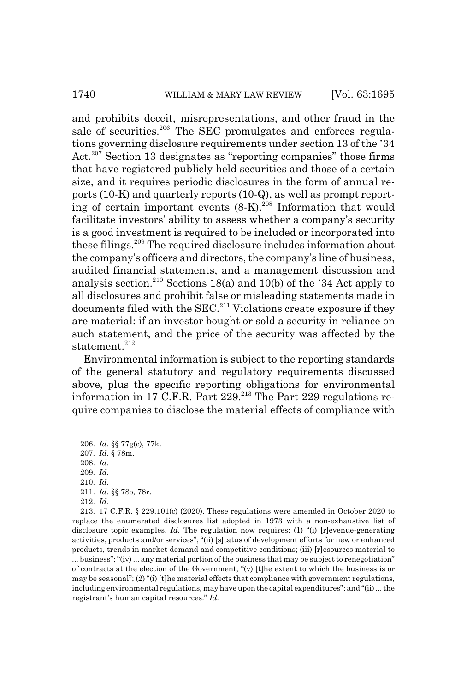and prohibits deceit, misrepresentations, and other fraud in the sale of securities.<sup>206</sup> The SEC promulgates and enforces regulations governing disclosure requirements under section 13 of the 34 Act.<sup>207</sup> Section 13 designates as "reporting companies" those firms that have registered publicly held securities and those of a certain size, and it requires periodic disclosures in the form of annual reports (10-K) and quarterly reports (10-Q), as well as prompt reporting of certain important events (8-K).208 Information that would facilitate investors' ability to assess whether a company's security is a good investment is required to be included or incorporated into these filings.209 The required disclosure includes information about the company's officers and directors, the company's line of business, audited financial statements, and a management discussion and analysis section.<sup>210</sup> Sections 18(a) and 10(b) of the '34 Act apply to all disclosures and prohibit false or misleading statements made in documents filed with the  $SEC.<sup>211</sup> Violations create exposure if they$ are material: if an investor bought or sold a security in reliance on such statement, and the price of the security was affected by the statement.<sup>212</sup>

Environmental information is subject to the reporting standards of the general statutory and regulatory requirements discussed above, plus the specific reporting obligations for environmental information in 17 C.F.R. Part 229.213 The Part 229 regulations require companies to disclose the material effects of compliance with

209. *Id.*

213. 17 C.F.R. § 229.101(c) (2020). These regulations were amended in October 2020 to replace the enumerated disclosures list adopted in 1973 with a non-exhaustive list of disclosure topic examples. *Id.* The regulation now requires: (1) "(i) [r]evenue-generating activities, products and/or services"; "(ii) [s]tatus of development efforts for new or enhanced products, trends in market demand and competitive conditions; (iii) [r]esources material to ... business"; "(iv) ... any material portion of the business that may be subject to renegotiation" of contracts at the election of the Government; "(v) [t]he extent to which the business is or may be seasonal"; (2) "(i) [t]he material effects that compliance with government regulations, including environmental regulations, may have upon the capital expenditures"; and "(ii) ... the registrant's human capital resources." *Id.*

<sup>206.</sup> *Id.* §§ 77g(c), 77k.

<sup>207.</sup> *Id.* § 78m.

<sup>208.</sup> *Id.*

<sup>210.</sup> *Id.*

<sup>211.</sup> *Id.* §§ 78o, 78r.

<sup>212.</sup> *Id.*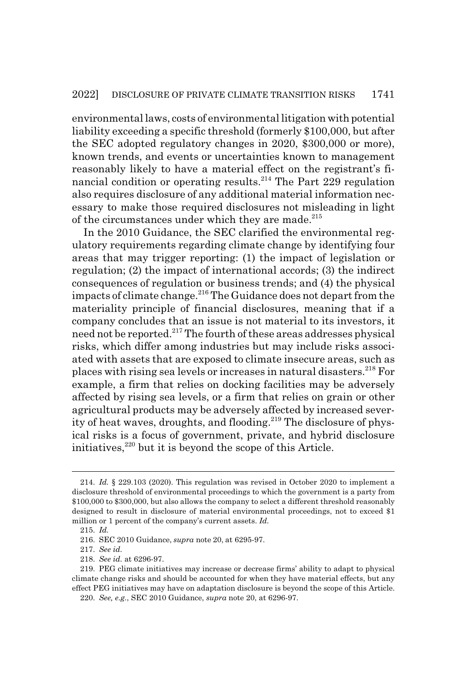environmental laws, costs of environmental litigation with potential liability exceeding a specific threshold (formerly \$100,000, but after the SEC adopted regulatory changes in 2020, \$300,000 or more), known trends, and events or uncertainties known to management reasonably likely to have a material effect on the registrant's financial condition or operating results.<sup>214</sup> The Part 229 regulation also requires disclosure of any additional material information necessary to make those required disclosures not misleading in light of the circumstances under which they are made. $^{215}$ 

In the 2010 Guidance, the SEC clarified the environmental regulatory requirements regarding climate change by identifying four areas that may trigger reporting: (1) the impact of legislation or regulation; (2) the impact of international accords; (3) the indirect consequences of regulation or business trends; and (4) the physical impacts of climate change.<sup>216</sup> The Guidance does not depart from the materiality principle of financial disclosures, meaning that if a company concludes that an issue is not material to its investors, it need not be reported.<sup>217</sup> The fourth of these areas addresses physical risks, which differ among industries but may include risks associated with assets that are exposed to climate insecure areas, such as places with rising sea levels or increases in natural disasters.218 For example, a firm that relies on docking facilities may be adversely affected by rising sea levels, or a firm that relies on grain or other agricultural products may be adversely affected by increased severity of heat waves, droughts, and flooding.<sup>219</sup> The disclosure of physical risks is a focus of government, private, and hybrid disclosure initiatives,<sup>220</sup> but it is beyond the scope of this Article.

<sup>214.</sup> *Id.* § 229.103 (2020). This regulation was revised in October 2020 to implement a disclosure threshold of environmental proceedings to which the government is a party from \$100,000 to \$300,000, but also allows the company to select a different threshold reasonably designed to result in disclosure of material environmental proceedings, not to exceed \$1 million or 1 percent of the company's current assets. *Id.*

<sup>215.</sup> *Id.*

<sup>216.</sup> SEC 2010 Guidance, *supra* note 20, at 6295-97.

<sup>217.</sup> *See id.*

<sup>218.</sup> *See id.* at 6296-97.

<sup>219.</sup> PEG climate initiatives may increase or decrease firms' ability to adapt to physical climate change risks and should be accounted for when they have material effects, but any effect PEG initiatives may have on adaptation disclosure is beyond the scope of this Article.

<sup>220.</sup> *See, e.g.*, SEC 2010 Guidance, *supra* note 20, at 6296-97.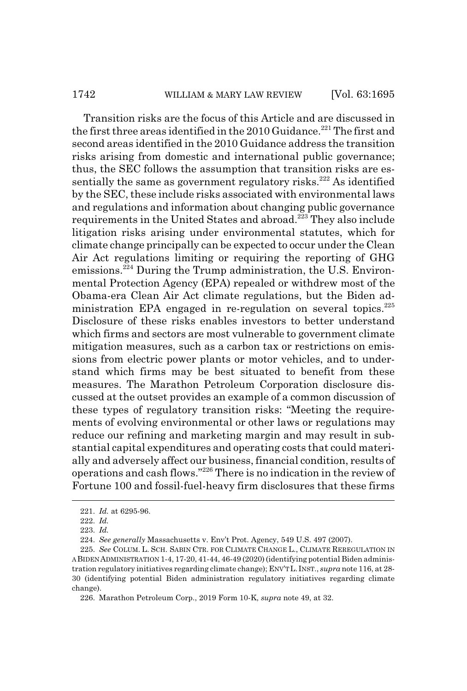#### 1742 WILLIAM & MARY LAW REVIEW [Vol. 63:1695]

Transition risks are the focus of this Article and are discussed in the first three areas identified in the 2010 Guidance.<sup>221</sup> The first and second areas identified in the 2010 Guidance address the transition risks arising from domestic and international public governance; thus, the SEC follows the assumption that transition risks are essentially the same as government regulatory risks.<sup>222</sup> As identified by the SEC, these include risks associated with environmental laws and regulations and information about changing public governance requirements in the United States and abroad.<sup>223</sup> They also include litigation risks arising under environmental statutes, which for climate change principally can be expected to occur under the Clean Air Act regulations limiting or requiring the reporting of GHG emissions.224 During the Trump administration, the U.S. Environmental Protection Agency (EPA) repealed or withdrew most of the Obama-era Clean Air Act climate regulations, but the Biden administration EPA engaged in re-regulation on several topics.<sup>225</sup> Disclosure of these risks enables investors to better understand which firms and sectors are most vulnerable to government climate mitigation measures, such as a carbon tax or restrictions on emissions from electric power plants or motor vehicles, and to understand which firms may be best situated to benefit from these measures. The Marathon Petroleum Corporation disclosure discussed at the outset provides an example of a common discussion of these types of regulatory transition risks: "Meeting the requirements of evolving environmental or other laws or regulations may reduce our refining and marketing margin and may result in substantial capital expenditures and operating costs that could materially and adversely affect our business, financial condition, results of operations and cash flows."226 There is no indication in the review of Fortune 100 and fossil-fuel-heavy firm disclosures that these firms

<sup>221.</sup> *Id.* at 6295-96.

<sup>222.</sup> *Id.*

<sup>223.</sup> *Id.*

<sup>224.</sup> *See generally* Massachusetts v. Env't Prot. Agency, 549 U.S. 497 (2007).

<sup>225.</sup> *See* COLUM. L. SCH. SABIN CTR. FOR CLIMATE CHANGE L., CLIMATE REREGULATION IN A BIDEN ADMINISTRATION 1-4, 17-20, 41-44, 46-49 (2020) (identifying potential Biden administration regulatory initiatives regarding climate change); ENV'TL.INST., *supra* note 116, at 28- 30 (identifying potential Biden administration regulatory initiatives regarding climate change).

<sup>226.</sup> Marathon Petroleum Corp., 2019 Form 10-K, *supra* note 49, at 32.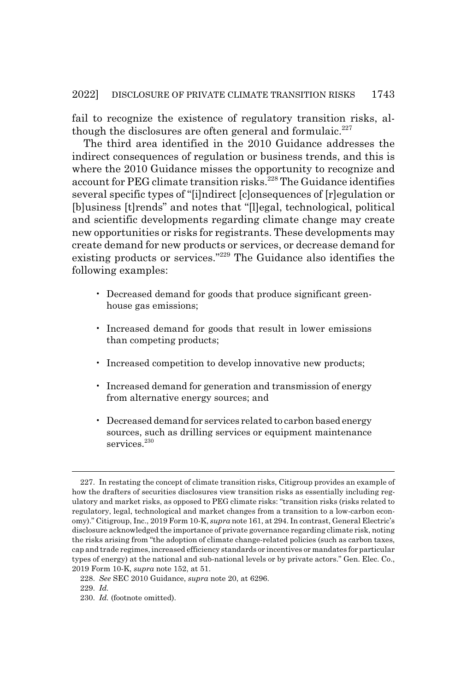fail to recognize the existence of regulatory transition risks, although the disclosures are often general and formulaic.<sup>227</sup>

The third area identified in the 2010 Guidance addresses the indirect consequences of regulation or business trends, and this is where the 2010 Guidance misses the opportunity to recognize and account for PEG climate transition risks.<sup>228</sup> The Guidance identifies several specific types of "[i]ndirect [c]onsequences of [r]egulation or [b]usiness [t]rends" and notes that "[l]egal, technological, political and scientific developments regarding climate change may create new opportunities or risks for registrants. These developments may create demand for new products or services, or decrease demand for existing products or services."229 The Guidance also identifies the following examples:

- Decreased demand for goods that produce significant greenhouse gas emissions;
- Increased demand for goods that result in lower emissions than competing products;
- Increased competition to develop innovative new products;
- Increased demand for generation and transmission of energy from alternative energy sources; and
- Decreased demand for services related to carbon based energy sources, such as drilling services or equipment maintenance services.<sup>230</sup>

<sup>227.</sup> In restating the concept of climate transition risks, Citigroup provides an example of how the drafters of securities disclosures view transition risks as essentially including regulatory and market risks, as opposed to PEG climate risks: "transition risks (risks related to regulatory, legal, technological and market changes from a transition to a low-carbon economy)." Citigroup, Inc., 2019 Form 10-K, *supra* note 161, at 294. In contrast, General Electric's disclosure acknowledged the importance of private governance regarding climate risk, noting the risks arising from "the adoption of climate change-related policies (such as carbon taxes, cap and trade regimes, increased efficiency standards or incentives or mandates for particular types of energy) at the national and sub-national levels or by private actors." Gen. Elec. Co., 2019 Form 10-K, *supra* note 152, at 51.

<sup>228.</sup> *See* SEC 2010 Guidance, *supra* note 20, at 6296.

<sup>229.</sup> *Id.*

<sup>230.</sup> *Id.* (footnote omitted).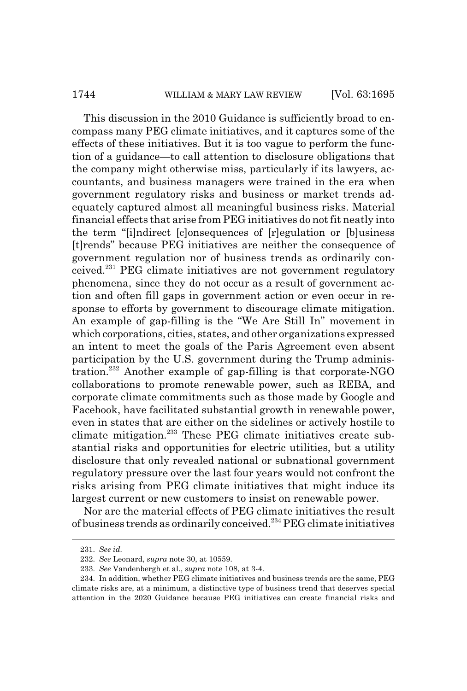#### 1744 WILLIAM & MARY LAW REVIEW [Vol. 63:1695]

This discussion in the 2010 Guidance is sufficiently broad to encompass many PEG climate initiatives, and it captures some of the effects of these initiatives. But it is too vague to perform the function of a guidance—to call attention to disclosure obligations that the company might otherwise miss, particularly if its lawyers, accountants, and business managers were trained in the era when government regulatory risks and business or market trends adequately captured almost all meaningful business risks. Material financial effects that arise from PEG initiatives do not fit neatly into the term "[i]ndirect [c]onsequences of [r]egulation or [b]usiness [t]rends" because PEG initiatives are neither the consequence of government regulation nor of business trends as ordinarily conceived.231 PEG climate initiatives are not government regulatory phenomena, since they do not occur as a result of government action and often fill gaps in government action or even occur in response to efforts by government to discourage climate mitigation. An example of gap-filling is the "We Are Still In" movement in which corporations, cities, states, and other organizations expressed an intent to meet the goals of the Paris Agreement even absent participation by the U.S. government during the Trump administration.<sup>232</sup> Another example of gap-filling is that corporate-NGO collaborations to promote renewable power, such as REBA, and corporate climate commitments such as those made by Google and Facebook, have facilitated substantial growth in renewable power, even in states that are either on the sidelines or actively hostile to climate mitigation.233 These PEG climate initiatives create substantial risks and opportunities for electric utilities, but a utility disclosure that only revealed national or subnational government regulatory pressure over the last four years would not confront the risks arising from PEG climate initiatives that might induce its largest current or new customers to insist on renewable power.

Nor are the material effects of PEG climate initiatives the result of business trends as ordinarily conceived.234 PEG climate initiatives

<sup>231.</sup> *See id.*

<sup>232.</sup> *See* Leonard, *supra* note 30, at 10559.

<sup>233.</sup> *See* Vandenbergh et al., *supra* note 108, at 3-4.

<sup>234.</sup> In addition, whether PEG climate initiatives and business trends are the same, PEG climate risks are, at a minimum, a distinctive type of business trend that deserves special attention in the 2020 Guidance because PEG initiatives can create financial risks and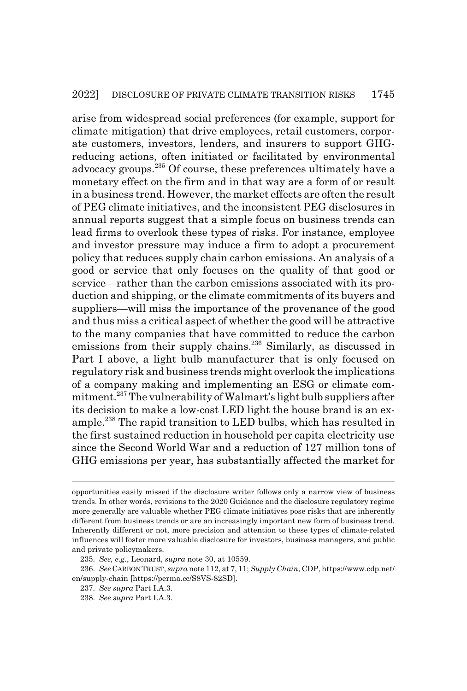arise from widespread social preferences (for example, support for climate mitigation) that drive employees, retail customers, corporate customers, investors, lenders, and insurers to support GHGreducing actions, often initiated or facilitated by environmental advocacy groups.<sup>235</sup> Of course, these preferences ultimately have a monetary effect on the firm and in that way are a form of or result in a business trend. However, the market effects are often the result of PEG climate initiatives, and the inconsistent PEG disclosures in annual reports suggest that a simple focus on business trends can lead firms to overlook these types of risks. For instance, employee and investor pressure may induce a firm to adopt a procurement policy that reduces supply chain carbon emissions. An analysis of a good or service that only focuses on the quality of that good or service—rather than the carbon emissions associated with its production and shipping, or the climate commitments of its buyers and suppliers—will miss the importance of the provenance of the good and thus miss a critical aspect of whether the good will be attractive to the many companies that have committed to reduce the carbon emissions from their supply chains.<sup>236</sup> Similarly, as discussed in Part I above, a light bulb manufacturer that is only focused on regulatory risk and business trends might overlook the implications of a company making and implementing an ESG or climate commitment.237 The vulnerability of Walmart's light bulb suppliers after its decision to make a low-cost LED light the house brand is an example.<sup>238</sup> The rapid transition to LED bulbs, which has resulted in the first sustained reduction in household per capita electricity use since the Second World War and a reduction of 127 million tons of GHG emissions per year, has substantially affected the market for

opportunities easily missed if the disclosure writer follows only a narrow view of business trends. In other words, revisions to the 2020 Guidance and the disclosure regulatory regime more generally are valuable whether PEG climate initiatives pose risks that are inherently different from business trends or are an increasingly important new form of business trend. Inherently different or not, more precision and attention to these types of climate-related influences will foster more valuable disclosure for investors, business managers, and public and private policymakers.

<sup>235.</sup> *See, e.g.*, Leonard, *supra* note 30, at 10559.

<sup>236.</sup> *See* CARBON TRUST, *supra* note 112, at 7, 11; *Supply Chain*, CDP, https://www.cdp.net/ en/supply-chain [https://perma.cc/S8VS-82SD].

<sup>237.</sup> *See supra* Part I.A.3.

<sup>238.</sup> *See supra* Part I.A.3.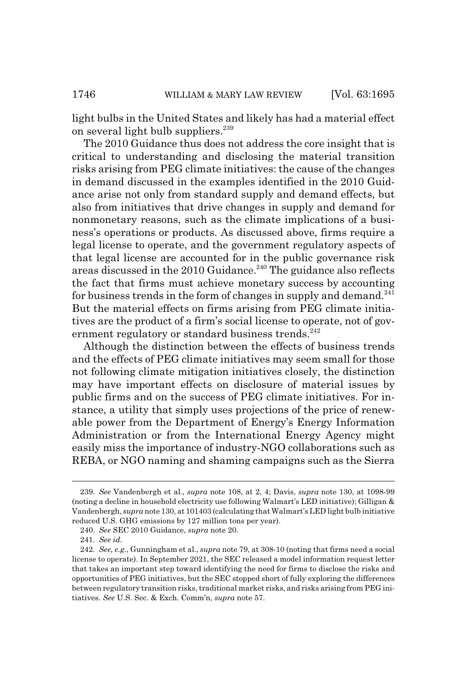light bulbs in the United States and likely has had a material effect on several light bulb suppliers.  $239$ 

The 2010 Guidance thus does not address the core insight that is critical to understanding and disclosing the material transition risks arising from PEG climate initiatives: the cause of the changes in demand discussed in the examples identified in the 2010 Guidance arise not only from standard supply and demand effects, but also from initiatives that drive changes in supply and demand for nonmonetary reasons, such as the climate implications of a business's operations or products. As discussed above, firms require a legal license to operate, and the government regulatory aspects of that legal license are accounted for in the public governance risk areas discussed in the 2010 Guidance.<sup>240</sup> The guidance also reflects the fact that firms must achieve monetary success by accounting for business trends in the form of changes in supply and demand.<sup>241</sup> But the material effects on firms arising from PEG climate initiatives are the product of a firm's social license to operate, not of government regulatory or standard business trends.<sup>242</sup>

Although the distinction between the effects of business trends and the effects of PEG climate initiatives may seem small for those not following climate mitigation initiatives closely, the distinction may have important effects on disclosure of material issues by public firms and on the success of PEG climate initiatives. For instance, a utility that simply uses projections of the price of renewable power from the Department of Energy's Energy Information Administration or from the International Energy Agency might easily miss the importance of industry-NGO collaborations such as REBA, or NGO naming and shaming campaigns such as the Sierra

<sup>239.</sup> *See* Vandenbergh et al., *supra* note 108, at 2, 4; Davis, *supra* note 130, at 1098-99 (noting a decline in household electricity use following Walmart's LED initiative); Gilligan & Vandenbergh, *supra* note 130, at 101403 (calculating that Walmart's LED light bulb initiative reduced U.S. GHG emissions by 127 million tons per year).

<sup>240.</sup> *See* SEC 2010 Guidance, *supra* note 20.

<sup>241.</sup> *See id.*

<sup>242.</sup> *See, e.g.*, Gunningham et al., *supra* note 79, at 308-10 (noting that firms need a social license to operate). In September 2021, the SEC released a model information request letter that takes an important step toward identifying the need for firms to disclose the risks and opportunities of PEG initiatives, but the SEC stopped short of fully exploring the differences between regulatory transition risks, traditional market risks, and risks arising from PEG initiatives. *See* U.S. Sec. & Exch. Comm'n, *supra* note 57.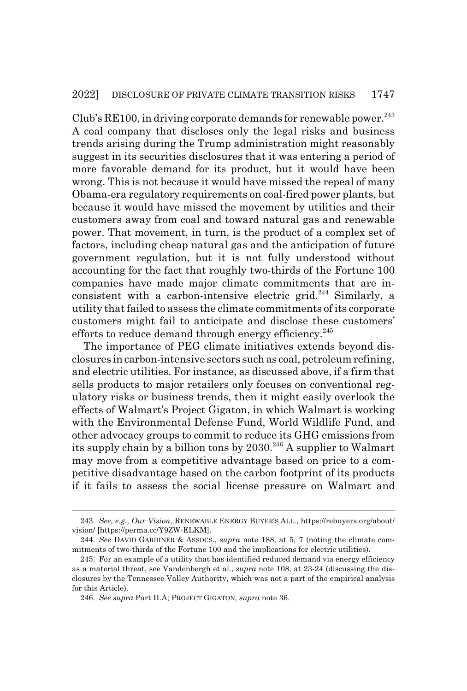Club's  $RE100$ , in driving corporate demands for renewable power.<sup>243</sup> A coal company that discloses only the legal risks and business trends arising during the Trump administration might reasonably suggest in its securities disclosures that it was entering a period of more favorable demand for its product, but it would have been wrong. This is not because it would have missed the repeal of many Obama-era regulatory requirements on coal-fired power plants, but because it would have missed the movement by utilities and their customers away from coal and toward natural gas and renewable power. That movement, in turn, is the product of a complex set of factors, including cheap natural gas and the anticipation of future government regulation, but it is not fully understood without accounting for the fact that roughly two-thirds of the Fortune 100 companies have made major climate commitments that are inconsistent with a carbon-intensive electric grid.<sup>244</sup> Similarly, a utility that failed to assess the climate commitments of its corporate customers might fail to anticipate and disclose these customers' efforts to reduce demand through energy efficiency.<sup>245</sup>

The importance of PEG climate initiatives extends beyond disclosures in carbon-intensive sectors such as coal, petroleum refining, and electric utilities. For instance, as discussed above, if a firm that sells products to major retailers only focuses on conventional regulatory risks or business trends, then it might easily overlook the effects of Walmart's Project Gigaton, in which Walmart is working with the Environmental Defense Fund, World Wildlife Fund, and other advocacy groups to commit to reduce its GHG emissions from its supply chain by a billion tons by  $2030.<sup>246</sup>$  A supplier to Walmart may move from a competitive advantage based on price to a competitive disadvantage based on the carbon footprint of its products if it fails to assess the social license pressure on Walmart and

<sup>243.</sup> *See, e.g.*, *Our Vision*, RENEWABLE ENERGY BUYER'S ALL., https://rebuyers.org/about/ vision/ [https://perma.cc/Y9ZW-ELKM].

<sup>244.</sup> *See* DAVID GARDINER & ASSOCS., *supra* note 188, at 5, 7 (noting the climate commitments of two-thirds of the Fortune 100 and the implications for electric utilities).

<sup>245.</sup> For an example of a utility that has identified reduced demand via energy efficiency as a material threat, see Vandenbergh et al., *supra* note 108, at 23-24 (discussing the disclosures by the Tennessee Valley Authority, which was not a part of the empirical analysis for this Article).

<sup>246.</sup> *See supra* Part II.A; PROJECT GIGATON, *supra* note 36.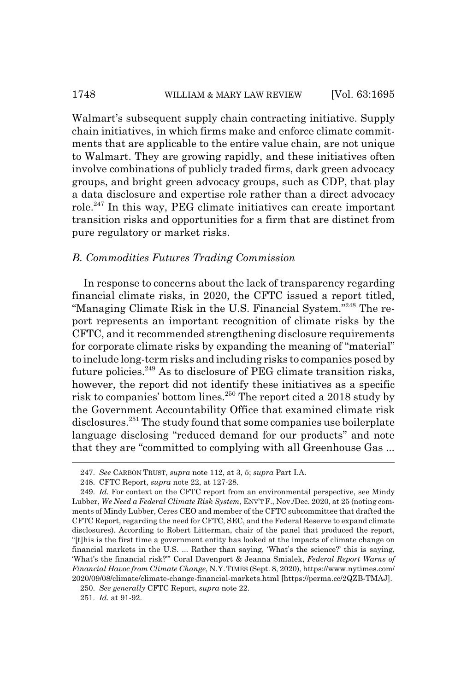#### 1748 WILLIAM & MARY LAW REVIEW [Vol. 63:1695]

Walmart's subsequent supply chain contracting initiative. Supply chain initiatives, in which firms make and enforce climate commitments that are applicable to the entire value chain, are not unique to Walmart. They are growing rapidly, and these initiatives often involve combinations of publicly traded firms, dark green advocacy groups, and bright green advocacy groups, such as CDP, that play a data disclosure and expertise role rather than a direct advocacy role.247 In this way, PEG climate initiatives can create important transition risks and opportunities for a firm that are distinct from pure regulatory or market risks.

#### *B. Commodities Futures Trading Commission*

In response to concerns about the lack of transparency regarding financial climate risks, in 2020, the CFTC issued a report titled, "Managing Climate Risk in the U.S. Financial System."<sup>248</sup> The report represents an important recognition of climate risks by the CFTC, and it recommended strengthening disclosure requirements for corporate climate risks by expanding the meaning of "material" to include long-term risks and including risks to companies posed by future policies. $249$  As to disclosure of PEG climate transition risks, however, the report did not identify these initiatives as a specific risk to companies' bottom lines.250 The report cited a 2018 study by the Government Accountability Office that examined climate risk disclosures.251 The study found that some companies use boilerplate language disclosing "reduced demand for our products" and note that they are "committed to complying with all Greenhouse Gas ...

<sup>247.</sup> *See* CARBON TRUST, *supra* note 112, at 3, 5; *supra* Part I.A.

<sup>248.</sup> CFTC Report, *supra* note 22, at 127-28.

<sup>249.</sup> *Id.* For context on the CFTC report from an environmental perspective, see Mindy Lubber, *We Need a Federal Climate Risk System*, ENV'T F., Nov./Dec. 2020, at 25 (noting comments of Mindy Lubber, Ceres CEO and member of the CFTC subcommittee that drafted the CFTC Report, regarding the need for CFTC, SEC, and the Federal Reserve to expand climate disclosures). According to Robert Litterman, chair of the panel that produced the report, "[t]his is the first time a government entity has looked at the impacts of climate change on financial markets in the U.S. ... Rather than saying, 'What's the science?' this is saying, 'What's the financial risk?'" Coral Davenport & Jeanna Smialek, *Federal Report Warns of Financial Havoc from Climate Change*, N.Y.TIMES (Sept. 8, 2020), https://www.nytimes.com/ 2020/09/08/climate/climate-change-financial-markets.html [https://perma.cc/2QZB-TMAJ].

<sup>250.</sup> *See generally* CFTC Report, *supra* note 22.

<sup>251.</sup> *Id.* at 91-92.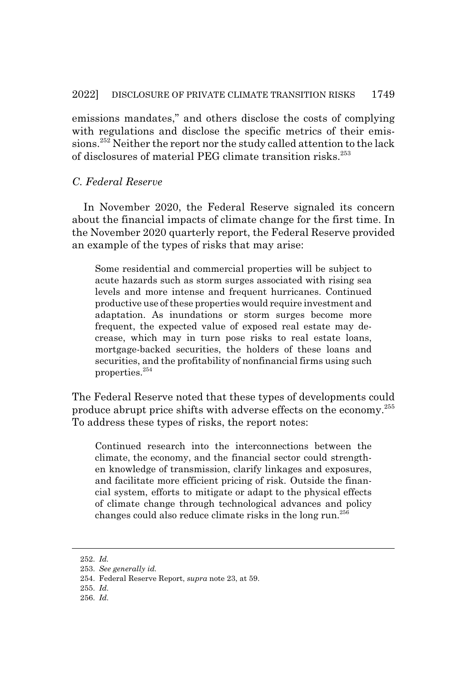emissions mandates," and others disclose the costs of complying with regulations and disclose the specific metrics of their emissions.252 Neither the report nor the study called attention to the lack of disclosures of material PEG climate transition risks.253

## *C. Federal Reserve*

In November 2020, the Federal Reserve signaled its concern about the financial impacts of climate change for the first time. In the November 2020 quarterly report, the Federal Reserve provided an example of the types of risks that may arise:

Some residential and commercial properties will be subject to acute hazards such as storm surges associated with rising sea levels and more intense and frequent hurricanes. Continued productive use of these properties would require investment and adaptation. As inundations or storm surges become more frequent, the expected value of exposed real estate may decrease, which may in turn pose risks to real estate loans, mortgage-backed securities, the holders of these loans and securities, and the profitability of nonfinancial firms using such properties.254

The Federal Reserve noted that these types of developments could produce abrupt price shifts with adverse effects on the economy.255 To address these types of risks, the report notes:

Continued research into the interconnections between the climate, the economy, and the financial sector could strengthen knowledge of transmission, clarify linkages and exposures, and facilitate more efficient pricing of risk. Outside the financial system, efforts to mitigate or adapt to the physical effects of climate change through technological advances and policy changes could also reduce climate risks in the long run.<sup>256</sup>

<sup>252.</sup> *Id.*

<sup>253.</sup> *See generally id.*

<sup>254.</sup> Federal Reserve Report, *supra* note 23, at 59.

<sup>255.</sup> *Id.*

<sup>256.</sup> *Id.*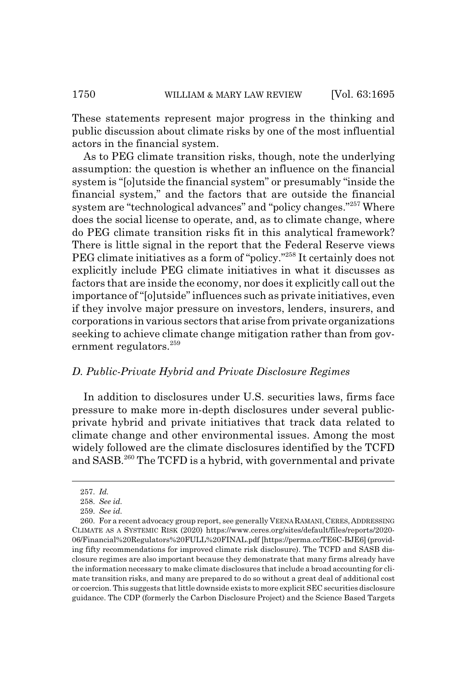These statements represent major progress in the thinking and public discussion about climate risks by one of the most influential actors in the financial system.

As to PEG climate transition risks, though, note the underlying assumption: the question is whether an influence on the financial system is "[o]utside the financial system" or presumably "inside the financial system," and the factors that are outside the financial system are "technological advances" and "policy changes."257 Where does the social license to operate, and, as to climate change, where do PEG climate transition risks fit in this analytical framework? There is little signal in the report that the Federal Reserve views PEG climate initiatives as a form of "policy."258 It certainly does not explicitly include PEG climate initiatives in what it discusses as factors that are inside the economy, nor does it explicitly call out the importance of "[o]utside" influences such as private initiatives, even if they involve major pressure on investors, lenders, insurers, and corporations in various sectors that arise from private organizations seeking to achieve climate change mitigation rather than from government regulators.<sup>259</sup>

## *D. Public-Private Hybrid and Private Disclosure Regimes*

In addition to disclosures under U.S. securities laws, firms face pressure to make more in-depth disclosures under several publicprivate hybrid and private initiatives that track data related to climate change and other environmental issues. Among the most widely followed are the climate disclosures identified by the TCFD and SASB.260 The TCFD is a hybrid, with governmental and private

<sup>257.</sup> *Id.*

<sup>258.</sup> *See id.*

<sup>259.</sup> *See id.*

<sup>260.</sup> For a recent advocacy group report, see generally VEENA RAMANI, CERES, ADDRESSING CLIMATE AS A SYSTEMIC RISK (2020) https://www.ceres.org/sites/default/files/reports/2020- 06/Financial%20Regulators%20FULL%20FINAL.pdf [https://perma.cc/TE6C-BJE6] (providing fifty recommendations for improved climate risk disclosure). The TCFD and SASB disclosure regimes are also important because they demonstrate that many firms already have the information necessary to make climate disclosures that include a broad accounting for climate transition risks, and many are prepared to do so without a great deal of additional cost or coercion. This suggests that little downside exists to more explicit SEC securities disclosure guidance. The CDP (formerly the Carbon Disclosure Project) and the Science Based Targets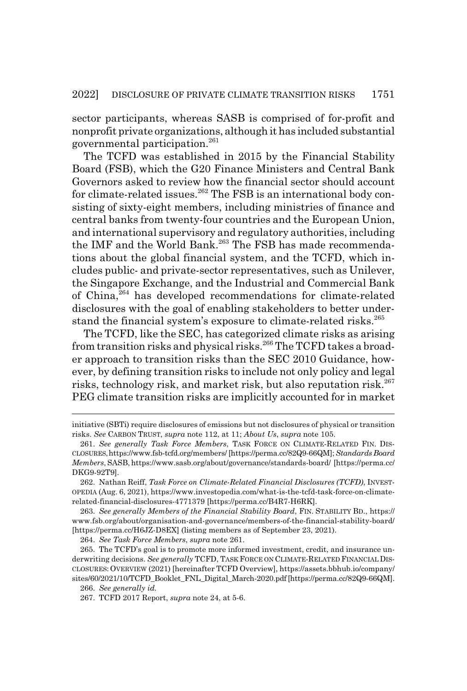sector participants, whereas SASB is comprised of for-profit and nonprofit private organizations, although it has included substantial governmental participation.261

The TCFD was established in 2015 by the Financial Stability Board (FSB), which the G20 Finance Ministers and Central Bank Governors asked to review how the financial sector should account for climate-related issues.<sup>262</sup> The FSB is an international body consisting of sixty-eight members, including ministries of finance and central banks from twenty-four countries and the European Union, and international supervisory and regulatory authorities, including the IMF and the World Bank.<sup>263</sup> The FSB has made recommendations about the global financial system, and the TCFD, which includes public- and private-sector representatives, such as Unilever, the Singapore Exchange, and the Industrial and Commercial Bank of China,264 has developed recommendations for climate-related disclosures with the goal of enabling stakeholders to better understand the financial system's exposure to climate-related risks.<sup>265</sup>

The TCFD, like the SEC, has categorized climate risks as arising from transition risks and physical risks.<sup>266</sup> The TCFD takes a broader approach to transition risks than the SEC 2010 Guidance, however, by defining transition risks to include not only policy and legal risks, technology risk, and market risk, but also reputation risk.<sup>267</sup> PEG climate transition risks are implicitly accounted for in market

263. *See generally Members of the Financial Stability Board*, FIN. STABILITY BD., https:// www.fsb.org/about/organisation-and-governance/members-of-the-financial-stability-board/ [https://perma.cc/H6JZ-D8EX] (listing members as of September 23, 2021).

264. *See Task Force Members*, *supra* note 261.

initiative (SBTi) require disclosures of emissions but not disclosures of physical or transition risks. *See* CARBON TRUST, *supra* note 112, at 11; *About Us*, *supra* note 105.

<sup>261.</sup> *See generally Task Force Members*, TASK FORCE ON CLIMATE-RELATED FIN. DIS-CLOSURES,https://www.fsb-tcfd.org/members/ [https://perma.cc/82Q9-66QM]; *Standards Board Members*, SASB, https://www.sasb.org/about/governance/standards-board/ [https://perma.cc/ DKG9-92T9].

<sup>262.</sup> Nathan Reiff, *Task Force on Climate-Related Financial Disclosures (TCFD)*, INVEST-OPEDIA (Aug. 6, 2021), https://www.investopedia.com/what-is-the-tcfd-task-force-on-climaterelated-financial-disclosures-4771379 [https://perma.cc/B4R7-H6RK].

<sup>265.</sup> The TCFD's goal is to promote more informed investment, credit, and insurance underwriting decisions. *See generally* TCFD, TASK FORCE ON CLIMATE-RELATED FINANCIAL DIS-CLOSURES: OVERVIEW (2021) [hereinafter TCFD Overview], https://assets.bbhub.io/company/ sites/60/2021/10/TCFD\_Booklet\_FNL\_Digital\_March-2020.pdf [https://perma.cc/82Q9-66QM].

<sup>266.</sup> *See generally id.*

<sup>267.</sup> TCFD 2017 Report, *supra* note 24, at 5-6.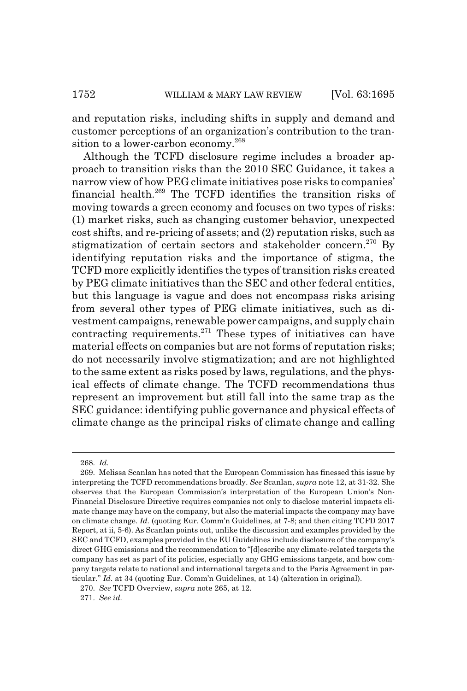and reputation risks, including shifts in supply and demand and customer perceptions of an organization's contribution to the transition to a lower-carbon economy.<sup>268</sup>

Although the TCFD disclosure regime includes a broader approach to transition risks than the 2010 SEC Guidance, it takes a narrow view of how PEG climate initiatives pose risks to companies' financial health.269 The TCFD identifies the transition risks of moving towards a green economy and focuses on two types of risks: (1) market risks, such as changing customer behavior, unexpected cost shifts, and re-pricing of assets; and (2) reputation risks, such as stigmatization of certain sectors and stakeholder concern.<sup>270</sup> By identifying reputation risks and the importance of stigma, the TCFD more explicitly identifies the types of transition risks created by PEG climate initiatives than the SEC and other federal entities, but this language is vague and does not encompass risks arising from several other types of PEG climate initiatives, such as divestment campaigns, renewable power campaigns, and supply chain contracting requirements. $271$  These types of initiatives can have material effects on companies but are not forms of reputation risks; do not necessarily involve stigmatization; and are not highlighted to the same extent as risks posed by laws, regulations, and the physical effects of climate change. The TCFD recommendations thus represent an improvement but still fall into the same trap as the SEC guidance: identifying public governance and physical effects of climate change as the principal risks of climate change and calling

<sup>268.</sup> *Id.*

<sup>269.</sup> Melissa Scanlan has noted that the European Commission has finessed this issue by interpreting the TCFD recommendations broadly. *See* Scanlan, *supra* note 12, at 31-32. She observes that the European Commission's interpretation of the European Union's Non-Financial Disclosure Directive requires companies not only to disclose material impacts climate change may have on the company, but also the material impacts the company may have on climate change. *Id.* (quoting Eur. Comm'n Guidelines, at 7-8; and then citing TCFD 2017 Report, at ii, 5-6). As Scanlan points out, unlike the discussion and examples provided by the SEC and TCFD, examples provided in the EU Guidelines include disclosure of the company's direct GHG emissions and the recommendation to "[d]escribe any climate-related targets the company has set as part of its policies, especially any GHG emissions targets, and how company targets relate to national and international targets and to the Paris Agreement in particular." *Id.* at 34 (quoting Eur. Comm'n Guidelines, at 14) (alteration in original).

<sup>270.</sup> *See* TCFD Overview, *supra* note 265, at 12.

<sup>271.</sup> *See id.*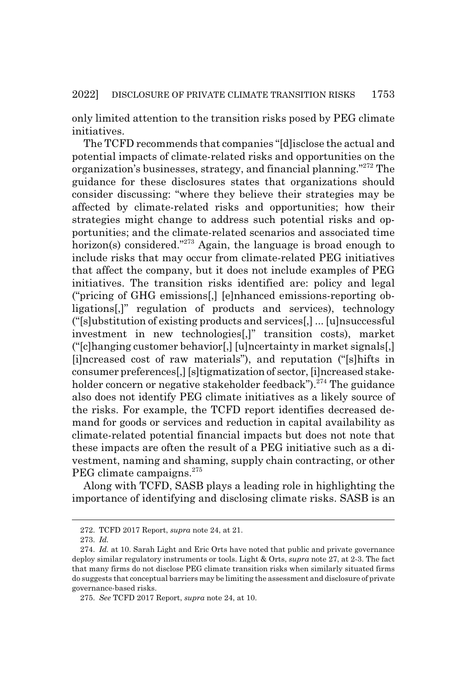only limited attention to the transition risks posed by PEG climate initiatives.

The TCFD recommends that companies "[d]isclose the actual and potential impacts of climate-related risks and opportunities on the organization's businesses, strategy, and financial planning."272 The guidance for these disclosures states that organizations should consider discussing: "where they believe their strategies may be affected by climate-related risks and opportunities; how their strategies might change to address such potential risks and opportunities; and the climate-related scenarios and associated time horizon(s) considered."<sup>273</sup> Again, the language is broad enough to include risks that may occur from climate-related PEG initiatives that affect the company, but it does not include examples of PEG initiatives. The transition risks identified are: policy and legal ("pricing of GHG emissions[,] [e]nhanced emissions-reporting obligations[,]" regulation of products and services), technology ("[s]ubstitution of existing products and services[,] ... [u]nsuccessful investment in new technologies[,]" transition costs), market ("[c]hanging customer behavior[,] [u]ncertainty in market signals[,] [i]ncreased cost of raw materials"), and reputation ("[s]hifts in consumer preferences[,] [s]tigmatization of sector, [i]ncreased stakeholder concern or negative stakeholder feedback").<sup>274</sup> The guidance also does not identify PEG climate initiatives as a likely source of the risks. For example, the TCFD report identifies decreased demand for goods or services and reduction in capital availability as climate-related potential financial impacts but does not note that these impacts are often the result of a PEG initiative such as a divestment, naming and shaming, supply chain contracting, or other PEG climate campaigns.<sup>275</sup>

Along with TCFD, SASB plays a leading role in highlighting the importance of identifying and disclosing climate risks. SASB is an

<sup>272.</sup> TCFD 2017 Report, *supra* note 24, at 21.

<sup>273.</sup> *Id.*

<sup>274.</sup> *Id.* at 10. Sarah Light and Eric Orts have noted that public and private governance deploy similar regulatory instruments or tools. Light & Orts, *supra* note 27, at 2-3. The fact that many firms do not disclose PEG climate transition risks when similarly situated firms do suggests that conceptual barriers may be limiting the assessment and disclosure of private governance-based risks.

<sup>275.</sup> *See* TCFD 2017 Report, *supra* note 24, at 10.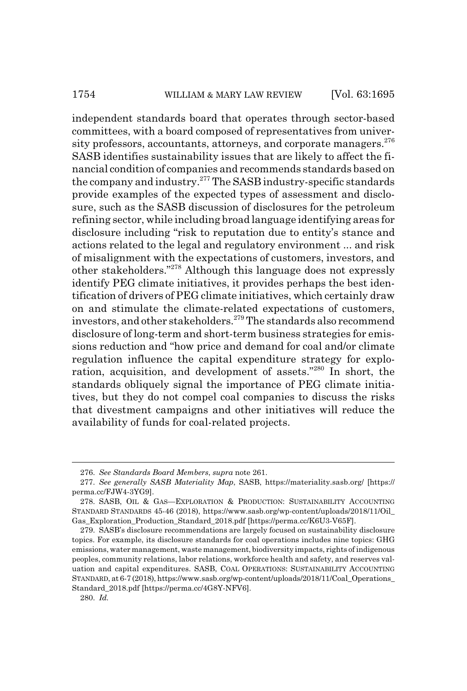#### 1754 WILLIAM & MARY LAW REVIEW [Vol. 63:1695]

independent standards board that operates through sector-based committees, with a board composed of representatives from university professors, accountants, attorneys, and corporate managers.<sup>276</sup> SASB identifies sustainability issues that are likely to affect the financial condition of companies and recommends standards based on the company and industry.277 The SASB industry-specific standards provide examples of the expected types of assessment and disclosure, such as the SASB discussion of disclosures for the petroleum refining sector, while including broad language identifying areas for disclosure including "risk to reputation due to entity's stance and actions related to the legal and regulatory environment ... and risk of misalignment with the expectations of customers, investors, and other stakeholders."278 Although this language does not expressly identify PEG climate initiatives, it provides perhaps the best identification of drivers of PEG climate initiatives, which certainly draw on and stimulate the climate-related expectations of customers, investors, and other stakeholders.279 The standards also recommend disclosure of long-term and short-term business strategies for emissions reduction and "how price and demand for coal and/or climate regulation influence the capital expenditure strategy for exploration, acquisition, and development of assets."280 In short, the standards obliquely signal the importance of PEG climate initiatives, but they do not compel coal companies to discuss the risks that divestment campaigns and other initiatives will reduce the availability of funds for coal-related projects.

<sup>276.</sup> *See Standards Board Members*, *supra* note 261.

<sup>277.</sup> *See generally SASB Materiality Map*, SASB, https://materiality.sasb.org/ [https:// perma.cc/FJW4-3YG9].

<sup>278.</sup> SASB, OIL & GAS—EXPLORATION & PRODUCTION: SUSTAINABILITY ACCOUNTING STANDARD STANDARDS 45-46 (2018), https://www.sasb.org/wp-content/uploads/2018/11/Oil\_ Gas\_Exploration\_Production\_Standard\_2018.pdf [https://perma.cc/K6U3-V65F].

<sup>279.</sup> SASB's disclosure recommendations are largely focused on sustainability disclosure topics. For example, its disclosure standards for coal operations includes nine topics: GHG emissions, water management, waste management, biodiversity impacts, rights of indigenous peoples, community relations, labor relations, workforce health and safety, and reserves valuation and capital expenditures. SASB, COAL OPERATIONS: SUSTAINABILITY ACCOUNTING STANDARD, at 6-7 (2018), https://www.sasb.org/wp-content/uploads/2018/11/Coal\_Operations\_ Standard\_2018.pdf [https://perma.cc/4G8Y-NFV6].

<sup>280.</sup> *Id.*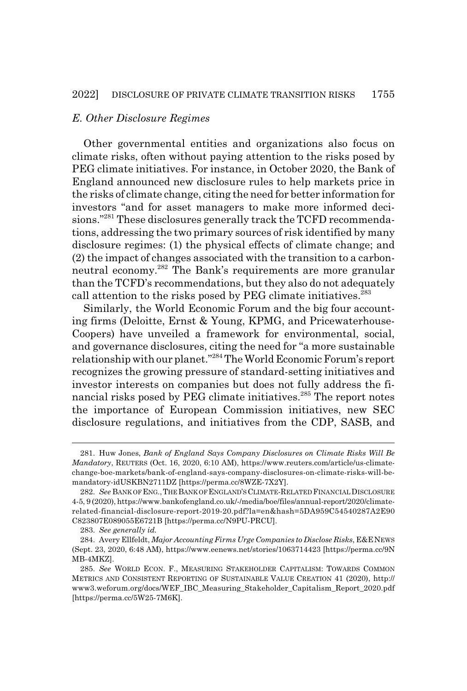#### *E. Other Disclosure Regimes*

Other governmental entities and organizations also focus on climate risks, often without paying attention to the risks posed by PEG climate initiatives. For instance, in October 2020, the Bank of England announced new disclosure rules to help markets price in the risks of climate change, citing the need for better information for investors "and for asset managers to make more informed decisions."<sup>281</sup> These disclosures generally track the TCFD recommendations, addressing the two primary sources of risk identified by many disclosure regimes: (1) the physical effects of climate change; and (2) the impact of changes associated with the transition to a carbonneutral economy.282 The Bank's requirements are more granular than the TCFD's recommendations, but they also do not adequately call attention to the risks posed by PEG climate initiatives.<sup>283</sup>

Similarly, the World Economic Forum and the big four accounting firms (Deloitte, Ernst & Young, KPMG, and Pricewaterhouse-Coopers) have unveiled a framework for environmental, social, and governance disclosures, citing the need for "a more sustainable relationship with our planet."284 The World Economic Forum's report recognizes the growing pressure of standard-setting initiatives and investor interests on companies but does not fully address the financial risks posed by PEG climate initiatives.<sup>285</sup> The report notes the importance of European Commission initiatives, new SEC disclosure regulations, and initiatives from the CDP, SASB, and

<sup>281.</sup> Huw Jones, *Bank of England Says Company Disclosures on Climate Risks Will Be Mandatory*, REUTERS (Oct. 16, 2020, 6:10 AM), https://www.reuters.com/article/us-climatechange-boe-markets/bank-of-england-says-company-disclosures-on-climate-risks-will-bemandatory-idUSKBN2711DZ [https://perma.cc/8WZE-7X2Y].

<sup>282.</sup> *See* BANK OF ENG.,THE BANK OF ENGLAND'SCLIMATE-RELATED FINANCIAL DISCLOSURE 4-5, 9 (2020), https://www.bankofengland.co.uk/-/media/boe/files/annual-report/2020/climaterelated-financial-disclosure-report-2019-20.pdf?la=en&hash=5DA959C54540287A2E90 C823807E089055E6721B [https://perma.cc/N9PU-PRCU].

<sup>283.</sup> *See generally id.*

<sup>284.</sup> Avery Ellfeldt, *Major Accounting Firms Urge Companies to Disclose Risks*, E&ENEWS (Sept. 23, 2020, 6:48 AM), https://www.eenews.net/stories/1063714423 [https://perma.cc/9N MB-4MKZ].

<sup>285.</sup> *See* WORLD ECON. F., MEASURING STAKEHOLDER CAPITALISM: TOWARDS COMMON METRICS AND CONSISTENT REPORTING OF SUSTAINABLE VALUE CREATION 41 (2020), http:// www3.weforum.org/docs/WEF\_IBC\_Measuring\_Stakeholder\_Capitalism\_Report\_2020.pdf [https://perma.cc/5W25-7M6K].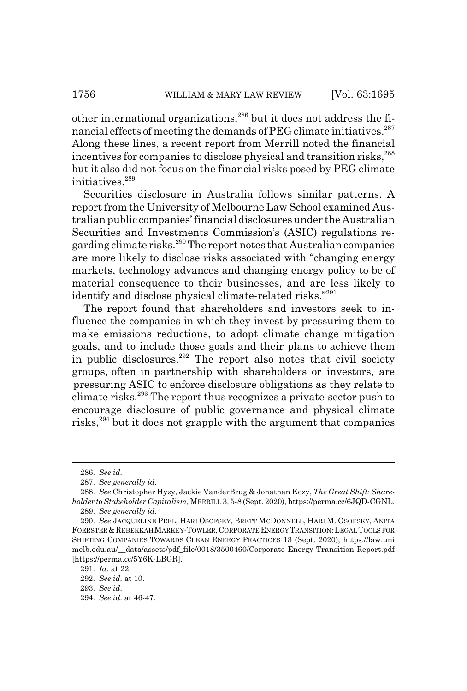other international organizations,286 but it does not address the financial effects of meeting the demands of PEG climate initiatives.<sup>287</sup> Along these lines, a recent report from Merrill noted the financial incentives for companies to disclose physical and transition risks,<sup>288</sup> but it also did not focus on the financial risks posed by PEG climate initiatives<sup>289</sup>

Securities disclosure in Australia follows similar patterns. A report from the University of Melbourne Law School examined Australian public companies' financial disclosures under the Australian Securities and Investments Commission's (ASIC) regulations regarding climate risks.290 The report notes that Australian companies are more likely to disclose risks associated with "changing energy markets, technology advances and changing energy policy to be of material consequence to their businesses, and are less likely to identify and disclose physical climate-related risks."<sup>291</sup>

The report found that shareholders and investors seek to influence the companies in which they invest by pressuring them to make emissions reductions, to adopt climate change mitigation goals, and to include those goals and their plans to achieve them in public disclosures. $^{292}$  The report also notes that civil society groups, often in partnership with shareholders or investors, are pressuring ASIC to enforce disclosure obligations as they relate to climate risks.293 The report thus recognizes a private-sector push to encourage disclosure of public governance and physical climate risks,294 but it does not grapple with the argument that companies

<sup>286.</sup> *See id.*

<sup>287.</sup> *See generally id.*

<sup>288.</sup> *See* Christopher Hyzy, Jackie VanderBrug & Jonathan Kozy, *The Great Shift: Shareholder to Stakeholder Capitalism*, MERRILL 3, 5-8 (Sept. 2020), https://perma.cc/6JQD-CGNL. 289. *See generally id.*

<sup>290.</sup> *See* JACQUELINE PEEL, HARI OSOFSKY, BRETT MCDONNELL, HARI M. OSOFSKY, ANITA FOERSTER &REBEKKAH MARKEY-TOWLER,CORPORATE ENERGY TRANSITION:LEGAL TOOLS FOR SHIFTING COMPANIES TOWARDS CLEAN ENERGY PRACTICES 13 (Sept. 2020), https://law.uni melb.edu.au/\_\_data/assets/pdf\_file/0018/3500460/Corporate-Energy-Transition-Report.pdf [https://perma.cc/5Y6K-LBGR].

<sup>291.</sup> *Id.* at 22.

<sup>292.</sup> *See id.* at 10.

<sup>293.</sup> *See id.*

<sup>294.</sup> *See id.* at 46-47.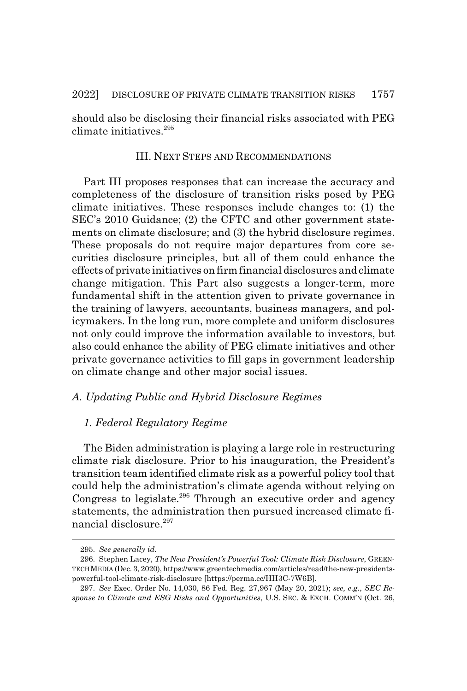should also be disclosing their financial risks associated with PEG climate initiatives.295

#### III. NEXT STEPS AND RECOMMENDATIONS

Part III proposes responses that can increase the accuracy and completeness of the disclosure of transition risks posed by PEG climate initiatives. These responses include changes to: (1) the SEC's 2010 Guidance; (2) the CFTC and other government statements on climate disclosure; and (3) the hybrid disclosure regimes. These proposals do not require major departures from core securities disclosure principles, but all of them could enhance the effects of private initiatives on firm financial disclosures and climate change mitigation. This Part also suggests a longer-term, more fundamental shift in the attention given to private governance in the training of lawyers, accountants, business managers, and policymakers. In the long run, more complete and uniform disclosures not only could improve the information available to investors, but also could enhance the ability of PEG climate initiatives and other private governance activities to fill gaps in government leadership on climate change and other major social issues.

#### *A. Updating Public and Hybrid Disclosure Regimes*

### *1. Federal Regulatory Regime*

The Biden administration is playing a large role in restructuring climate risk disclosure. Prior to his inauguration, the President's transition team identified climate risk as a powerful policy tool that could help the administration's climate agenda without relying on Congress to legislate.<sup>296</sup> Through an executive order and agency statements, the administration then pursued increased climate financial disclosure.297

<sup>295.</sup> *See generally id.*

<sup>296.</sup> Stephen Lacey, *The New President's Powerful Tool: Climate Risk Disclosure*, GREEN-TECH MEDIA (Dec. 3, 2020), https://www.greentechmedia.com/articles/read/the-new-presidentspowerful-tool-climate-risk-disclosure [https://perma.cc/HH3C-7W6B].

<sup>297.</sup> *See* Exec. Order No. 14,030, 86 Fed. Reg. 27,967 (May 20, 2021); *see, e.g.*, *SEC Response to Climate and ESG Risks and Opportunities*, U.S. SEC.&EXCH. COMM'N (Oct. 26,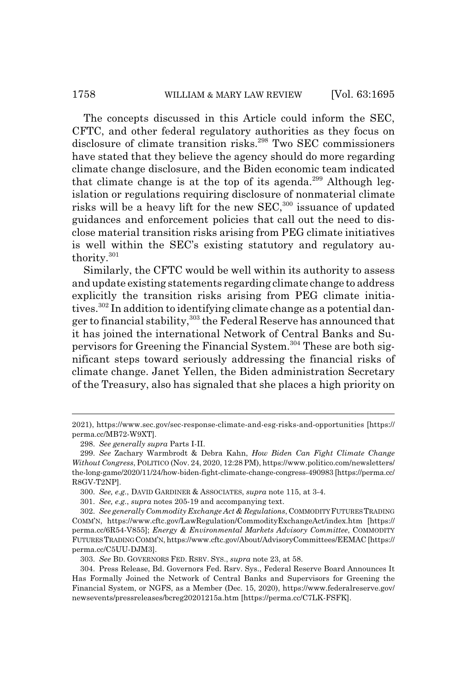The concepts discussed in this Article could inform the SEC, CFTC, and other federal regulatory authorities as they focus on disclosure of climate transition risks.<sup>298</sup> Two SEC commissioners have stated that they believe the agency should do more regarding climate change disclosure, and the Biden economic team indicated that climate change is at the top of its agenda.<sup>299</sup> Although legislation or regulations requiring disclosure of nonmaterial climate risks will be a heavy lift for the new  $SEC, <sup>300</sup>$  issuance of updated guidances and enforcement policies that call out the need to disclose material transition risks arising from PEG climate initiatives is well within the SEC's existing statutory and regulatory authority.<sup>301</sup>

Similarly, the CFTC would be well within its authority to assess and update existing statements regarding climate change to address explicitly the transition risks arising from PEG climate initiatives.<sup>302</sup> In addition to identifying climate change as a potential danger to financial stability,<sup>303</sup> the Federal Reserve has announced that it has joined the international Network of Central Banks and Supervisors for Greening the Financial System.304 These are both significant steps toward seriously addressing the financial risks of climate change. Janet Yellen, the Biden administration Secretary of the Treasury, also has signaled that she places a high priority on

<sup>2021),</sup> https://www.sec.gov/sec-response-climate-and-esg-risks-and-opportunities [https:// perma.cc/MB72-W9XT].

<sup>298.</sup> *See generally supra* Parts I-II.

<sup>299.</sup> *See* Zachary Warmbrodt & Debra Kahn, *How Biden Can Fight Climate Change Without Congress*, POLITICO (Nov. 24, 2020, 12:28 PM), https://www.politico.com/newsletters/ the-long-game/2020/11/24/how-biden-fight-climate-change-congress-490983 [https://perma.cc/ R8GV-T2NP].

<sup>300.</sup> *See, e.g.*, DAVID GARDINER & ASSOCIATES, *supra* note 115, at 3-4.

<sup>301.</sup> *See, e.g.*, *supra* notes 205-19 and accompanying text.

<sup>302.</sup> *See generally Commodity Exchange Act & Regulations*, COMMODITY FUTURES TRADING COMM'N, https://www.cftc.gov/LawRegulation/CommodityExchangeAct/index.htm [https:// perma.cc/6R54-V855]; *Energy & Environmental Markets Advisory Committee*, COMMODITY FUTURES TRADING COMM'N, https://www.cftc.gov/About/AdvisoryCommittees/EEMAC [https:// perma.cc/C5UU-DJM3].

<sup>303.</sup> *See* BD. GOVERNORS FED. RSRV. SYS., *supra* note 23, at 58.

<sup>304.</sup> Press Release, Bd. Governors Fed. Rsrv. Sys., Federal Reserve Board Announces It Has Formally Joined the Network of Central Banks and Supervisors for Greening the Financial System, or NGFS, as a Member (Dec. 15, 2020), https://www.federalreserve.gov/ newsevents/pressreleases/bcreg20201215a.htm [https://perma.cc/C7LK-FSFK].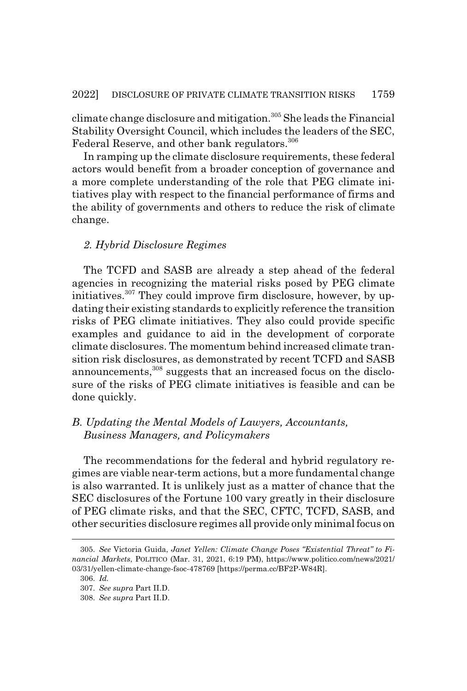climate change disclosure and mitigation.305 She leads the Financial Stability Oversight Council, which includes the leaders of the SEC, Federal Reserve, and other bank regulators.<sup>306</sup>

In ramping up the climate disclosure requirements, these federal actors would benefit from a broader conception of governance and a more complete understanding of the role that PEG climate initiatives play with respect to the financial performance of firms and the ability of governments and others to reduce the risk of climate change.

#### *2. Hybrid Disclosure Regimes*

The TCFD and SASB are already a step ahead of the federal agencies in recognizing the material risks posed by PEG climate initiatives.<sup>307</sup> They could improve firm disclosure, however, by updating their existing standards to explicitly reference the transition risks of PEG climate initiatives. They also could provide specific examples and guidance to aid in the development of corporate climate disclosures. The momentum behind increased climate transition risk disclosures, as demonstrated by recent TCFD and SASB announcements,<sup>308</sup> suggests that an increased focus on the disclosure of the risks of PEG climate initiatives is feasible and can be done quickly.

## *B. Updating the Mental Models of Lawyers, Accountants, Business Managers, and Policymakers*

The recommendations for the federal and hybrid regulatory regimes are viable near-term actions, but a more fundamental change is also warranted. It is unlikely just as a matter of chance that the SEC disclosures of the Fortune 100 vary greatly in their disclosure of PEG climate risks, and that the SEC, CFTC, TCFD, SASB, and other securities disclosure regimes all provide only minimal focus on

<sup>305.</sup> *See* Victoria Guida, *Janet Yellen: Climate Change Poses "Existential Threat" to Financial Markets*, POLITICO (Mar. 31, 2021, 6:19 PM), https://www.politico.com/news/2021/ 03/31/yellen-climate-change-fsoc-478769 [https://perma.cc/BF2P-W84R].

<sup>306.</sup> *Id.*

<sup>307.</sup> *See supra* Part II.D.

<sup>308.</sup> *See supra* Part II.D.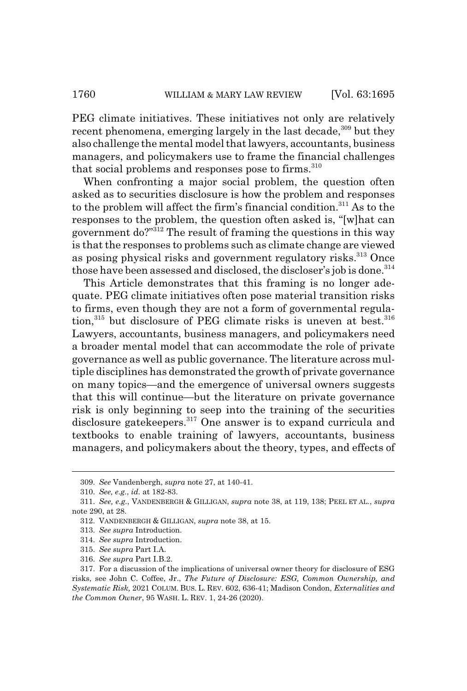PEG climate initiatives. These initiatives not only are relatively recent phenomena, emerging largely in the last decade,  $309$  but they also challenge the mental model that lawyers, accountants, business managers, and policymakers use to frame the financial challenges that social problems and responses pose to firms.<sup>310</sup>

When confronting a major social problem, the question often asked as to securities disclosure is how the problem and responses to the problem will affect the firm's financial condition.311 As to the responses to the problem, the question often asked is, "[w]hat can government do?"312 The result of framing the questions in this way is that the responses to problems such as climate change are viewed as posing physical risks and government regulatory risks.<sup>313</sup> Once those have been assessed and disclosed, the discloser's job is done.<sup>314</sup>

This Article demonstrates that this framing is no longer adequate. PEG climate initiatives often pose material transition risks to firms, even though they are not a form of governmental regulation, $315$  but disclosure of PEG climate risks is uneven at best.  $316$ Lawyers, accountants, business managers, and policymakers need a broader mental model that can accommodate the role of private governance as well as public governance. The literature across multiple disciplines has demonstrated the growth of private governance on many topics—and the emergence of universal owners suggests that this will continue—but the literature on private governance risk is only beginning to seep into the training of the securities disclosure gatekeepers.<sup>317</sup> One answer is to expand curricula and textbooks to enable training of lawyers, accountants, business managers, and policymakers about the theory, types, and effects of

<sup>309.</sup> *See* Vandenbergh, *supra* note 27, at 140-41.

<sup>310.</sup> *See, e.g.*, *id.* at 182-83.

<sup>311.</sup> *See, e.g.*, VANDENBERGH & GILLIGAN, *supra* note 38, at 119, 138; PEEL ET AL., *supra* note 290, at 28.

<sup>312.</sup> VANDENBERGH & GILLIGAN, *supra* note 38, at 15.

<sup>313.</sup> *See supra* Introduction.

<sup>314.</sup> *See supra* Introduction.

<sup>315.</sup> *See supra* Part I.A.

<sup>316.</sup> *See supra* Part I.B.2.

<sup>317.</sup> For a discussion of the implications of universal owner theory for disclosure of ESG risks, see John C. Coffee, Jr., *The Future of Disclosure: ESG, Common Ownership, and Systematic Risk,* 2021 COLUM. BUS. L. REV. 602, 636-41; Madison Condon, *Externalities and the Common Owner*, 95 WASH. L. REV. 1, 24-26 (2020).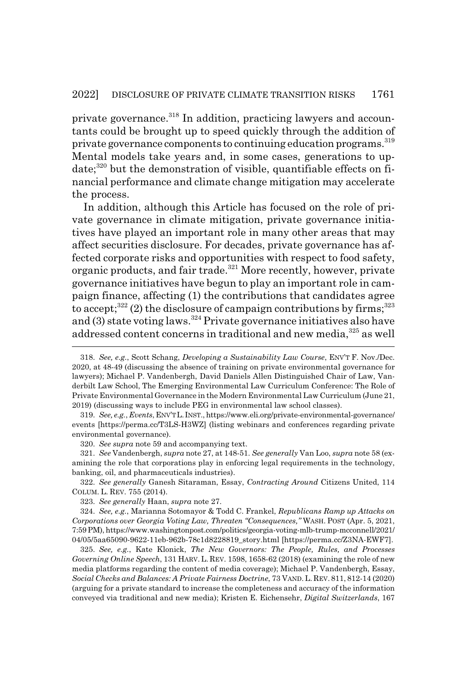private governance.318 In addition, practicing lawyers and accountants could be brought up to speed quickly through the addition of private governance components to continuing education programs.<sup>319</sup> Mental models take years and, in some cases, generations to up $date;^{320}$  but the demonstration of visible, quantifiable effects on financial performance and climate change mitigation may accelerate the process.

In addition, although this Article has focused on the role of private governance in climate mitigation, private governance initiatives have played an important role in many other areas that may affect securities disclosure. For decades, private governance has affected corporate risks and opportunities with respect to food safety, organic products, and fair trade.<sup>321</sup> More recently, however, private governance initiatives have begun to play an important role in campaign finance, affecting (1) the contributions that candidates agree to accept;<sup>322</sup> (2) the disclosure of campaign contributions by firms;<sup>323</sup> and (3) state voting laws.<sup>324</sup> Private governance initiatives also have addressed content concerns in traditional and new media,<sup>325</sup> as well

320. *See supra* note 59 and accompanying text.

321. *See* Vandenbergh, *supra* note 27, at 148-51. *See generally* Van Loo, *supra* note 58 (examining the role that corporations play in enforcing legal requirements in the technology, banking, oil, and pharmaceuticals industries).

322. *See generally* Ganesh Sitaraman, Essay, *Contracting Around* Citizens United, 114 COLUM. L. REV. 755 (2014).

323. *See generally* Haan, *supra* note 27.

324. *See, e.g.*, Marianna Sotomayor & Todd C. Frankel, *Republicans Ramp up Attacks on Corporations over Georgia Voting Law, Threaten "Consequences,"* WASH. POST (Apr. 5, 2021, 7:59 PM), https://www.washingtonpost.com/politics/georgia-voting-mlb-trump-mcconnell/2021/ 04/05/5aa65090-9622-11eb-962b-78c1d8228819\_story.html [https://perma.cc/Z3NA-EWF7].

325. *See, e.g.*, Kate Klonick, *The New Governors: The People, Rules, and Processes Governing Online Speech*, 131 HARV. L. REV. 1598, 1658-62 (2018) (examining the role of new media platforms regarding the content of media coverage); Michael P. Vandenbergh, Essay, *Social Checks and Balances: A Private Fairness Doctrine*, 73 VAND. L. REV. 811, 812-14 (2020) (arguing for a private standard to increase the completeness and accuracy of the information conveyed via traditional and new media); Kristen E. Eichensehr, *Digital Switzerlands*, 167

<sup>318.</sup> *See, e.g.*, Scott Schang, *Developing a Sustainability Law Course*, ENV'T F. Nov./Dec. 2020, at 48-49 (discussing the absence of training on private environmental governance for lawyers); Michael P. Vandenbergh, David Daniels Allen Distinguished Chair of Law, Vanderbilt Law School, The Emerging Environmental Law Curriculum Conference: The Role of Private Environmental Governance in the Modern Environmental Law Curriculum (June 21, 2019) (discussing ways to include PEG in environmental law school classes).

<sup>319.</sup> *See, e.g.*, *Events*, ENV'TL.INST., https://www.eli.org/private-environmental-governance/ events [https://perma.cc/T3LS-H3WZ] (listing webinars and conferences regarding private environmental governance).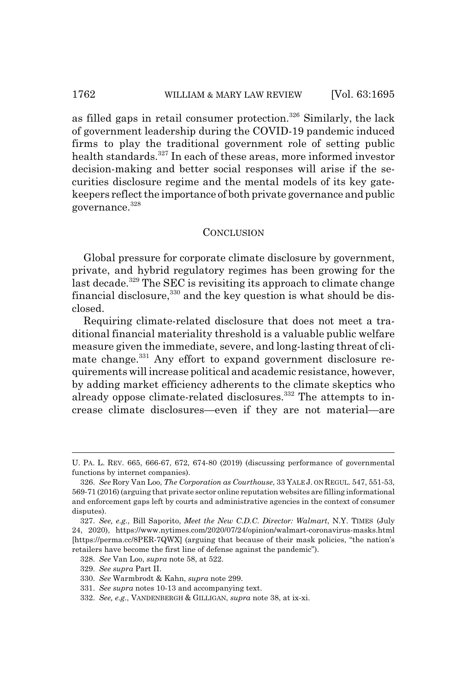as filled gaps in retail consumer protection.<sup>326</sup> Similarly, the lack of government leadership during the COVID-19 pandemic induced firms to play the traditional government role of setting public health standards.<sup>327</sup> In each of these areas, more informed investor decision-making and better social responses will arise if the securities disclosure regime and the mental models of its key gatekeepers reflect the importance of both private governance and public governance.328

#### **CONCLUSION**

Global pressure for corporate climate disclosure by government, private, and hybrid regulatory regimes has been growing for the last decade.<sup>329</sup> The SEC is revisiting its approach to climate change financial disclosure,  $330$  and the key question is what should be disclosed.

Requiring climate-related disclosure that does not meet a traditional financial materiality threshold is a valuable public welfare measure given the immediate, severe, and long-lasting threat of climate change.<sup>331</sup> Any effort to expand government disclosure requirements will increase political and academic resistance, however, by adding market efficiency adherents to the climate skeptics who already oppose climate-related disclosures.<sup>332</sup> The attempts to increase climate disclosures—even if they are not material—are

U. PA. L. REV. 665, 666-67, 672, 674-80 (2019) (discussing performance of governmental functions by internet companies).

<sup>326.</sup> *See* Rory Van Loo, *The Corporation as Courthouse*, 33 YALE J. ON REGUL. 547, 551-53, 569-71 (2016) (arguing that private sector online reputation websites are filling informational and enforcement gaps left by courts and administrative agencies in the context of consumer disputes).

<sup>327.</sup> *See, e.g.*, Bill Saporito, *Meet the New C.D.C. Director: Walmart*, N.Y. TIMES (July 24, 2020), https://www.nytimes.com/2020/07/24/opinion/walmart-coronavirus-masks.html [https://perma.cc/8PER-7QWX] (arguing that because of their mask policies, "the nation's retailers have become the first line of defense against the pandemic").

<sup>328.</sup> *See* Van Loo, *supra* note 58, at 522.

<sup>329.</sup> *See supra* Part II.

<sup>330.</sup> *See* Warmbrodt & Kahn, *supra* note 299.

<sup>331.</sup> *See supra* notes 10-13 and accompanying text.

<sup>332.</sup> *See, e.g.*, VANDENBERGH & GILLIGAN, *supra* note 38, at ix-xi.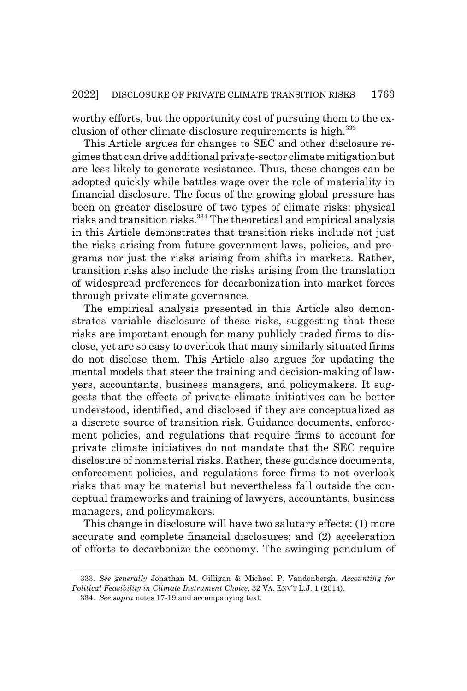worthy efforts, but the opportunity cost of pursuing them to the exclusion of other climate disclosure requirements is high.<sup>333</sup>

This Article argues for changes to SEC and other disclosure regimes that can drive additional private-sector climate mitigation but are less likely to generate resistance. Thus, these changes can be adopted quickly while battles wage over the role of materiality in financial disclosure. The focus of the growing global pressure has been on greater disclosure of two types of climate risks: physical risks and transition risks.334 The theoretical and empirical analysis in this Article demonstrates that transition risks include not just the risks arising from future government laws, policies, and programs nor just the risks arising from shifts in markets. Rather, transition risks also include the risks arising from the translation of widespread preferences for decarbonization into market forces through private climate governance.

The empirical analysis presented in this Article also demonstrates variable disclosure of these risks, suggesting that these risks are important enough for many publicly traded firms to disclose, yet are so easy to overlook that many similarly situated firms do not disclose them. This Article also argues for updating the mental models that steer the training and decision-making of lawyers, accountants, business managers, and policymakers. It suggests that the effects of private climate initiatives can be better understood, identified, and disclosed if they are conceptualized as a discrete source of transition risk. Guidance documents, enforcement policies, and regulations that require firms to account for private climate initiatives do not mandate that the SEC require disclosure of nonmaterial risks. Rather, these guidance documents, enforcement policies, and regulations force firms to not overlook risks that may be material but nevertheless fall outside the conceptual frameworks and training of lawyers, accountants, business managers, and policymakers.

This change in disclosure will have two salutary effects: (1) more accurate and complete financial disclosures; and (2) acceleration of efforts to decarbonize the economy. The swinging pendulum of

<sup>333.</sup> *See generally* Jonathan M. Gilligan & Michael P. Vandenbergh, *Accounting for Political Feasibility in Climate Instrument Choice*, 32 VA. ENV'T L.J. 1 (2014).

<sup>334.</sup> *See supra* notes 17-19 and accompanying text.